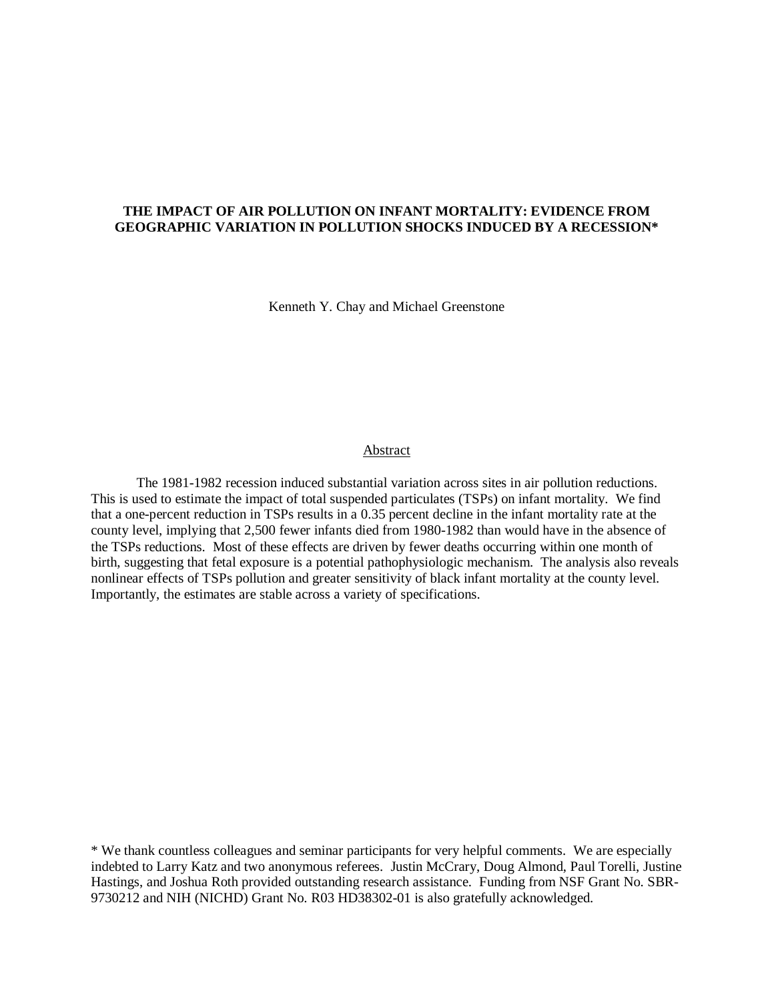## **THE IMPACT OF AIR POLLUTION ON INFANT MORTALITY: EVIDENCE FROM GEOGRAPHIC VARIATION IN POLLUTION SHOCKS INDUCED BY A RECESSION\***

Kenneth Y. Chay and Michael Greenstone

#### **Abstract**

 The 1981-1982 recession induced substantial variation across sites in air pollution reductions. This is used to estimate the impact of total suspended particulates (TSPs) on infant mortality. We find that a one-percent reduction in TSPs results in a 0.35 percent decline in the infant mortality rate at the county level, implying that 2,500 fewer infants died from 1980-1982 than would have in the absence of the TSPs reductions. Most of these effects are driven by fewer deaths occurring within one month of birth, suggesting that fetal exposure is a potential pathophysiologic mechanism. The analysis also reveals nonlinear effects of TSPs pollution and greater sensitivity of black infant mortality at the county level. Importantly, the estimates are stable across a variety of specifications.

\* We thank countless colleagues and seminar participants for very helpful comments. We are especially indebted to Larry Katz and two anonymous referees. Justin McCrary, Doug Almond, Paul Torelli, Justine Hastings, and Joshua Roth provided outstanding research assistance. Funding from NSF Grant No. SBR-9730212 and NIH (NICHD) Grant No. R03 HD38302-01 is also gratefully acknowledged.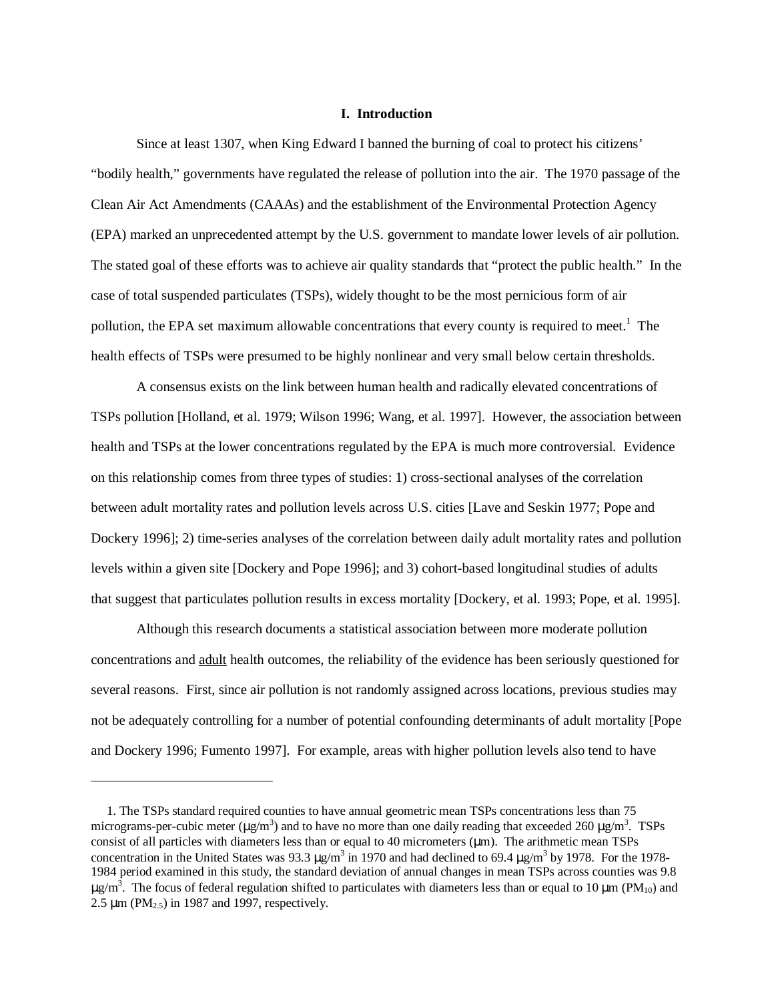## **I. Introduction**

 Since at least 1307, when King Edward I banned the burning of coal to protect his citizens' "bodily health," governments have regulated the release of pollution into the air. The 1970 passage of the Clean Air Act Amendments (CAAAs) and the establishment of the Environmental Protection Agency (EPA) marked an unprecedented attempt by the U.S. government to mandate lower levels of air pollution. The stated goal of these efforts was to achieve air quality standards that "protect the public health." In the case of total suspended particulates (TSPs), widely thought to be the most pernicious form of air pollution, the EPA set maximum allowable concentrations that every county is required to meet.<sup>1</sup> The health effects of TSPs were presumed to be highly nonlinear and very small below certain thresholds.

 A consensus exists on the link between human health and radically elevated concentrations of TSPs pollution [Holland, et al. 1979; Wilson 1996; Wang, et al. 1997]. However, the association between health and TSPs at the lower concentrations regulated by the EPA is much more controversial. Evidence on this relationship comes from three types of studies: 1) cross-sectional analyses of the correlation between adult mortality rates and pollution levels across U.S. cities [Lave and Seskin 1977; Pope and Dockery 1996]; 2) time-series analyses of the correlation between daily adult mortality rates and pollution levels within a given site [Dockery and Pope 1996]; and 3) cohort-based longitudinal studies of adults that suggest that particulates pollution results in excess mortality [Dockery, et al. 1993; Pope, et al. 1995].

 Although this research documents a statistical association between more moderate pollution concentrations and adult health outcomes, the reliability of the evidence has been seriously questioned for several reasons. First, since air pollution is not randomly assigned across locations, previous studies may not be adequately controlling for a number of potential confounding determinants of adult mortality [Pope and Dockery 1996; Fumento 1997]. For example, areas with higher pollution levels also tend to have

-

 <sup>1.</sup> The TSPs standard required counties to have annual geometric mean TSPs concentrations less than 75 micrograms-per-cubic meter ( $\mu$ g/m<sup>3</sup>) and to have no more than one daily reading that exceeded 260  $\mu$ g/m<sup>3</sup>. TSPs consist of all particles with diameters less than or equal to 40 micrometers ( $\mu$ m). The arithmetic mean TSPs concentration in the United States was 93.3  $\mu$ g/m<sup>3</sup> in 1970 and had declined to 69.4  $\mu$ g/m<sup>3</sup> by 1978. For the 1978-1984 period examined in this study, the standard deviation of annual changes in mean TSPs across counties was 9.8  $\mu$ g/m<sup>3</sup>. The focus of federal regulation shifted to particulates with diameters less than or equal to 10  $\mu$ m (PM<sub>10</sub>) and 2.5  $\mu$ m (PM<sub>2.5</sub>) in 1987 and 1997, respectively.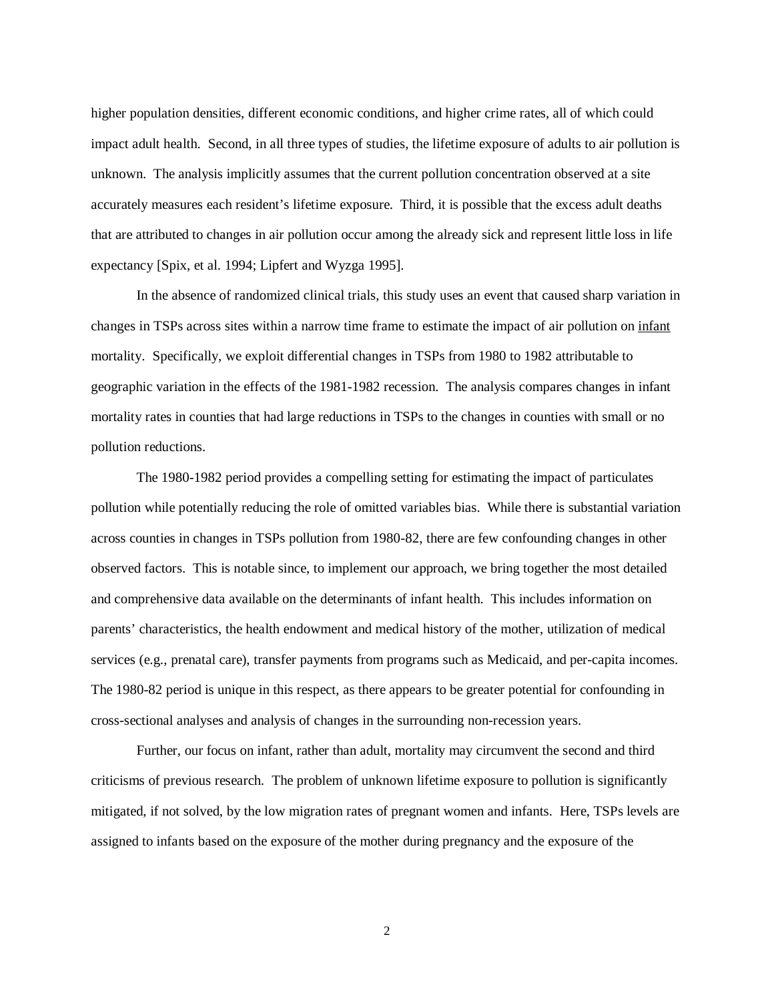higher population densities, different economic conditions, and higher crime rates, all of which could impact adult health. Second, in all three types of studies, the lifetime exposure of adults to air pollution is unknown. The analysis implicitly assumes that the current pollution concentration observed at a site accurately measures each resident's lifetime exposure. Third, it is possible that the excess adult deaths that are attributed to changes in air pollution occur among the already sick and represent little loss in life expectancy [Spix, et al. 1994; Lipfert and Wyzga 1995].

 In the absence of randomized clinical trials, this study uses an event that caused sharp variation in changes in TSPs across sites within a narrow time frame to estimate the impact of air pollution on infant mortality. Specifically, we exploit differential changes in TSPs from 1980 to 1982 attributable to geographic variation in the effects of the 1981-1982 recession. The analysis compares changes in infant mortality rates in counties that had large reductions in TSPs to the changes in counties with small or no pollution reductions.

 The 1980-1982 period provides a compelling setting for estimating the impact of particulates pollution while potentially reducing the role of omitted variables bias. While there is substantial variation across counties in changes in TSPs pollution from 1980-82, there are few confounding changes in other observed factors. This is notable since, to implement our approach, we bring together the most detailed and comprehensive data available on the determinants of infant health. This includes information on parents' characteristics, the health endowment and medical history of the mother, utilization of medical services (e.g., prenatal care), transfer payments from programs such as Medicaid, and per-capita incomes. The 1980-82 period is unique in this respect, as there appears to be greater potential for confounding in cross-sectional analyses and analysis of changes in the surrounding non-recession years.

 Further, our focus on infant, rather than adult, mortality may circumvent the second and third criticisms of previous research. The problem of unknown lifetime exposure to pollution is significantly mitigated, if not solved, by the low migration rates of pregnant women and infants. Here, TSPs levels are assigned to infants based on the exposure of the mother during pregnancy and the exposure of the

2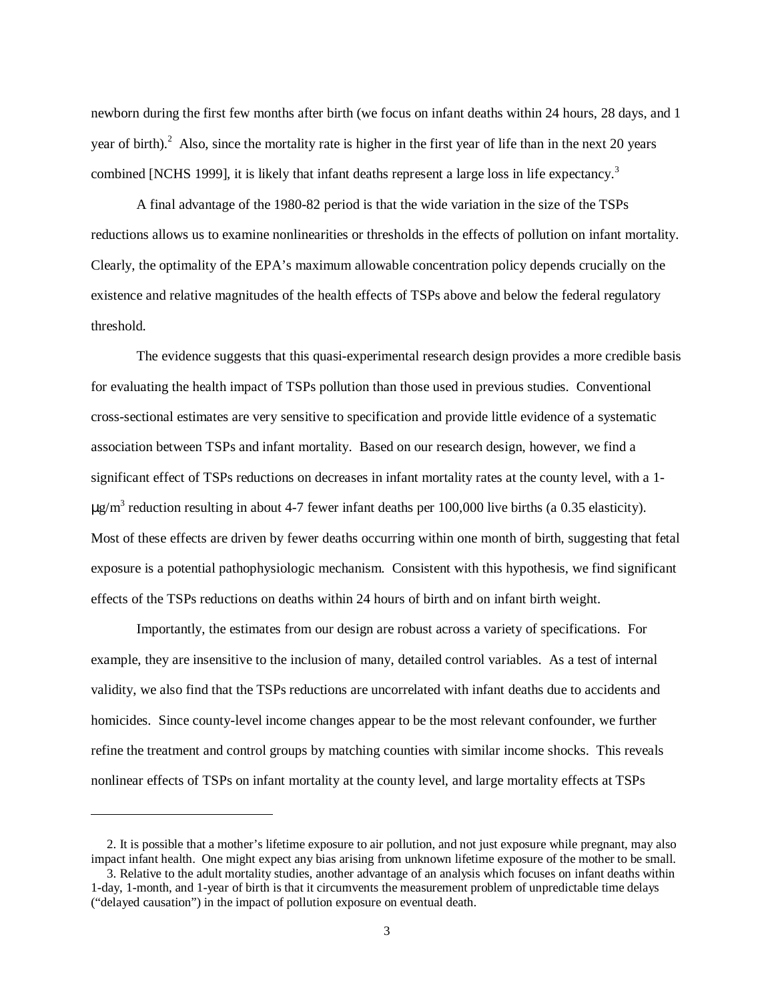newborn during the first few months after birth (we focus on infant deaths within 24 hours, 28 days, and 1 year of birth).<sup>2</sup> Also, since the mortality rate is higher in the first year of life than in the next 20 years combined [NCHS 1999], it is likely that infant deaths represent a large loss in life expectancy.<sup>3</sup>

 A final advantage of the 1980-82 period is that the wide variation in the size of the TSPs reductions allows us to examine nonlinearities or thresholds in the effects of pollution on infant mortality. Clearly, the optimality of the EPA's maximum allowable concentration policy depends crucially on the existence and relative magnitudes of the health effects of TSPs above and below the federal regulatory threshold.

 The evidence suggests that this quasi-experimental research design provides a more credible basis for evaluating the health impact of TSPs pollution than those used in previous studies. Conventional cross-sectional estimates are very sensitive to specification and provide little evidence of a systematic association between TSPs and infant mortality. Based on our research design, however, we find a significant effect of TSPs reductions on decreases in infant mortality rates at the county level, with a 1-  $\mu$ g/m<sup>3</sup> reduction resulting in about 4-7 fewer infant deaths per 100,000 live births (a 0.35 elasticity). Most of these effects are driven by fewer deaths occurring within one month of birth, suggesting that fetal exposure is a potential pathophysiologic mechanism. Consistent with this hypothesis, we find significant effects of the TSPs reductions on deaths within 24 hours of birth and on infant birth weight.

 Importantly, the estimates from our design are robust across a variety of specifications. For example, they are insensitive to the inclusion of many, detailed control variables. As a test of internal validity, we also find that the TSPs reductions are uncorrelated with infant deaths due to accidents and homicides. Since county-level income changes appear to be the most relevant confounder, we further refine the treatment and control groups by matching counties with similar income shocks. This reveals nonlinear effects of TSPs on infant mortality at the county level, and large mortality effects at TSPs

 $\overline{a}$ 

 <sup>2.</sup> It is possible that a mother's lifetime exposure to air pollution, and not just exposure while pregnant, may also impact infant health. One might expect any bias arising from unknown lifetime exposure of the mother to be small.

 <sup>3.</sup> Relative to the adult mortality studies, another advantage of an analysis which focuses on infant deaths within 1-day, 1-month, and 1-year of birth is that it circumvents the measurement problem of unpredictable time delays ("delayed causation") in the impact of pollution exposure on eventual death.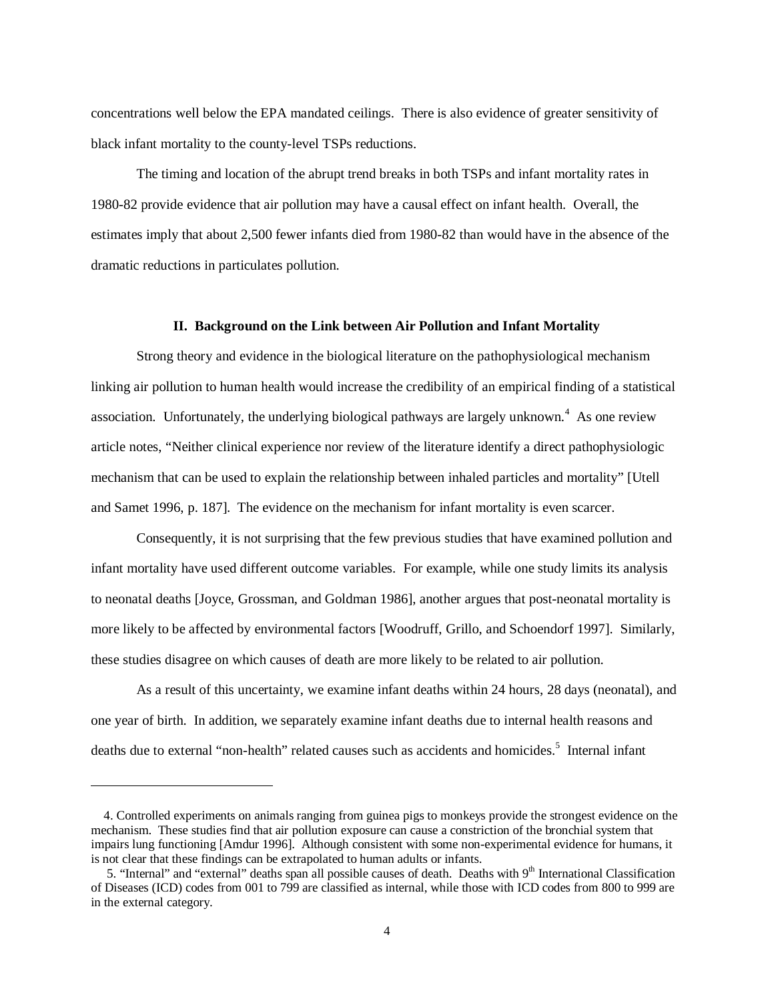concentrations well below the EPA mandated ceilings. There is also evidence of greater sensitivity of black infant mortality to the county-level TSPs reductions.

 The timing and location of the abrupt trend breaks in both TSPs and infant mortality rates in 1980-82 provide evidence that air pollution may have a causal effect on infant health. Overall, the estimates imply that about 2,500 fewer infants died from 1980-82 than would have in the absence of the dramatic reductions in particulates pollution.

#### **II. Background on the Link between Air Pollution and Infant Mortality**

 Strong theory and evidence in the biological literature on the pathophysiological mechanism linking air pollution to human health would increase the credibility of an empirical finding of a statistical association. Unfortunately, the underlying biological pathways are largely unknown.<sup>4</sup> As one review article notes, "Neither clinical experience nor review of the literature identify a direct pathophysiologic mechanism that can be used to explain the relationship between inhaled particles and mortality" [Utell and Samet 1996, p. 187]. The evidence on the mechanism for infant mortality is even scarcer.

 Consequently, it is not surprising that the few previous studies that have examined pollution and infant mortality have used different outcome variables. For example, while one study limits its analysis to neonatal deaths [Joyce, Grossman, and Goldman 1986], another argues that post-neonatal mortality is more likely to be affected by environmental factors [Woodruff, Grillo, and Schoendorf 1997]. Similarly, these studies disagree on which causes of death are more likely to be related to air pollution.

 As a result of this uncertainty, we examine infant deaths within 24 hours, 28 days (neonatal), and one year of birth. In addition, we separately examine infant deaths due to internal health reasons and deaths due to external "non-health" related causes such as accidents and homicides.<sup>5</sup> Internal infant

<u>.</u>

 <sup>4.</sup> Controlled experiments on animals ranging from guinea pigs to monkeys provide the strongest evidence on the mechanism. These studies find that air pollution exposure can cause a constriction of the bronchial system that impairs lung functioning [Amdur 1996]. Although consistent with some non-experimental evidence for humans, it is not clear that these findings can be extrapolated to human adults or infants.

<sup>5. &</sup>quot;Internal" and "external" deaths span all possible causes of death. Deaths with 9<sup>th</sup> International Classification of Diseases (ICD) codes from 001 to 799 are classified as internal, while those with ICD codes from 800 to 999 are in the external category.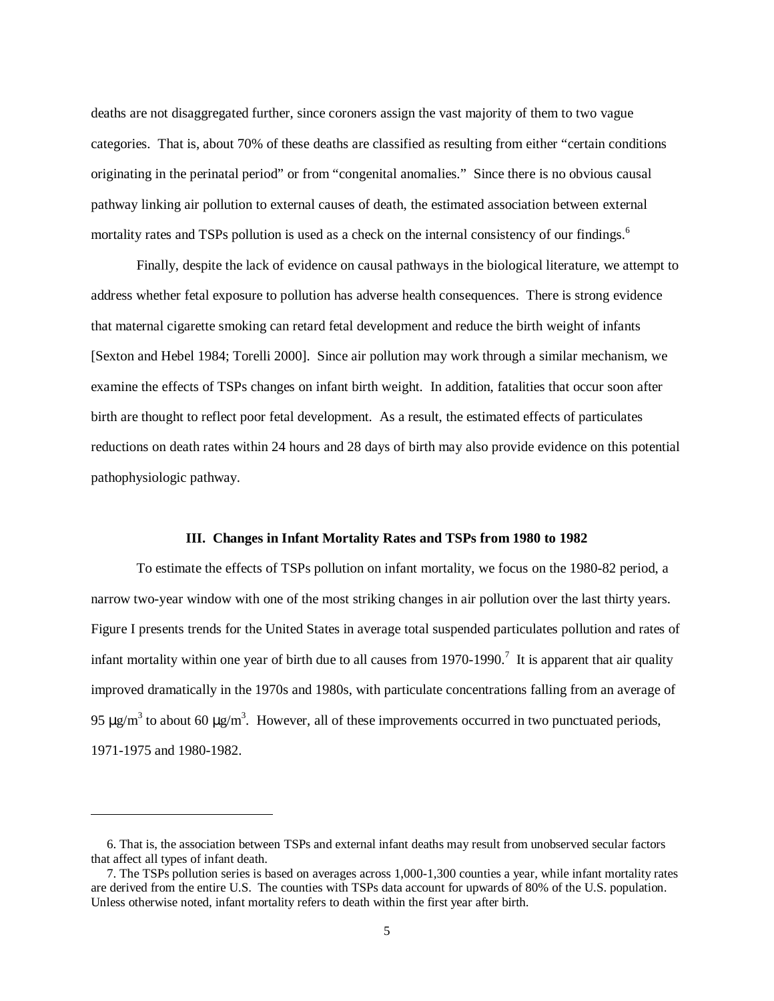deaths are not disaggregated further, since coroners assign the vast majority of them to two vague categories. That is, about 70% of these deaths are classified as resulting from either "certain conditions originating in the perinatal period" or from "congenital anomalies." Since there is no obvious causal pathway linking air pollution to external causes of death, the estimated association between external mortality rates and TSPs pollution is used as a check on the internal consistency of our findings.<sup>6</sup>

 Finally, despite the lack of evidence on causal pathways in the biological literature, we attempt to address whether fetal exposure to pollution has adverse health consequences. There is strong evidence that maternal cigarette smoking can retard fetal development and reduce the birth weight of infants [Sexton and Hebel 1984; Torelli 2000]. Since air pollution may work through a similar mechanism, we examine the effects of TSPs changes on infant birth weight. In addition, fatalities that occur soon after birth are thought to reflect poor fetal development. As a result, the estimated effects of particulates reductions on death rates within 24 hours and 28 days of birth may also provide evidence on this potential pathophysiologic pathway.

#### **III. Changes in Infant Mortality Rates and TSPs from 1980 to 1982**

 To estimate the effects of TSPs pollution on infant mortality, we focus on the 1980-82 period, a narrow two-year window with one of the most striking changes in air pollution over the last thirty years. Figure I presents trends for the United States in average total suspended particulates pollution and rates of infant mortality within one year of birth due to all causes from  $1970-1990$ .<sup>7</sup> It is apparent that air quality improved dramatically in the 1970s and 1980s, with particulate concentrations falling from an average of 95  $\mu$ g/m<sup>3</sup> to about 60  $\mu$ g/m<sup>3</sup>. However, all of these improvements occurred in two punctuated periods, 1971-1975 and 1980-1982.

-

 <sup>6.</sup> That is, the association between TSPs and external infant deaths may result from unobserved secular factors that affect all types of infant death.

 <sup>7.</sup> The TSPs pollution series is based on averages across 1,000-1,300 counties a year, while infant mortality rates are derived from the entire U.S. The counties with TSPs data account for upwards of 80% of the U.S. population. Unless otherwise noted, infant mortality refers to death within the first year after birth.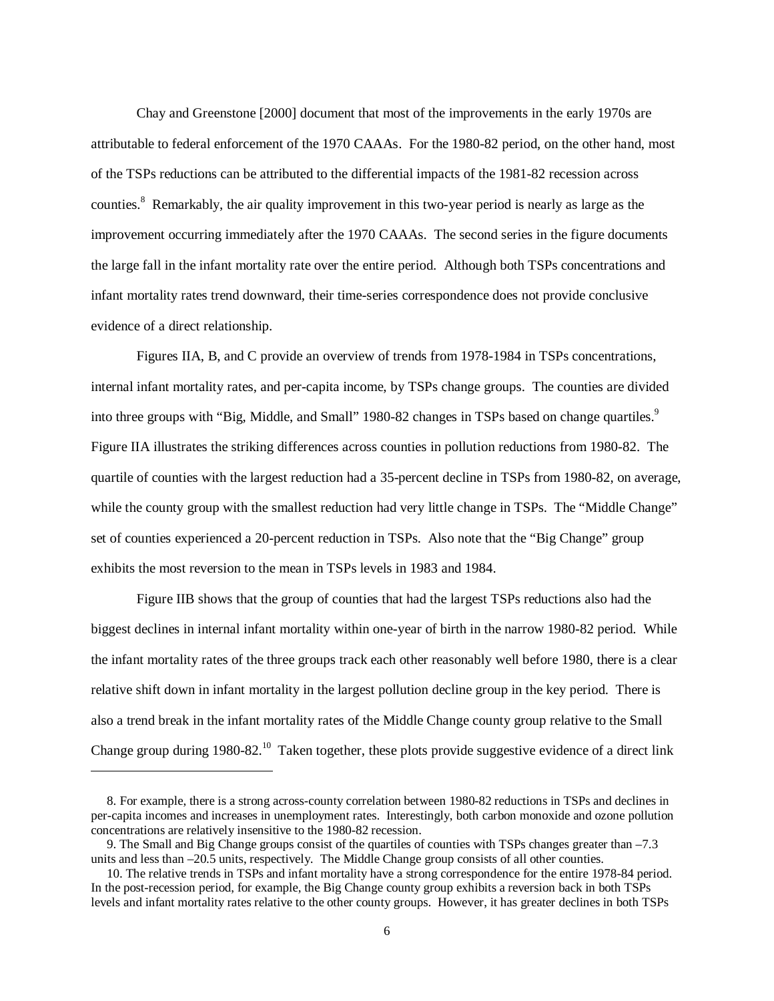Chay and Greenstone [2000] document that most of the improvements in the early 1970s are attributable to federal enforcement of the 1970 CAAAs. For the 1980-82 period, on the other hand, most of the TSPs reductions can be attributed to the differential impacts of the 1981-82 recession across counties.<sup>8</sup> Remarkably, the air quality improvement in this two-year period is nearly as large as the improvement occurring immediately after the 1970 CAAAs. The second series in the figure documents the large fall in the infant mortality rate over the entire period. Although both TSPs concentrations and infant mortality rates trend downward, their time-series correspondence does not provide conclusive evidence of a direct relationship.

 Figures IIA, B, and C provide an overview of trends from 1978-1984 in TSPs concentrations, internal infant mortality rates, and per-capita income, by TSPs change groups. The counties are divided into three groups with "Big, Middle, and Small" 1980-82 changes in TSPs based on change quartiles.<sup>9</sup> Figure IIA illustrates the striking differences across counties in pollution reductions from 1980-82. The quartile of counties with the largest reduction had a 35-percent decline in TSPs from 1980-82, on average, while the county group with the smallest reduction had very little change in TSPs. The "Middle Change" set of counties experienced a 20-percent reduction in TSPs. Also note that the "Big Change" group exhibits the most reversion to the mean in TSPs levels in 1983 and 1984.

 Figure IIB shows that the group of counties that had the largest TSPs reductions also had the biggest declines in internal infant mortality within one-year of birth in the narrow 1980-82 period. While the infant mortality rates of the three groups track each other reasonably well before 1980, there is a clear relative shift down in infant mortality in the largest pollution decline group in the key period. There is also a trend break in the infant mortality rates of the Middle Change county group relative to the Small Change group during 1980-82.<sup>10</sup> Taken together, these plots provide suggestive evidence of a direct link

 $\overline{a}$ 

 <sup>8.</sup> For example, there is a strong across-county correlation between 1980-82 reductions in TSPs and declines in per-capita incomes and increases in unemployment rates. Interestingly, both carbon monoxide and ozone pollution concentrations are relatively insensitive to the 1980-82 recession.

 <sup>9.</sup> The Small and Big Change groups consist of the quartiles of counties with TSPs changes greater than –7.3 units and less than –20.5 units, respectively. The Middle Change group consists of all other counties.

 <sup>10.</sup> The relative trends in TSPs and infant mortality have a strong correspondence for the entire 1978-84 period. In the post-recession period, for example, the Big Change county group exhibits a reversion back in both TSPs levels and infant mortality rates relative to the other county groups. However, it has greater declines in both TSPs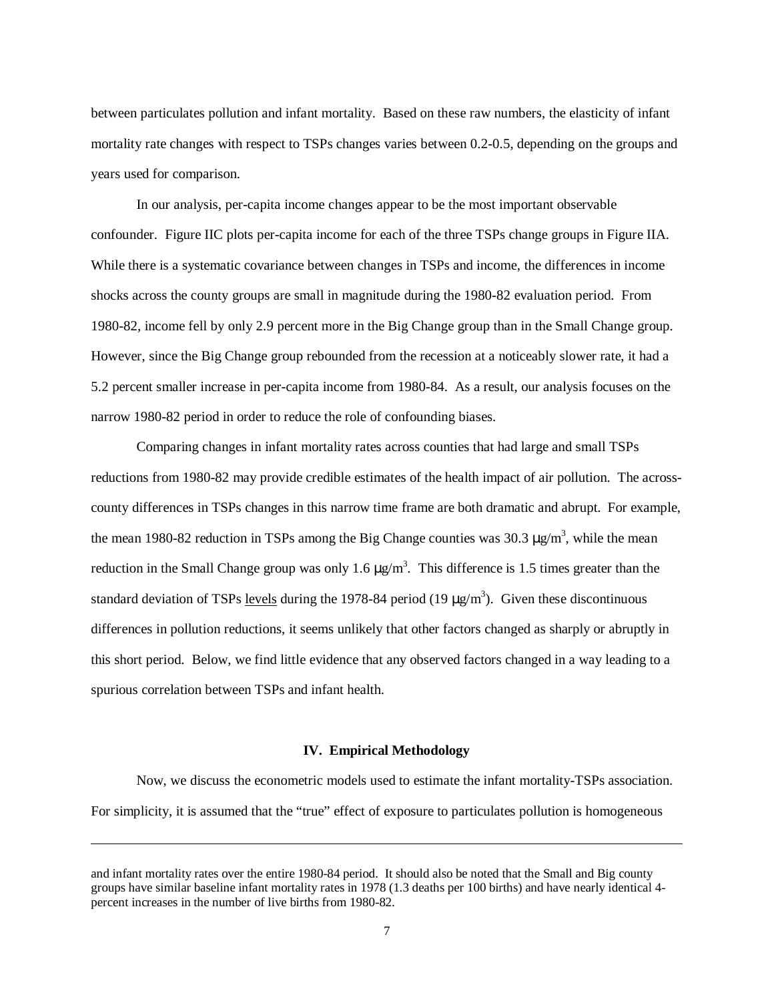between particulates pollution and infant mortality. Based on these raw numbers, the elasticity of infant mortality rate changes with respect to TSPs changes varies between 0.2-0.5, depending on the groups and years used for comparison.

 In our analysis, per-capita income changes appear to be the most important observable confounder. Figure IIC plots per-capita income for each of the three TSPs change groups in Figure IIA. While there is a systematic covariance between changes in TSPs and income, the differences in income shocks across the county groups are small in magnitude during the 1980-82 evaluation period. From 1980-82, income fell by only 2.9 percent more in the Big Change group than in the Small Change group. However, since the Big Change group rebounded from the recession at a noticeably slower rate, it had a 5.2 percent smaller increase in per-capita income from 1980-84. As a result, our analysis focuses on the narrow 1980-82 period in order to reduce the role of confounding biases.

 Comparing changes in infant mortality rates across counties that had large and small TSPs reductions from 1980-82 may provide credible estimates of the health impact of air pollution. The acrosscounty differences in TSPs changes in this narrow time frame are both dramatic and abrupt. For example, the mean 1980-82 reduction in TSPs among the Big Change counties was  $30.3 \mu g/m^3$ , while the mean reduction in the Small Change group was only 1.6  $\mu$ g/m<sup>3</sup>. This difference is 1.5 times greater than the standard deviation of TSPs levels during the 1978-84 period (19  $\mu$ g/m<sup>3</sup>). Given these discontinuous differences in pollution reductions, it seems unlikely that other factors changed as sharply or abruptly in this short period. Below, we find little evidence that any observed factors changed in a way leading to a spurious correlation between TSPs and infant health.

#### **IV. Empirical Methodology**

 Now, we discuss the econometric models used to estimate the infant mortality-TSPs association. For simplicity, it is assumed that the "true" effect of exposure to particulates pollution is homogeneous

 $\overline{a}$ 

and infant mortality rates over the entire 1980-84 period. It should also be noted that the Small and Big county groups have similar baseline infant mortality rates in 1978 (1.3 deaths per 100 births) and have nearly identical 4 percent increases in the number of live births from 1980-82.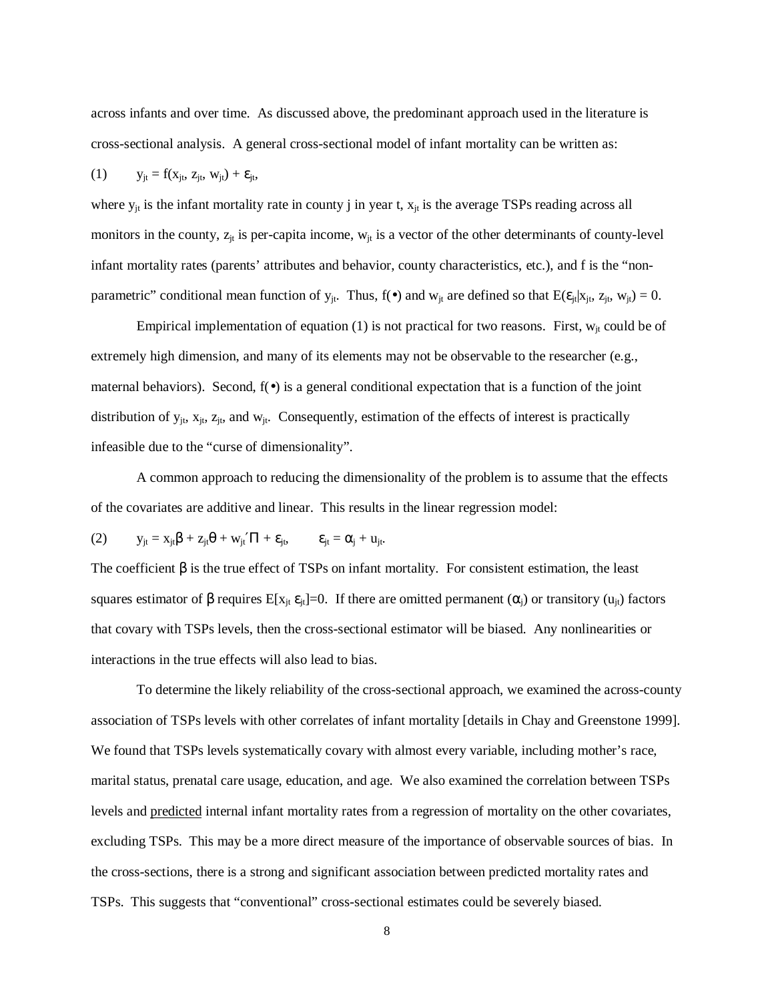across infants and over time. As discussed above, the predominant approach used in the literature is cross-sectional analysis. A general cross-sectional model of infant mortality can be written as:

(1) 
$$
y_{jt} = f(x_{jt}, z_{jt}, w_{jt}) + \varepsilon_{jt},
$$

where  $y_{jt}$  is the infant mortality rate in county j in year t,  $x_{jt}$  is the average TSPs reading across all monitors in the county,  $z_{jt}$  is per-capita income,  $w_{jt}$  is a vector of the other determinants of county-level infant mortality rates (parents' attributes and behavior, county characteristics, etc.), and f is the "nonparametric" conditional mean function of  $y_{jt}$ . Thus,  $f(\bullet)$  and  $w_{jt}$  are defined so that  $E(\varepsilon_{jt}|x_{jt}, z_{jt}, w_{jt}) = 0$ .

Empirical implementation of equation (1) is not practical for two reasons. First,  $w_{jt}$  could be of extremely high dimension, and many of its elements may not be observable to the researcher (e.g., maternal behaviors). Second,  $f(\bullet)$  is a general conditional expectation that is a function of the joint distribution of  $y_{it}$ ,  $x_{it}$ ,  $z_{it}$ , and  $w_{it}$ . Consequently, estimation of the effects of interest is practically infeasible due to the "curse of dimensionality".

 A common approach to reducing the dimensionality of the problem is to assume that the effects of the covariates are additive and linear. This results in the linear regression model:

$$
(2) \t y_{jt} = x_{jt}\beta + z_{jt}\theta + w_{jt}'\Pi + \varepsilon_{jt}, \t \varepsilon_{jt} = \alpha_j + u_{jt}.
$$

The coefficient  $\beta$  is the true effect of TSPs on infant mortality. For consistent estimation, the least squares estimator of  $\beta$  requires E[x<sub>it</sub>  $\varepsilon_{i}$ ]=0. If there are omitted permanent ( $\alpha_i$ ) or transitory ( $u_{i}$ ) factors that covary with TSPs levels, then the cross-sectional estimator will be biased. Any nonlinearities or interactions in the true effects will also lead to bias.

 To determine the likely reliability of the cross-sectional approach, we examined the across-county association of TSPs levels with other correlates of infant mortality [details in Chay and Greenstone 1999]. We found that TSPs levels systematically covary with almost every variable, including mother's race, marital status, prenatal care usage, education, and age. We also examined the correlation between TSPs levels and predicted internal infant mortality rates from a regression of mortality on the other covariates, excluding TSPs. This may be a more direct measure of the importance of observable sources of bias. In the cross-sections, there is a strong and significant association between predicted mortality rates and TSPs. This suggests that "conventional" cross-sectional estimates could be severely biased.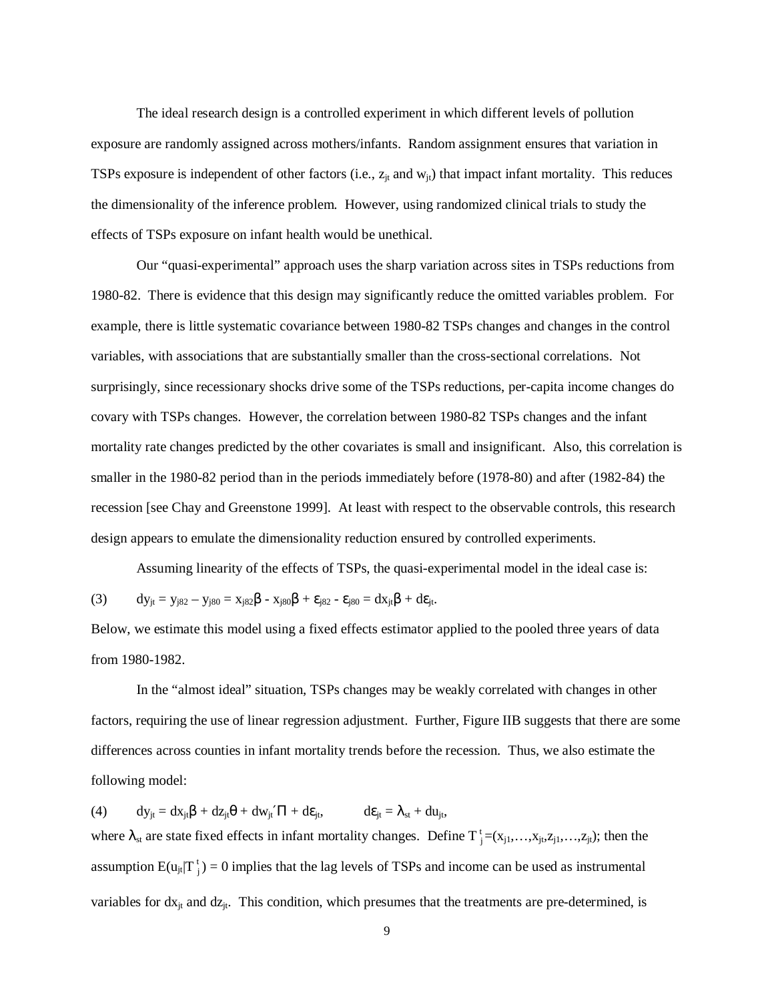The ideal research design is a controlled experiment in which different levels of pollution exposure are randomly assigned across mothers/infants. Random assignment ensures that variation in TSPs exposure is independent of other factors (i.e.,  $z_{it}$  and  $w_{it}$ ) that impact infant mortality. This reduces the dimensionality of the inference problem. However, using randomized clinical trials to study the effects of TSPs exposure on infant health would be unethical.

 Our "quasi-experimental" approach uses the sharp variation across sites in TSPs reductions from 1980-82. There is evidence that this design may significantly reduce the omitted variables problem. For example, there is little systematic covariance between 1980-82 TSPs changes and changes in the control variables, with associations that are substantially smaller than the cross-sectional correlations. Not surprisingly, since recessionary shocks drive some of the TSPs reductions, per-capita income changes do covary with TSPs changes. However, the correlation between 1980-82 TSPs changes and the infant mortality rate changes predicted by the other covariates is small and insignificant. Also, this correlation is smaller in the 1980-82 period than in the periods immediately before (1978-80) and after (1982-84) the recession [see Chay and Greenstone 1999]. At least with respect to the observable controls, this research design appears to emulate the dimensionality reduction ensured by controlled experiments.

 Assuming linearity of the effects of TSPs, the quasi-experimental model in the ideal case is: (3)  $dy_{it} = y_{i82} - y_{i80} = x_{i82}\beta - x_{i80}\beta + \varepsilon_{i82} - \varepsilon_{i80} = dx_{it}\beta + d\varepsilon_{it}.$ 

Below, we estimate this model using a fixed effects estimator applied to the pooled three years of data from 1980-1982.

 In the "almost ideal" situation, TSPs changes may be weakly correlated with changes in other factors, requiring the use of linear regression adjustment. Further, Figure IIB suggests that there are some differences across counties in infant mortality trends before the recession. Thus, we also estimate the following model:

(4)  $dy_{jt} = dx_{jt}\beta + dz_{jt}\theta + dw_{jt}'\Pi + d\epsilon_{jt}, \qquad d\epsilon_{jt} = \lambda_{st} + du_{jt},$ where  $\lambda_{st}$  are state fixed effects in infant mortality changes. Define  $T_j^t = (x_{j1},...,x_{jt},z_{j1},...,z_{jt})$ ; then the assumption  $E(u_{jt}|T_j^t) = 0$  implies that the lag levels of TSPs and income can be used as instrumental variables for  $dx_{jt}$  and  $dz_{jt}$ . This condition, which presumes that the treatments are pre-determined, is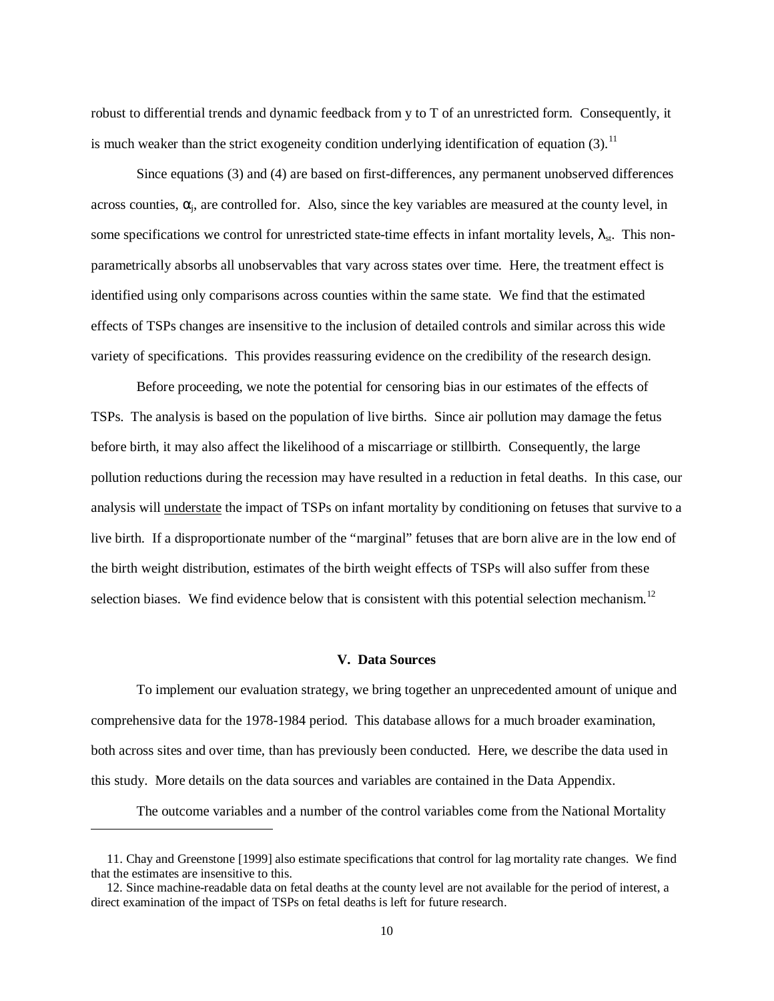robust to differential trends and dynamic feedback from y to T of an unrestricted form. Consequently, it is much weaker than the strict exogeneity condition underlying identification of equation  $(3)$ .<sup>11</sup>

 Since equations (3) and (4) are based on first-differences, any permanent unobserved differences across counties,  $\alpha_i$ , are controlled for. Also, since the key variables are measured at the county level, in some specifications we control for unrestricted state-time effects in infant mortality levels,  $\lambda_{st}$ . This nonparametrically absorbs all unobservables that vary across states over time. Here, the treatment effect is identified using only comparisons across counties within the same state. We find that the estimated effects of TSPs changes are insensitive to the inclusion of detailed controls and similar across this wide variety of specifications. This provides reassuring evidence on the credibility of the research design.

 Before proceeding, we note the potential for censoring bias in our estimates of the effects of TSPs. The analysis is based on the population of live births. Since air pollution may damage the fetus before birth, it may also affect the likelihood of a miscarriage or stillbirth. Consequently, the large pollution reductions during the recession may have resulted in a reduction in fetal deaths. In this case, our analysis will understate the impact of TSPs on infant mortality by conditioning on fetuses that survive to a live birth. If a disproportionate number of the "marginal" fetuses that are born alive are in the low end of the birth weight distribution, estimates of the birth weight effects of TSPs will also suffer from these selection biases. We find evidence below that is consistent with this potential selection mechanism.<sup>12</sup>

## **V. Data Sources**

 To implement our evaluation strategy, we bring together an unprecedented amount of unique and comprehensive data for the 1978-1984 period. This database allows for a much broader examination, both across sites and over time, than has previously been conducted. Here, we describe the data used in this study. More details on the data sources and variables are contained in the Data Appendix.

The outcome variables and a number of the control variables come from the National Mortality

 $\overline{a}$ 

 <sup>11.</sup> Chay and Greenstone [1999] also estimate specifications that control for lag mortality rate changes. We find that the estimates are insensitive to this.

 <sup>12.</sup> Since machine-readable data on fetal deaths at the county level are not available for the period of interest, a direct examination of the impact of TSPs on fetal deaths is left for future research.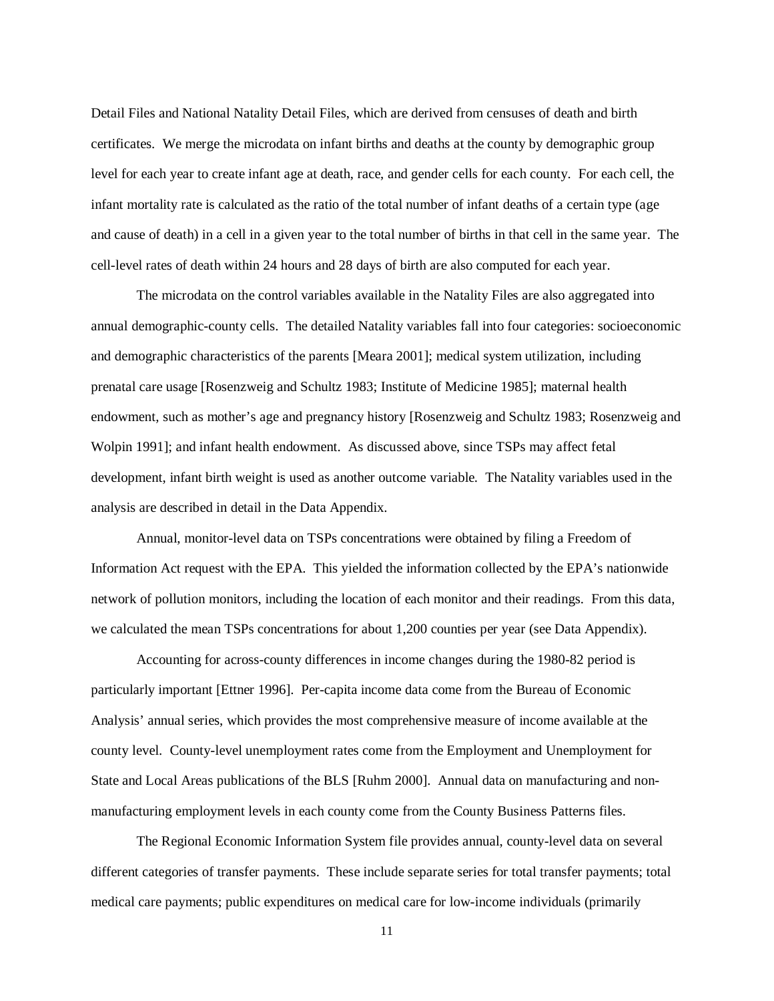Detail Files and National Natality Detail Files, which are derived from censuses of death and birth certificates. We merge the microdata on infant births and deaths at the county by demographic group level for each year to create infant age at death, race, and gender cells for each county. For each cell, the infant mortality rate is calculated as the ratio of the total number of infant deaths of a certain type (age and cause of death) in a cell in a given year to the total number of births in that cell in the same year. The cell-level rates of death within 24 hours and 28 days of birth are also computed for each year.

 The microdata on the control variables available in the Natality Files are also aggregated into annual demographic-county cells. The detailed Natality variables fall into four categories: socioeconomic and demographic characteristics of the parents [Meara 2001]; medical system utilization, including prenatal care usage [Rosenzweig and Schultz 1983; Institute of Medicine 1985]; maternal health endowment, such as mother's age and pregnancy history [Rosenzweig and Schultz 1983; Rosenzweig and Wolpin 1991]; and infant health endowment. As discussed above, since TSPs may affect fetal development, infant birth weight is used as another outcome variable. The Natality variables used in the analysis are described in detail in the Data Appendix.

 Annual, monitor-level data on TSPs concentrations were obtained by filing a Freedom of Information Act request with the EPA. This yielded the information collected by the EPA's nationwide network of pollution monitors, including the location of each monitor and their readings. From this data, we calculated the mean TSPs concentrations for about 1,200 counties per year (see Data Appendix).

 Accounting for across-county differences in income changes during the 1980-82 period is particularly important [Ettner 1996]. Per-capita income data come from the Bureau of Economic Analysis' annual series, which provides the most comprehensive measure of income available at the county level. County-level unemployment rates come from the Employment and Unemployment for State and Local Areas publications of the BLS [Ruhm 2000]. Annual data on manufacturing and nonmanufacturing employment levels in each county come from the County Business Patterns files.

 The Regional Economic Information System file provides annual, county-level data on several different categories of transfer payments. These include separate series for total transfer payments; total medical care payments; public expenditures on medical care for low-income individuals (primarily

11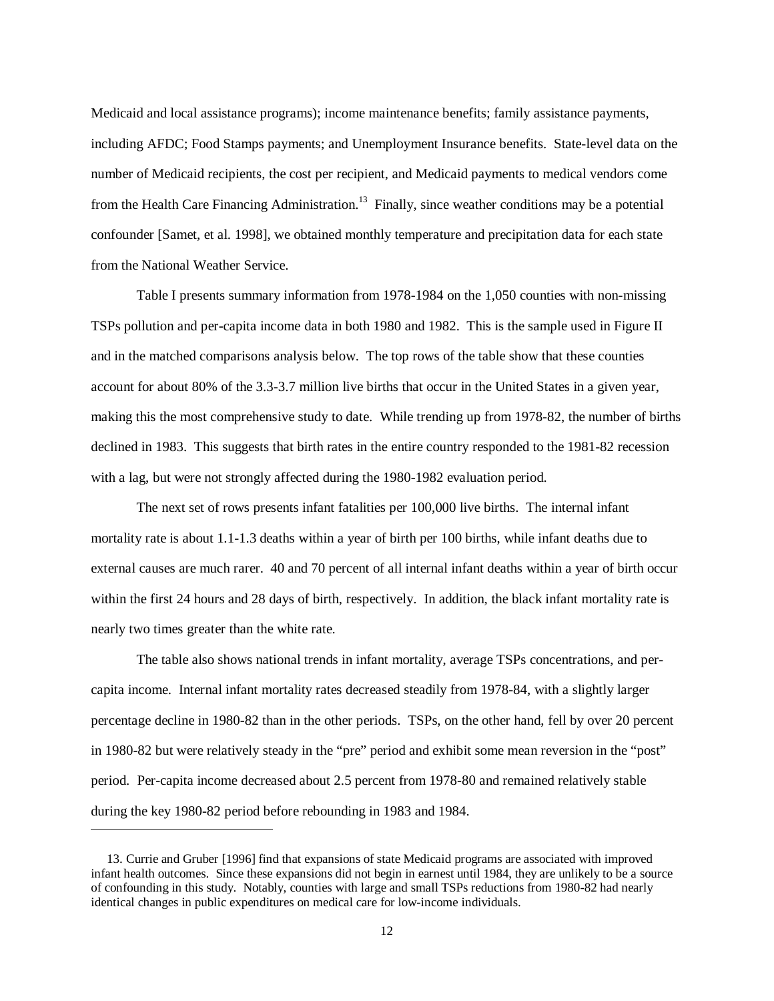Medicaid and local assistance programs); income maintenance benefits; family assistance payments, including AFDC; Food Stamps payments; and Unemployment Insurance benefits. State-level data on the number of Medicaid recipients, the cost per recipient, and Medicaid payments to medical vendors come from the Health Care Financing Administration.<sup>13</sup> Finally, since weather conditions may be a potential confounder [Samet, et al. 1998], we obtained monthly temperature and precipitation data for each state from the National Weather Service.

 Table I presents summary information from 1978-1984 on the 1,050 counties with non-missing TSPs pollution and per-capita income data in both 1980 and 1982. This is the sample used in Figure II and in the matched comparisons analysis below. The top rows of the table show that these counties account for about 80% of the 3.3-3.7 million live births that occur in the United States in a given year, making this the most comprehensive study to date. While trending up from 1978-82, the number of births declined in 1983. This suggests that birth rates in the entire country responded to the 1981-82 recession with a lag, but were not strongly affected during the 1980-1982 evaluation period.

 The next set of rows presents infant fatalities per 100,000 live births. The internal infant mortality rate is about 1.1-1.3 deaths within a year of birth per 100 births, while infant deaths due to external causes are much rarer. 40 and 70 percent of all internal infant deaths within a year of birth occur within the first 24 hours and 28 days of birth, respectively. In addition, the black infant mortality rate is nearly two times greater than the white rate.

 The table also shows national trends in infant mortality, average TSPs concentrations, and percapita income. Internal infant mortality rates decreased steadily from 1978-84, with a slightly larger percentage decline in 1980-82 than in the other periods. TSPs, on the other hand, fell by over 20 percent in 1980-82 but were relatively steady in the "pre" period and exhibit some mean reversion in the "post" period. Per-capita income decreased about 2.5 percent from 1978-80 and remained relatively stable during the key 1980-82 period before rebounding in 1983 and 1984.

 $\overline{a}$ 

 <sup>13.</sup> Currie and Gruber [1996] find that expansions of state Medicaid programs are associated with improved infant health outcomes. Since these expansions did not begin in earnest until 1984, they are unlikely to be a source of confounding in this study. Notably, counties with large and small TSPs reductions from 1980-82 had nearly identical changes in public expenditures on medical care for low-income individuals.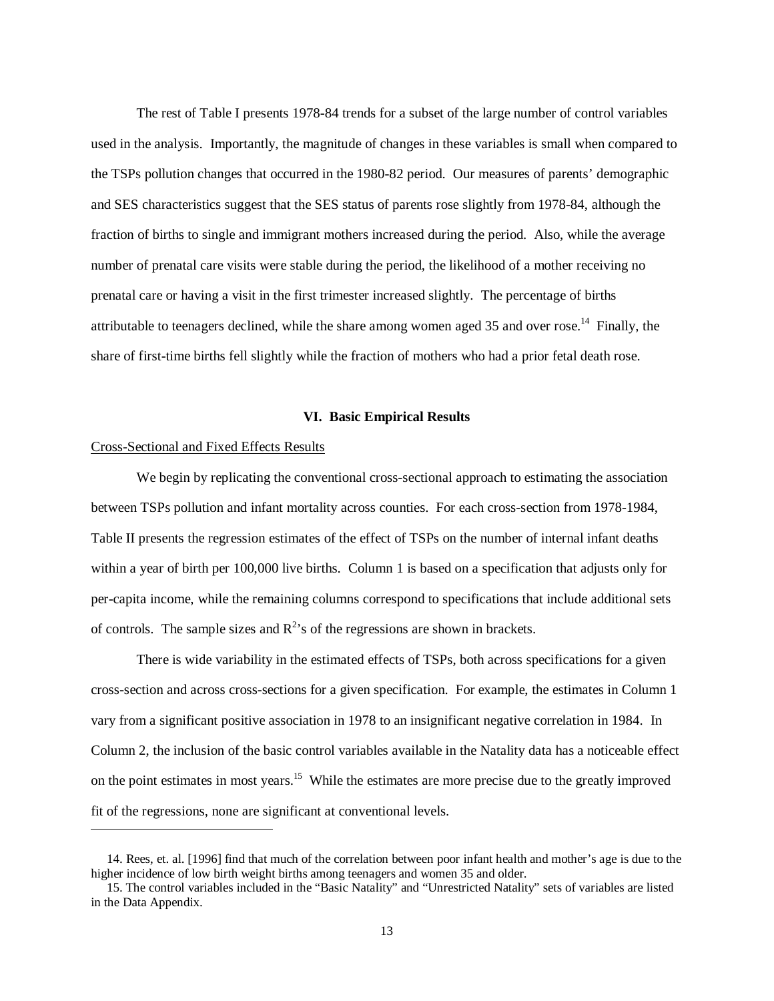The rest of Table I presents 1978-84 trends for a subset of the large number of control variables used in the analysis. Importantly, the magnitude of changes in these variables is small when compared to the TSPs pollution changes that occurred in the 1980-82 period. Our measures of parents' demographic and SES characteristics suggest that the SES status of parents rose slightly from 1978-84, although the fraction of births to single and immigrant mothers increased during the period. Also, while the average number of prenatal care visits were stable during the period, the likelihood of a mother receiving no prenatal care or having a visit in the first trimester increased slightly. The percentage of births attributable to teenagers declined, while the share among women aged 35 and over rose.<sup>14</sup> Finally, the share of first-time births fell slightly while the fraction of mothers who had a prior fetal death rose.

## **VI. Basic Empirical Results**

#### Cross-Sectional and Fixed Effects Results

 $\overline{a}$ 

 We begin by replicating the conventional cross-sectional approach to estimating the association between TSPs pollution and infant mortality across counties. For each cross-section from 1978-1984, Table II presents the regression estimates of the effect of TSPs on the number of internal infant deaths within a year of birth per 100,000 live births. Column 1 is based on a specification that adjusts only for per-capita income, while the remaining columns correspond to specifications that include additional sets of controls. The sample sizes and  $R^2$ 's of the regressions are shown in brackets.

 There is wide variability in the estimated effects of TSPs, both across specifications for a given cross-section and across cross-sections for a given specification. For example, the estimates in Column 1 vary from a significant positive association in 1978 to an insignificant negative correlation in 1984. In Column 2, the inclusion of the basic control variables available in the Natality data has a noticeable effect on the point estimates in most years.<sup>15</sup> While the estimates are more precise due to the greatly improved fit of the regressions, none are significant at conventional levels.

 <sup>14.</sup> Rees, et. al. [1996] find that much of the correlation between poor infant health and mother's age is due to the higher incidence of low birth weight births among teenagers and women 35 and older.

 <sup>15.</sup> The control variables included in the "Basic Natality" and "Unrestricted Natality" sets of variables are listed in the Data Appendix.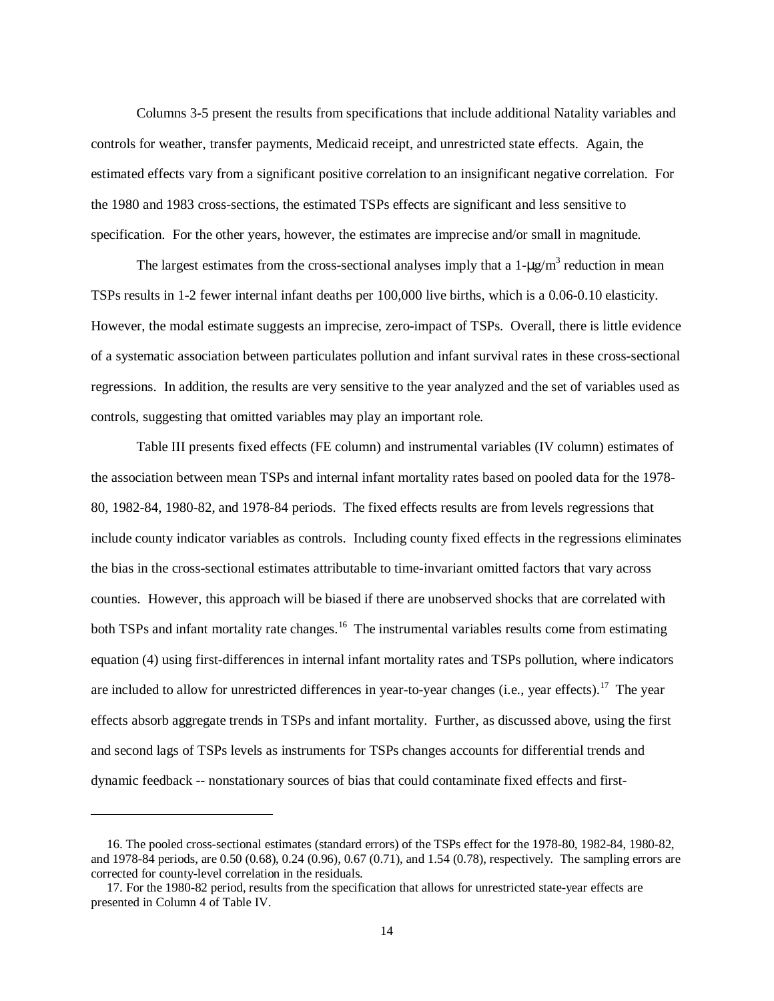Columns 3-5 present the results from specifications that include additional Natality variables and controls for weather, transfer payments, Medicaid receipt, and unrestricted state effects. Again, the estimated effects vary from a significant positive correlation to an insignificant negative correlation. For the 1980 and 1983 cross-sections, the estimated TSPs effects are significant and less sensitive to specification. For the other years, however, the estimates are imprecise and/or small in magnitude.

The largest estimates from the cross-sectional analyses imply that a  $1-\mu g/m^3$  reduction in mean TSPs results in 1-2 fewer internal infant deaths per 100,000 live births, which is a 0.06-0.10 elasticity. However, the modal estimate suggests an imprecise, zero-impact of TSPs. Overall, there is little evidence of a systematic association between particulates pollution and infant survival rates in these cross-sectional regressions. In addition, the results are very sensitive to the year analyzed and the set of variables used as controls, suggesting that omitted variables may play an important role.

 Table III presents fixed effects (FE column) and instrumental variables (IV column) estimates of the association between mean TSPs and internal infant mortality rates based on pooled data for the 1978- 80, 1982-84, 1980-82, and 1978-84 periods. The fixed effects results are from levels regressions that include county indicator variables as controls. Including county fixed effects in the regressions eliminates the bias in the cross-sectional estimates attributable to time-invariant omitted factors that vary across counties. However, this approach will be biased if there are unobserved shocks that are correlated with both TSPs and infant mortality rate changes.<sup>16</sup> The instrumental variables results come from estimating equation (4) using first-differences in internal infant mortality rates and TSPs pollution, where indicators are included to allow for unrestricted differences in year-to-year changes (i.e., year effects).<sup>17</sup> The year effects absorb aggregate trends in TSPs and infant mortality. Further, as discussed above, using the first and second lags of TSPs levels as instruments for TSPs changes accounts for differential trends and dynamic feedback -- nonstationary sources of bias that could contaminate fixed effects and first-

-

 <sup>16.</sup> The pooled cross-sectional estimates (standard errors) of the TSPs effect for the 1978-80, 1982-84, 1980-82, and 1978-84 periods, are 0.50 (0.68), 0.24 (0.96), 0.67 (0.71), and 1.54 (0.78), respectively. The sampling errors are corrected for county-level correlation in the residuals.

 <sup>17.</sup> For the 1980-82 period, results from the specification that allows for unrestricted state-year effects are presented in Column 4 of Table IV.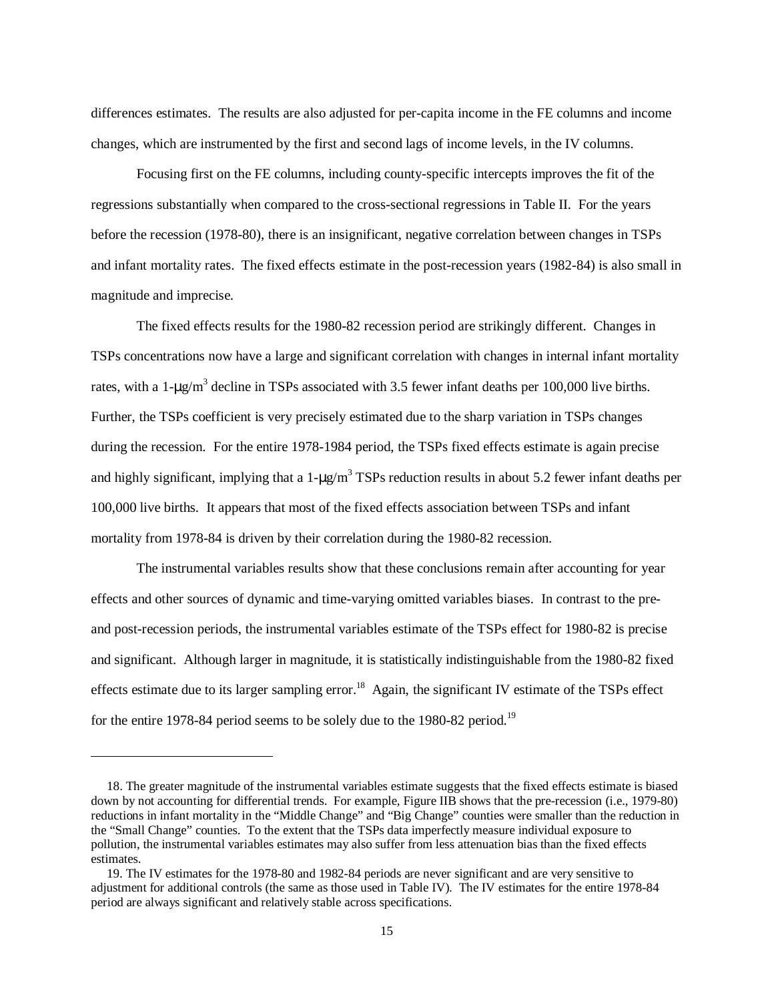differences estimates. The results are also adjusted for per-capita income in the FE columns and income changes, which are instrumented by the first and second lags of income levels, in the IV columns.

 Focusing first on the FE columns, including county-specific intercepts improves the fit of the regressions substantially when compared to the cross-sectional regressions in Table II. For the years before the recession (1978-80), there is an insignificant, negative correlation between changes in TSPs and infant mortality rates. The fixed effects estimate in the post-recession years (1982-84) is also small in magnitude and imprecise.

 The fixed effects results for the 1980-82 recession period are strikingly different. Changes in TSPs concentrations now have a large and significant correlation with changes in internal infant mortality rates, with a 1- $\mu$ g/m<sup>3</sup> decline in TSPs associated with 3.5 fewer infant deaths per 100,000 live births. Further, the TSPs coefficient is very precisely estimated due to the sharp variation in TSPs changes during the recession. For the entire 1978-1984 period, the TSPs fixed effects estimate is again precise and highly significant, implying that a  $1-\mu g/m^3$  TSPs reduction results in about 5.2 fewer infant deaths per 100,000 live births. It appears that most of the fixed effects association between TSPs and infant mortality from 1978-84 is driven by their correlation during the 1980-82 recession.

 The instrumental variables results show that these conclusions remain after accounting for year effects and other sources of dynamic and time-varying omitted variables biases. In contrast to the preand post-recession periods, the instrumental variables estimate of the TSPs effect for 1980-82 is precise and significant. Although larger in magnitude, it is statistically indistinguishable from the 1980-82 fixed effects estimate due to its larger sampling error.<sup>18</sup> Again, the significant IV estimate of the TSPs effect for the entire 1978-84 period seems to be solely due to the 1980-82 period.<sup>19</sup>

-

 <sup>18.</sup> The greater magnitude of the instrumental variables estimate suggests that the fixed effects estimate is biased down by not accounting for differential trends. For example, Figure IIB shows that the pre-recession (i.e., 1979-80) reductions in infant mortality in the "Middle Change" and "Big Change" counties were smaller than the reduction in the "Small Change" counties. To the extent that the TSPs data imperfectly measure individual exposure to pollution, the instrumental variables estimates may also suffer from less attenuation bias than the fixed effects estimates.

 <sup>19.</sup> The IV estimates for the 1978-80 and 1982-84 periods are never significant and are very sensitive to adjustment for additional controls (the same as those used in Table IV). The IV estimates for the entire 1978-84 period are always significant and relatively stable across specifications.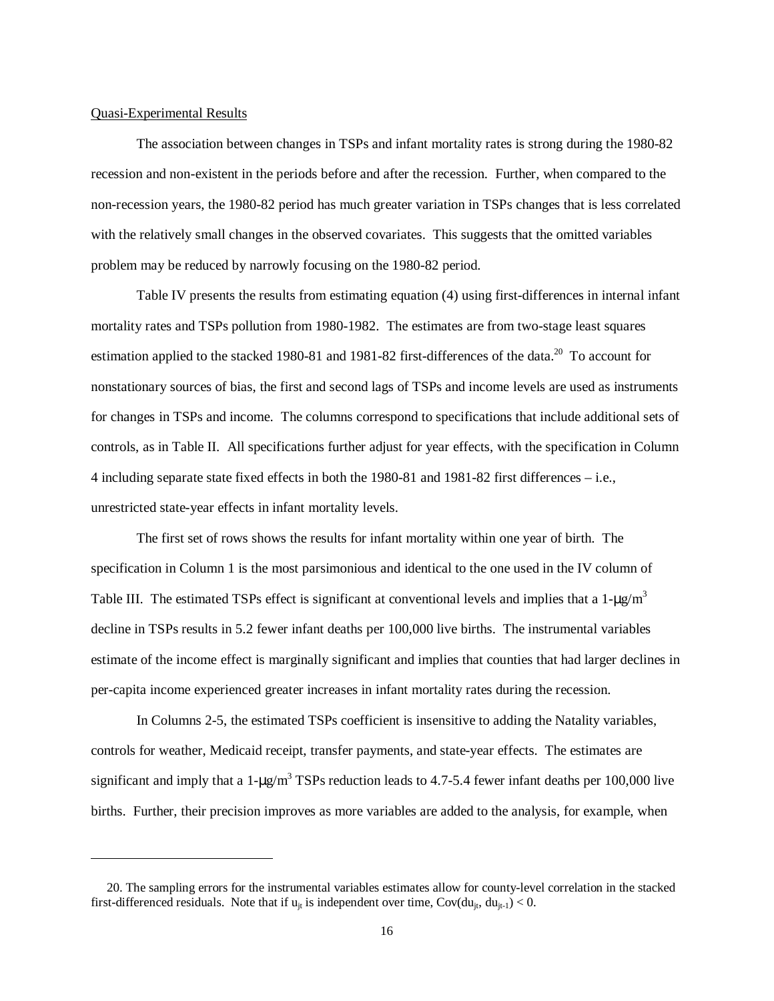#### Quasi-Experimental Results

 $\overline{a}$ 

 The association between changes in TSPs and infant mortality rates is strong during the 1980-82 recession and non-existent in the periods before and after the recession. Further, when compared to the non-recession years, the 1980-82 period has much greater variation in TSPs changes that is less correlated with the relatively small changes in the observed covariates. This suggests that the omitted variables problem may be reduced by narrowly focusing on the 1980-82 period.

 Table IV presents the results from estimating equation (4) using first-differences in internal infant mortality rates and TSPs pollution from 1980-1982. The estimates are from two-stage least squares estimation applied to the stacked 1980-81 and 1981-82 first-differences of the data.<sup>20</sup> To account for nonstationary sources of bias, the first and second lags of TSPs and income levels are used as instruments for changes in TSPs and income. The columns correspond to specifications that include additional sets of controls, as in Table II. All specifications further adjust for year effects, with the specification in Column 4 including separate state fixed effects in both the 1980-81 and 1981-82 first differences – i.e., unrestricted state-year effects in infant mortality levels.

 The first set of rows shows the results for infant mortality within one year of birth. The specification in Column 1 is the most parsimonious and identical to the one used in the IV column of Table III. The estimated TSPs effect is significant at conventional levels and implies that a  $1-\mu\gamma/m^3$ decline in TSPs results in 5.2 fewer infant deaths per 100,000 live births. The instrumental variables estimate of the income effect is marginally significant and implies that counties that had larger declines in per-capita income experienced greater increases in infant mortality rates during the recession.

 In Columns 2-5, the estimated TSPs coefficient is insensitive to adding the Natality variables, controls for weather, Medicaid receipt, transfer payments, and state-year effects. The estimates are significant and imply that a  $1-\mu g/m^3$  TSPs reduction leads to 4.7-5.4 fewer infant deaths per 100,000 live births. Further, their precision improves as more variables are added to the analysis, for example, when

 <sup>20.</sup> The sampling errors for the instrumental variables estimates allow for county-level correlation in the stacked first-differenced residuals. Note that if  $u_{it}$  is independent over time,  $Cov(du_{it}, du_{it-1}) < 0$ .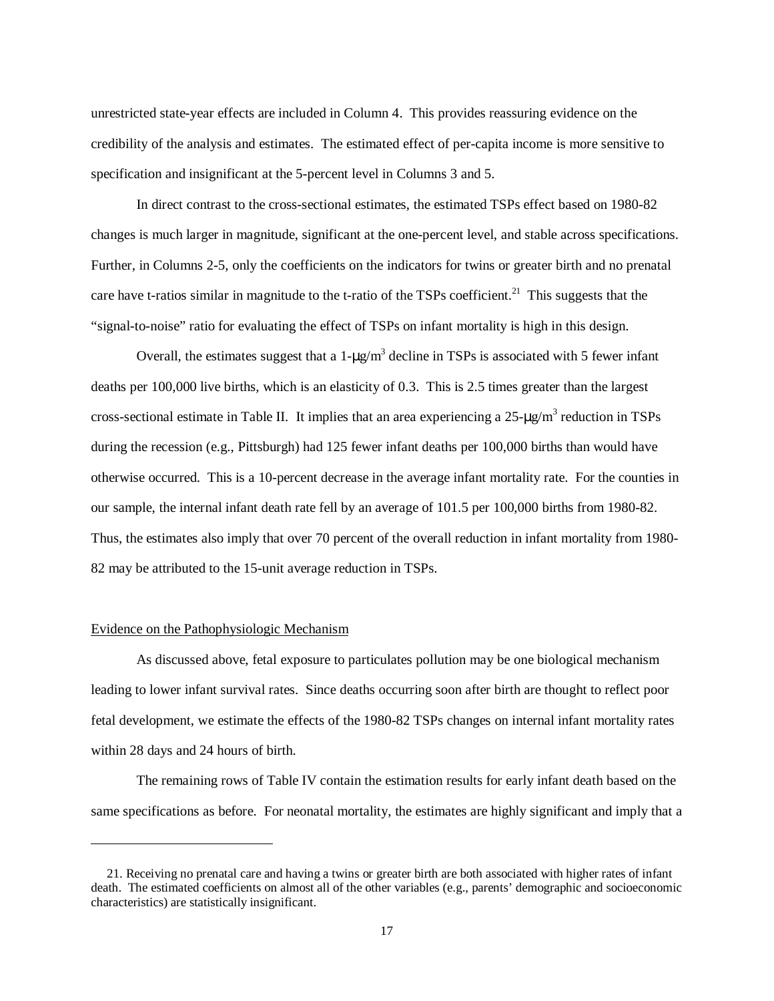unrestricted state-year effects are included in Column 4. This provides reassuring evidence on the credibility of the analysis and estimates. The estimated effect of per-capita income is more sensitive to specification and insignificant at the 5-percent level in Columns 3 and 5.

 In direct contrast to the cross-sectional estimates, the estimated TSPs effect based on 1980-82 changes is much larger in magnitude, significant at the one-percent level, and stable across specifications. Further, in Columns 2-5, only the coefficients on the indicators for twins or greater birth and no prenatal care have t-ratios similar in magnitude to the t-ratio of the TSPs coefficient.<sup>21</sup> This suggests that the "signal-to-noise" ratio for evaluating the effect of TSPs on infant mortality is high in this design.

Overall, the estimates suggest that a  $1-\mu g/m^3$  decline in TSPs is associated with 5 fewer infant deaths per 100,000 live births, which is an elasticity of 0.3. This is 2.5 times greater than the largest cross-sectional estimate in Table II. It implies that an area experiencing a  $25 - \mu g/m^3$  reduction in TSPs during the recession (e.g., Pittsburgh) had 125 fewer infant deaths per 100,000 births than would have otherwise occurred. This is a 10-percent decrease in the average infant mortality rate. For the counties in our sample, the internal infant death rate fell by an average of 101.5 per 100,000 births from 1980-82. Thus, the estimates also imply that over 70 percent of the overall reduction in infant mortality from 1980- 82 may be attributed to the 15-unit average reduction in TSPs.

#### Evidence on the Pathophysiologic Mechanism

 $\overline{a}$ 

 As discussed above, fetal exposure to particulates pollution may be one biological mechanism leading to lower infant survival rates. Since deaths occurring soon after birth are thought to reflect poor fetal development, we estimate the effects of the 1980-82 TSPs changes on internal infant mortality rates within 28 days and 24 hours of birth.

 The remaining rows of Table IV contain the estimation results for early infant death based on the same specifications as before. For neonatal mortality, the estimates are highly significant and imply that a

 <sup>21.</sup> Receiving no prenatal care and having a twins or greater birth are both associated with higher rates of infant death. The estimated coefficients on almost all of the other variables (e.g., parents' demographic and socioeconomic characteristics) are statistically insignificant.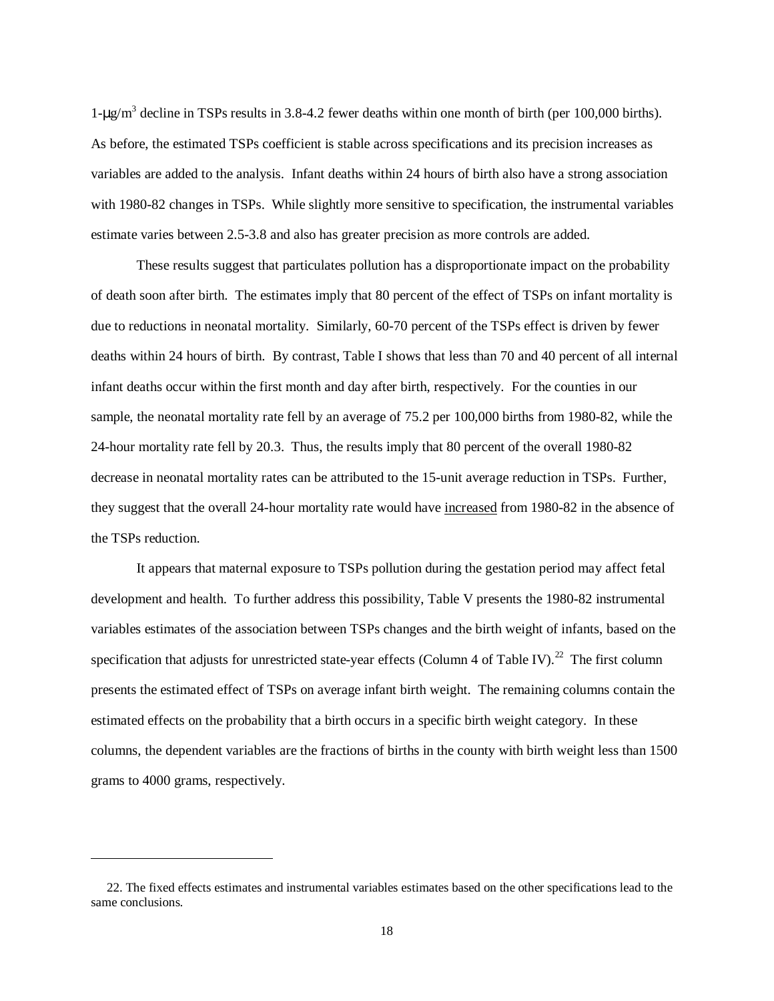1-µg/m<sup>3</sup> decline in TSPs results in 3.8-4.2 fewer deaths within one month of birth (per 100,000 births). As before, the estimated TSPs coefficient is stable across specifications and its precision increases as variables are added to the analysis. Infant deaths within 24 hours of birth also have a strong association with 1980-82 changes in TSPs. While slightly more sensitive to specification, the instrumental variables estimate varies between 2.5-3.8 and also has greater precision as more controls are added.

 These results suggest that particulates pollution has a disproportionate impact on the probability of death soon after birth. The estimates imply that 80 percent of the effect of TSPs on infant mortality is due to reductions in neonatal mortality. Similarly, 60-70 percent of the TSPs effect is driven by fewer deaths within 24 hours of birth. By contrast, Table I shows that less than 70 and 40 percent of all internal infant deaths occur within the first month and day after birth, respectively. For the counties in our sample, the neonatal mortality rate fell by an average of 75.2 per 100,000 births from 1980-82, while the 24-hour mortality rate fell by 20.3. Thus, the results imply that 80 percent of the overall 1980-82 decrease in neonatal mortality rates can be attributed to the 15-unit average reduction in TSPs. Further, they suggest that the overall 24-hour mortality rate would have increased from 1980-82 in the absence of the TSPs reduction.

 It appears that maternal exposure to TSPs pollution during the gestation period may affect fetal development and health. To further address this possibility, Table V presents the 1980-82 instrumental variables estimates of the association between TSPs changes and the birth weight of infants, based on the specification that adjusts for unrestricted state-year effects (Column 4 of Table IV).<sup>22</sup> The first column presents the estimated effect of TSPs on average infant birth weight. The remaining columns contain the estimated effects on the probability that a birth occurs in a specific birth weight category. In these columns, the dependent variables are the fractions of births in the county with birth weight less than 1500 grams to 4000 grams, respectively.

-

 <sup>22.</sup> The fixed effects estimates and instrumental variables estimates based on the other specifications lead to the same conclusions.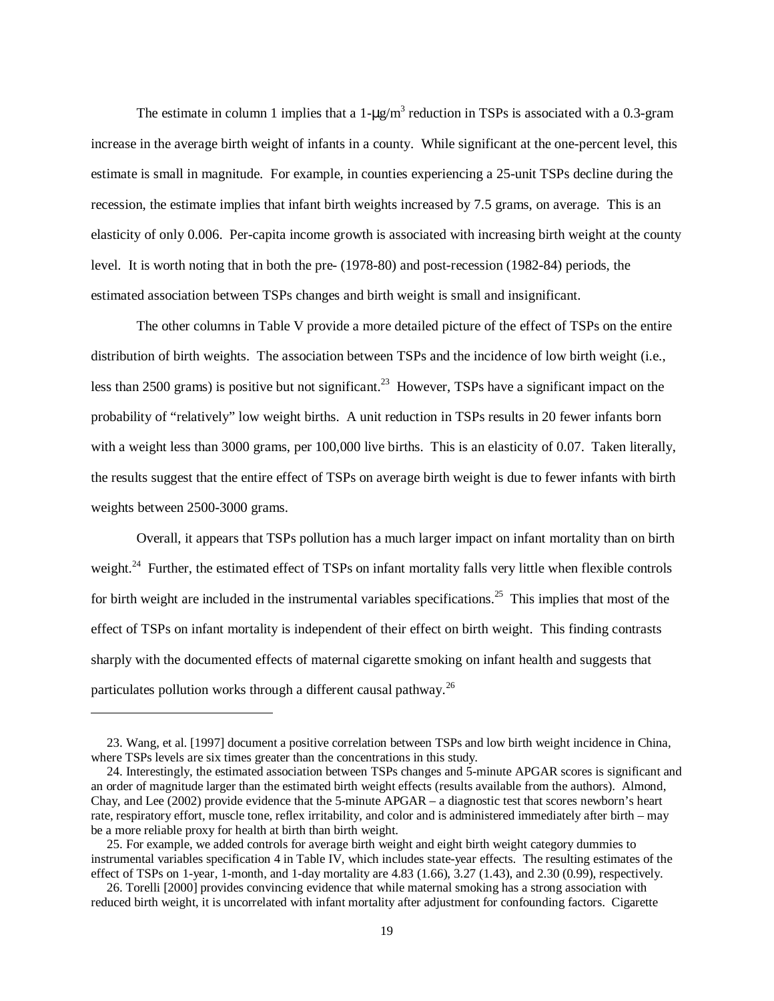The estimate in column 1 implies that a  $1-\mu g/m^3$  reduction in TSPs is associated with a 0.3-gram increase in the average birth weight of infants in a county. While significant at the one-percent level, this estimate is small in magnitude. For example, in counties experiencing a 25-unit TSPs decline during the recession, the estimate implies that infant birth weights increased by 7.5 grams, on average. This is an elasticity of only 0.006. Per-capita income growth is associated with increasing birth weight at the county level. It is worth noting that in both the pre- (1978-80) and post-recession (1982-84) periods, the estimated association between TSPs changes and birth weight is small and insignificant.

 The other columns in Table V provide a more detailed picture of the effect of TSPs on the entire distribution of birth weights. The association between TSPs and the incidence of low birth weight (i.e., less than 2500 grams) is positive but not significant.<sup>23</sup> However, TSPs have a significant impact on the probability of "relatively" low weight births. A unit reduction in TSPs results in 20 fewer infants born with a weight less than 3000 grams, per 100,000 live births. This is an elasticity of 0.07. Taken literally, the results suggest that the entire effect of TSPs on average birth weight is due to fewer infants with birth weights between 2500-3000 grams.

 Overall, it appears that TSPs pollution has a much larger impact on infant mortality than on birth weight.<sup>24</sup> Further, the estimated effect of TSPs on infant mortality falls very little when flexible controls for birth weight are included in the instrumental variables specifications.<sup>25</sup> This implies that most of the effect of TSPs on infant mortality is independent of their effect on birth weight. This finding contrasts sharply with the documented effects of maternal cigarette smoking on infant health and suggests that particulates pollution works through a different causal pathway.<sup>26</sup>

 $\overline{a}$ 

 <sup>23.</sup> Wang, et al. [1997] document a positive correlation between TSPs and low birth weight incidence in China, where TSPs levels are six times greater than the concentrations in this study.

 <sup>24.</sup> Interestingly, the estimated association between TSPs changes and 5-minute APGAR scores is significant and an order of magnitude larger than the estimated birth weight effects (results available from the authors). Almond, Chay, and Lee (2002) provide evidence that the 5-minute APGAR – a diagnostic test that scores newborn's heart rate, respiratory effort, muscle tone, reflex irritability, and color and is administered immediately after birth – may be a more reliable proxy for health at birth than birth weight.

 <sup>25.</sup> For example, we added controls for average birth weight and eight birth weight category dummies to instrumental variables specification 4 in Table IV, which includes state-year effects. The resulting estimates of the effect of TSPs on 1-year, 1-month, and 1-day mortality are  $4.83$  (1.66),  $3.27$  (1.43), and 2.30 (0.99), respectively.

 <sup>26.</sup> Torelli [2000] provides convincing evidence that while maternal smoking has a strong association with reduced birth weight, it is uncorrelated with infant mortality after adjustment for confounding factors. Cigarette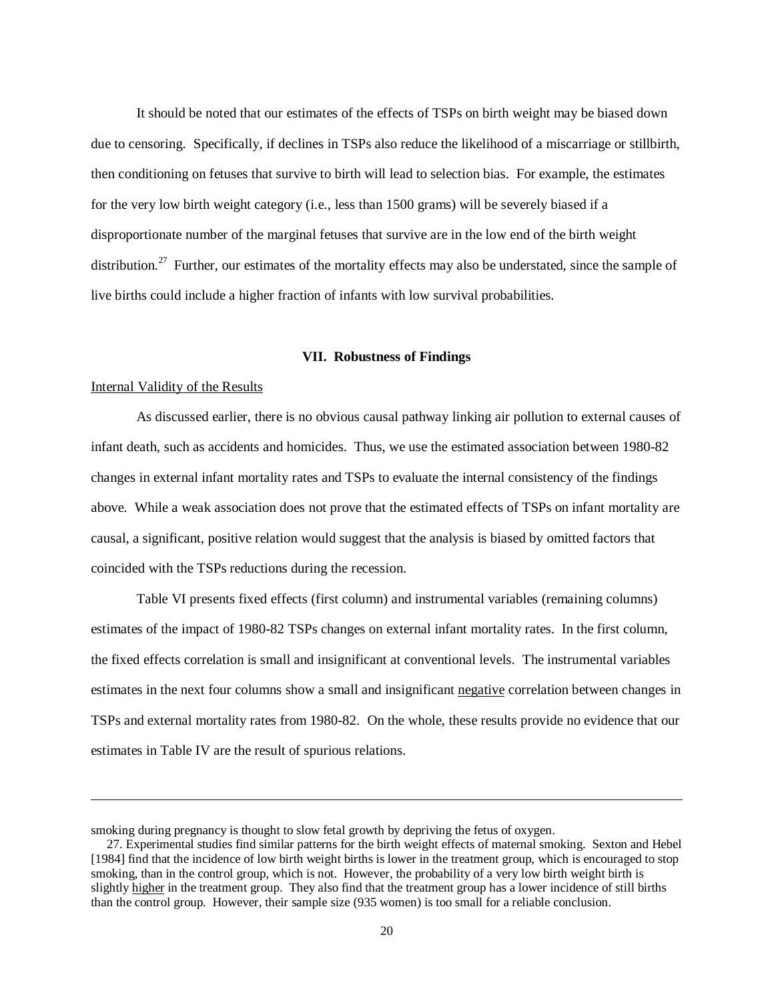It should be noted that our estimates of the effects of TSPs on birth weight may be biased down due to censoring. Specifically, if declines in TSPs also reduce the likelihood of a miscarriage or stillbirth, then conditioning on fetuses that survive to birth will lead to selection bias. For example, the estimates for the very low birth weight category (i.e., less than 1500 grams) will be severely biased if a disproportionate number of the marginal fetuses that survive are in the low end of the birth weight distribution.<sup>27</sup> Further, our estimates of the mortality effects may also be understated, since the sample of live births could include a higher fraction of infants with low survival probabilities.

#### **VII. Robustness of Findings**

#### Internal Validity of the Results

-

 As discussed earlier, there is no obvious causal pathway linking air pollution to external causes of infant death, such as accidents and homicides. Thus, we use the estimated association between 1980-82 changes in external infant mortality rates and TSPs to evaluate the internal consistency of the findings above. While a weak association does not prove that the estimated effects of TSPs on infant mortality are causal, a significant, positive relation would suggest that the analysis is biased by omitted factors that coincided with the TSPs reductions during the recession.

 Table VI presents fixed effects (first column) and instrumental variables (remaining columns) estimates of the impact of 1980-82 TSPs changes on external infant mortality rates. In the first column, the fixed effects correlation is small and insignificant at conventional levels. The instrumental variables estimates in the next four columns show a small and insignificant negative correlation between changes in TSPs and external mortality rates from 1980-82. On the whole, these results provide no evidence that our estimates in Table IV are the result of spurious relations.

smoking during pregnancy is thought to slow fetal growth by depriving the fetus of oxygen.

 <sup>27.</sup> Experimental studies find similar patterns for the birth weight effects of maternal smoking. Sexton and Hebel [1984] find that the incidence of low birth weight births is lower in the treatment group, which is encouraged to stop smoking, than in the control group, which is not. However, the probability of a very low birth weight birth is slightly higher in the treatment group. They also find that the treatment group has a lower incidence of still births than the control group. However, their sample size (935 women) is too small for a reliable conclusion.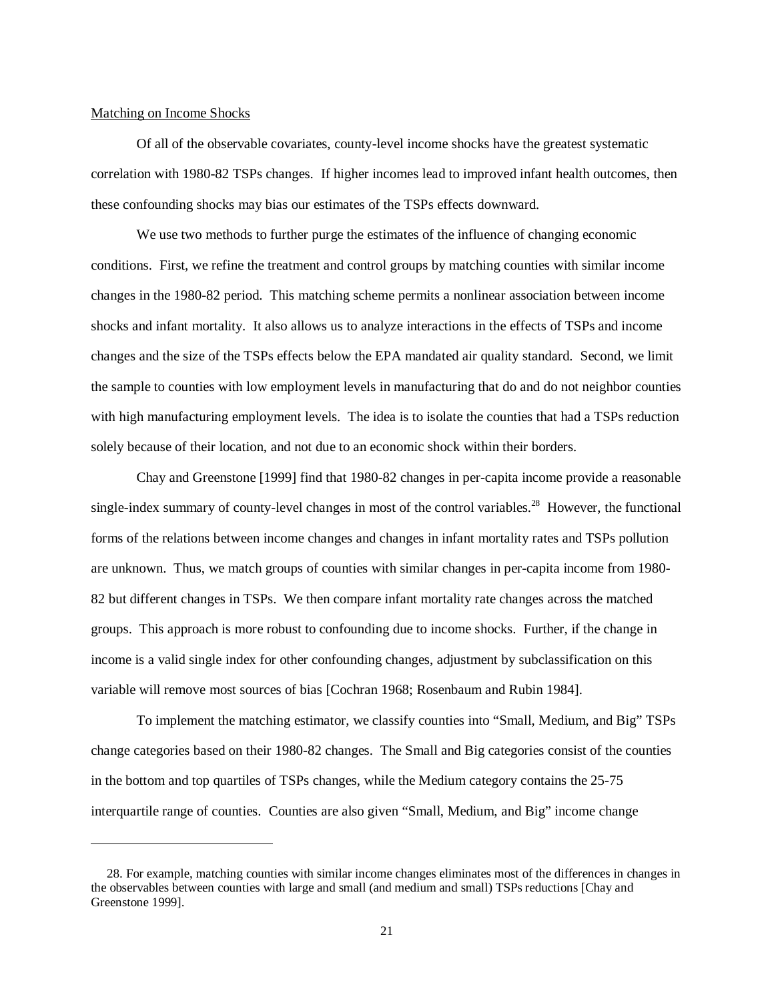#### Matching on Income Shocks

 $\overline{a}$ 

 Of all of the observable covariates, county-level income shocks have the greatest systematic correlation with 1980-82 TSPs changes. If higher incomes lead to improved infant health outcomes, then these confounding shocks may bias our estimates of the TSPs effects downward.

 We use two methods to further purge the estimates of the influence of changing economic conditions. First, we refine the treatment and control groups by matching counties with similar income changes in the 1980-82 period. This matching scheme permits a nonlinear association between income shocks and infant mortality. It also allows us to analyze interactions in the effects of TSPs and income changes and the size of the TSPs effects below the EPA mandated air quality standard. Second, we limit the sample to counties with low employment levels in manufacturing that do and do not neighbor counties with high manufacturing employment levels. The idea is to isolate the counties that had a TSPs reduction solely because of their location, and not due to an economic shock within their borders.

 Chay and Greenstone [1999] find that 1980-82 changes in per-capita income provide a reasonable single-index summary of county-level changes in most of the control variables.<sup>28</sup> However, the functional forms of the relations between income changes and changes in infant mortality rates and TSPs pollution are unknown. Thus, we match groups of counties with similar changes in per-capita income from 1980- 82 but different changes in TSPs. We then compare infant mortality rate changes across the matched groups. This approach is more robust to confounding due to income shocks. Further, if the change in income is a valid single index for other confounding changes, adjustment by subclassification on this variable will remove most sources of bias [Cochran 1968; Rosenbaum and Rubin 1984].

 To implement the matching estimator, we classify counties into "Small, Medium, and Big" TSPs change categories based on their 1980-82 changes. The Small and Big categories consist of the counties in the bottom and top quartiles of TSPs changes, while the Medium category contains the 25-75 interquartile range of counties. Counties are also given "Small, Medium, and Big" income change

 <sup>28.</sup> For example, matching counties with similar income changes eliminates most of the differences in changes in the observables between counties with large and small (and medium and small) TSPs reductions [Chay and Greenstone 1999].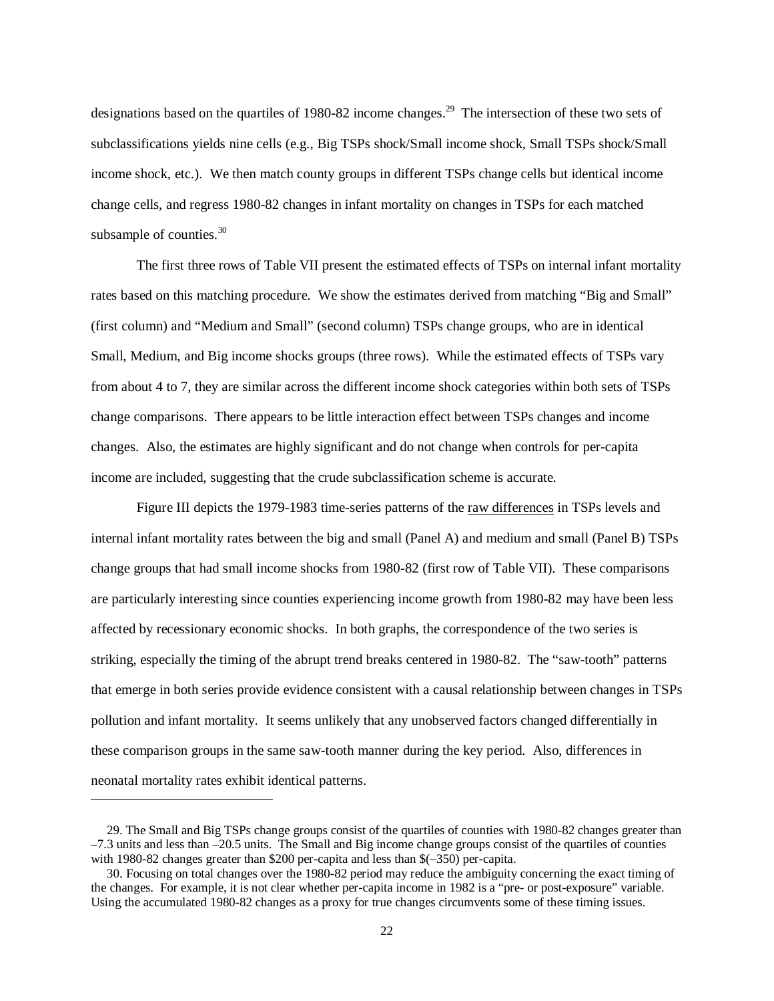designations based on the quartiles of 1980-82 income changes.<sup>29</sup> The intersection of these two sets of subclassifications yields nine cells (e.g., Big TSPs shock/Small income shock, Small TSPs shock/Small income shock, etc.). We then match county groups in different TSPs change cells but identical income change cells, and regress 1980-82 changes in infant mortality on changes in TSPs for each matched subsample of counties. $30$ 

 The first three rows of Table VII present the estimated effects of TSPs on internal infant mortality rates based on this matching procedure. We show the estimates derived from matching "Big and Small" (first column) and "Medium and Small" (second column) TSPs change groups, who are in identical Small, Medium, and Big income shocks groups (three rows). While the estimated effects of TSPs vary from about 4 to 7, they are similar across the different income shock categories within both sets of TSPs change comparisons. There appears to be little interaction effect between TSPs changes and income changes. Also, the estimates are highly significant and do not change when controls for per-capita income are included, suggesting that the crude subclassification scheme is accurate.

 Figure III depicts the 1979-1983 time-series patterns of the raw differences in TSPs levels and internal infant mortality rates between the big and small (Panel A) and medium and small (Panel B) TSPs change groups that had small income shocks from 1980-82 (first row of Table VII). These comparisons are particularly interesting since counties experiencing income growth from 1980-82 may have been less affected by recessionary economic shocks. In both graphs, the correspondence of the two series is striking, especially the timing of the abrupt trend breaks centered in 1980-82. The "saw-tooth" patterns that emerge in both series provide evidence consistent with a causal relationship between changes in TSPs pollution and infant mortality. It seems unlikely that any unobserved factors changed differentially in these comparison groups in the same saw-tooth manner during the key period. Also, differences in neonatal mortality rates exhibit identical patterns.

 $\overline{a}$ 

 <sup>29.</sup> The Small and Big TSPs change groups consist of the quartiles of counties with 1980-82 changes greater than  $-7.3$  units and less than  $-20.5$  units. The Small and Big income change groups consist of the quartiles of counties with 1980-82 changes greater than \$200 per-capita and less than \$(–350) per-capita.

 <sup>30.</sup> Focusing on total changes over the 1980-82 period may reduce the ambiguity concerning the exact timing of the changes. For example, it is not clear whether per-capita income in 1982 is a "pre- or post-exposure" variable. Using the accumulated 1980-82 changes as a proxy for true changes circumvents some of these timing issues.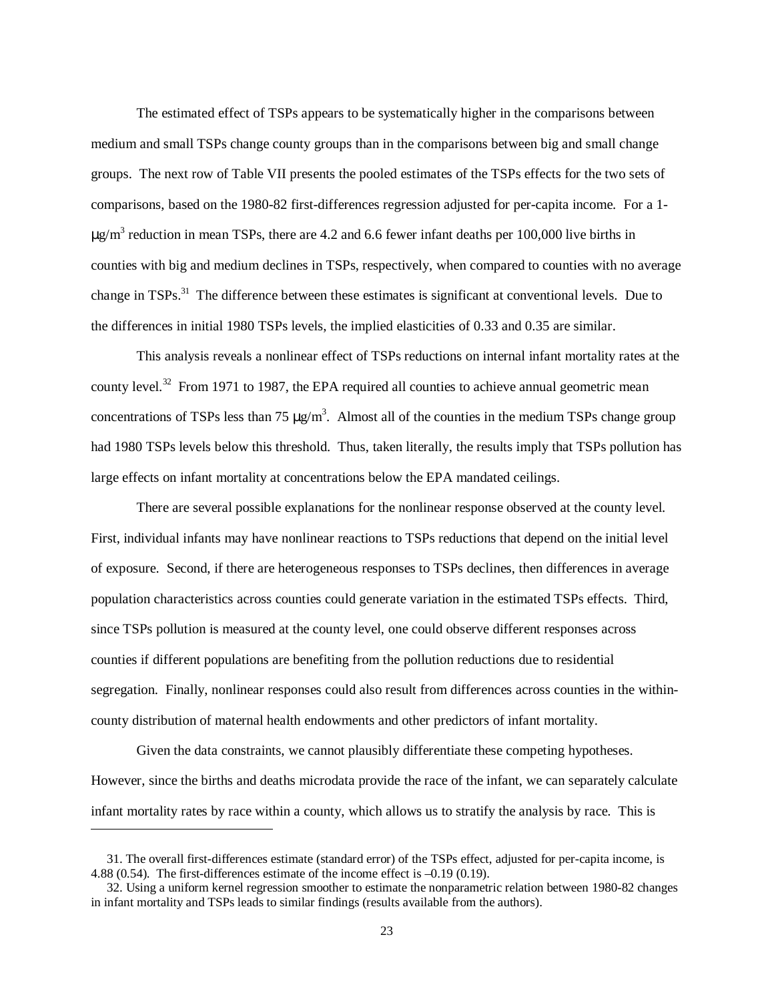The estimated effect of TSPs appears to be systematically higher in the comparisons between medium and small TSPs change county groups than in the comparisons between big and small change groups. The next row of Table VII presents the pooled estimates of the TSPs effects for the two sets of comparisons, based on the 1980-82 first-differences regression adjusted for per-capita income. For a 1-  $\mu$ g/m<sup>3</sup> reduction in mean TSPs, there are 4.2 and 6.6 fewer infant deaths per 100,000 live births in counties with big and medium declines in TSPs, respectively, when compared to counties with no average change in TSPs.<sup>31</sup> The difference between these estimates is significant at conventional levels. Due to the differences in initial 1980 TSPs levels, the implied elasticities of 0.33 and 0.35 are similar.

 This analysis reveals a nonlinear effect of TSPs reductions on internal infant mortality rates at the county level.<sup>32</sup> From 1971 to 1987, the EPA required all counties to achieve annual geometric mean concentrations of TSPs less than 75  $\mu$ g/m<sup>3</sup>. Almost all of the counties in the medium TSPs change group had 1980 TSPs levels below this threshold. Thus, taken literally, the results imply that TSPs pollution has large effects on infant mortality at concentrations below the EPA mandated ceilings.

 There are several possible explanations for the nonlinear response observed at the county level. First, individual infants may have nonlinear reactions to TSPs reductions that depend on the initial level of exposure. Second, if there are heterogeneous responses to TSPs declines, then differences in average population characteristics across counties could generate variation in the estimated TSPs effects. Third, since TSPs pollution is measured at the county level, one could observe different responses across counties if different populations are benefiting from the pollution reductions due to residential segregation. Finally, nonlinear responses could also result from differences across counties in the withincounty distribution of maternal health endowments and other predictors of infant mortality.

 Given the data constraints, we cannot plausibly differentiate these competing hypotheses. However, since the births and deaths microdata provide the race of the infant, we can separately calculate infant mortality rates by race within a county, which allows us to stratify the analysis by race. This is

<u>.</u>

 <sup>31.</sup> The overall first-differences estimate (standard error) of the TSPs effect, adjusted for per-capita income, is 4.88 (0.54). The first-differences estimate of the income effect is –0.19 (0.19).

 <sup>32.</sup> Using a uniform kernel regression smoother to estimate the nonparametric relation between 1980-82 changes in infant mortality and TSPs leads to similar findings (results available from the authors).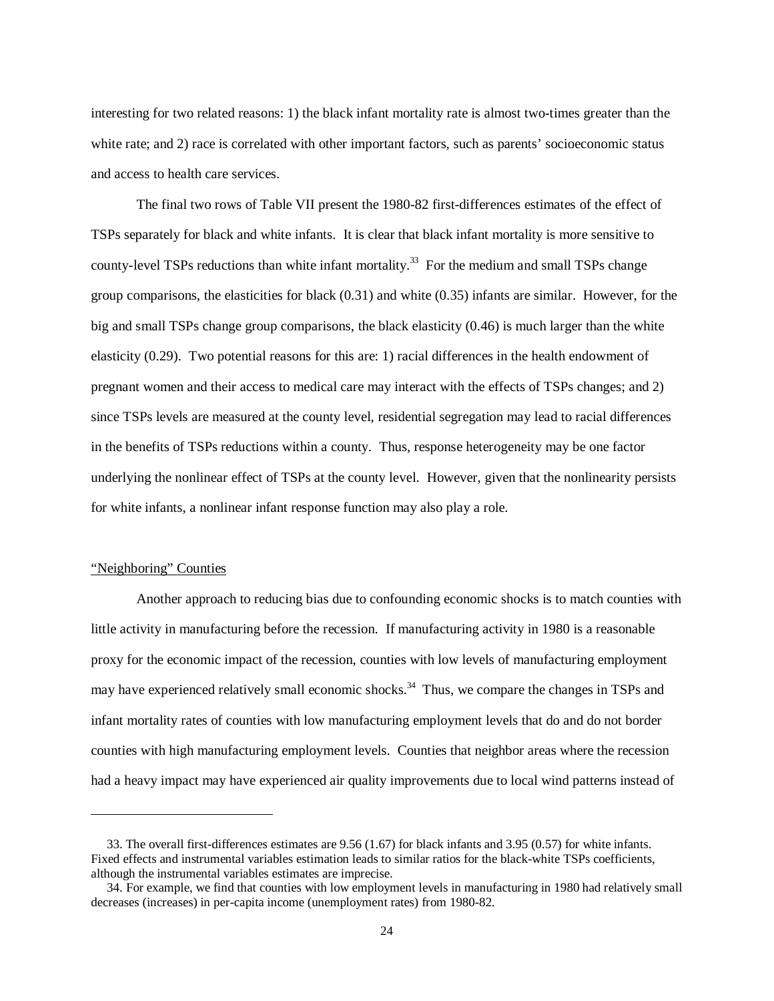interesting for two related reasons: 1) the black infant mortality rate is almost two-times greater than the white rate; and 2) race is correlated with other important factors, such as parents' socioeconomic status and access to health care services.

 The final two rows of Table VII present the 1980-82 first-differences estimates of the effect of TSPs separately for black and white infants. It is clear that black infant mortality is more sensitive to county-level TSPs reductions than white infant mortality.<sup>33</sup> For the medium and small TSPs change group comparisons, the elasticities for black (0.31) and white (0.35) infants are similar. However, for the big and small TSPs change group comparisons, the black elasticity (0.46) is much larger than the white elasticity (0.29). Two potential reasons for this are: 1) racial differences in the health endowment of pregnant women and their access to medical care may interact with the effects of TSPs changes; and 2) since TSPs levels are measured at the county level, residential segregation may lead to racial differences in the benefits of TSPs reductions within a county. Thus, response heterogeneity may be one factor underlying the nonlinear effect of TSPs at the county level. However, given that the nonlinearity persists for white infants, a nonlinear infant response function may also play a role.

#### "Neighboring" Counties

-

 Another approach to reducing bias due to confounding economic shocks is to match counties with little activity in manufacturing before the recession. If manufacturing activity in 1980 is a reasonable proxy for the economic impact of the recession, counties with low levels of manufacturing employment may have experienced relatively small economic shocks.<sup>34</sup> Thus, we compare the changes in TSPs and infant mortality rates of counties with low manufacturing employment levels that do and do not border counties with high manufacturing employment levels. Counties that neighbor areas where the recession had a heavy impact may have experienced air quality improvements due to local wind patterns instead of

 <sup>33.</sup> The overall first-differences estimates are 9.56 (1.67) for black infants and 3.95 (0.57) for white infants. Fixed effects and instrumental variables estimation leads to similar ratios for the black-white TSPs coefficients, although the instrumental variables estimates are imprecise.

 <sup>34.</sup> For example, we find that counties with low employment levels in manufacturing in 1980 had relatively small decreases (increases) in per-capita income (unemployment rates) from 1980-82.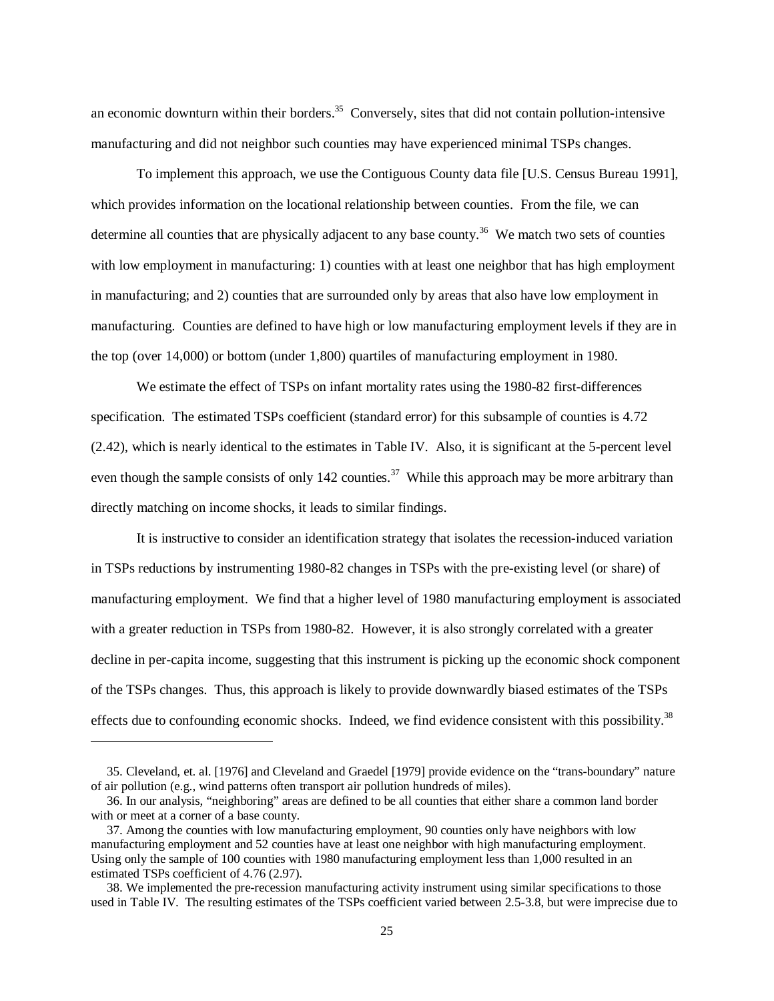an economic downturn within their borders. $35$  Conversely, sites that did not contain pollution-intensive manufacturing and did not neighbor such counties may have experienced minimal TSPs changes.

 To implement this approach, we use the Contiguous County data file [U.S. Census Bureau 1991], which provides information on the locational relationship between counties. From the file, we can determine all counties that are physically adjacent to any base county.<sup>36</sup> We match two sets of counties with low employment in manufacturing: 1) counties with at least one neighbor that has high employment in manufacturing; and 2) counties that are surrounded only by areas that also have low employment in manufacturing. Counties are defined to have high or low manufacturing employment levels if they are in the top (over 14,000) or bottom (under 1,800) quartiles of manufacturing employment in 1980.

 We estimate the effect of TSPs on infant mortality rates using the 1980-82 first-differences specification. The estimated TSPs coefficient (standard error) for this subsample of counties is 4.72 (2.42), which is nearly identical to the estimates in Table IV. Also, it is significant at the 5-percent level even though the sample consists of only 142 counties.<sup>37</sup> While this approach may be more arbitrary than directly matching on income shocks, it leads to similar findings.

 It is instructive to consider an identification strategy that isolates the recession-induced variation in TSPs reductions by instrumenting 1980-82 changes in TSPs with the pre-existing level (or share) of manufacturing employment. We find that a higher level of 1980 manufacturing employment is associated with a greater reduction in TSPs from 1980-82. However, it is also strongly correlated with a greater decline in per-capita income, suggesting that this instrument is picking up the economic shock component of the TSPs changes. Thus, this approach is likely to provide downwardly biased estimates of the TSPs effects due to confounding economic shocks. Indeed, we find evidence consistent with this possibility.<sup>38</sup>

<u>.</u>

 <sup>35.</sup> Cleveland, et. al. [1976] and Cleveland and Graedel [1979] provide evidence on the "trans-boundary" nature of air pollution (e.g., wind patterns often transport air pollution hundreds of miles).

 <sup>36.</sup> In our analysis, "neighboring" areas are defined to be all counties that either share a common land border with or meet at a corner of a base county.

 <sup>37.</sup> Among the counties with low manufacturing employment, 90 counties only have neighbors with low manufacturing employment and 52 counties have at least one neighbor with high manufacturing employment. Using only the sample of 100 counties with 1980 manufacturing employment less than 1,000 resulted in an estimated TSPs coefficient of 4.76 (2.97).

 <sup>38.</sup> We implemented the pre-recession manufacturing activity instrument using similar specifications to those used in Table IV. The resulting estimates of the TSPs coefficient varied between 2.5-3.8, but were imprecise due to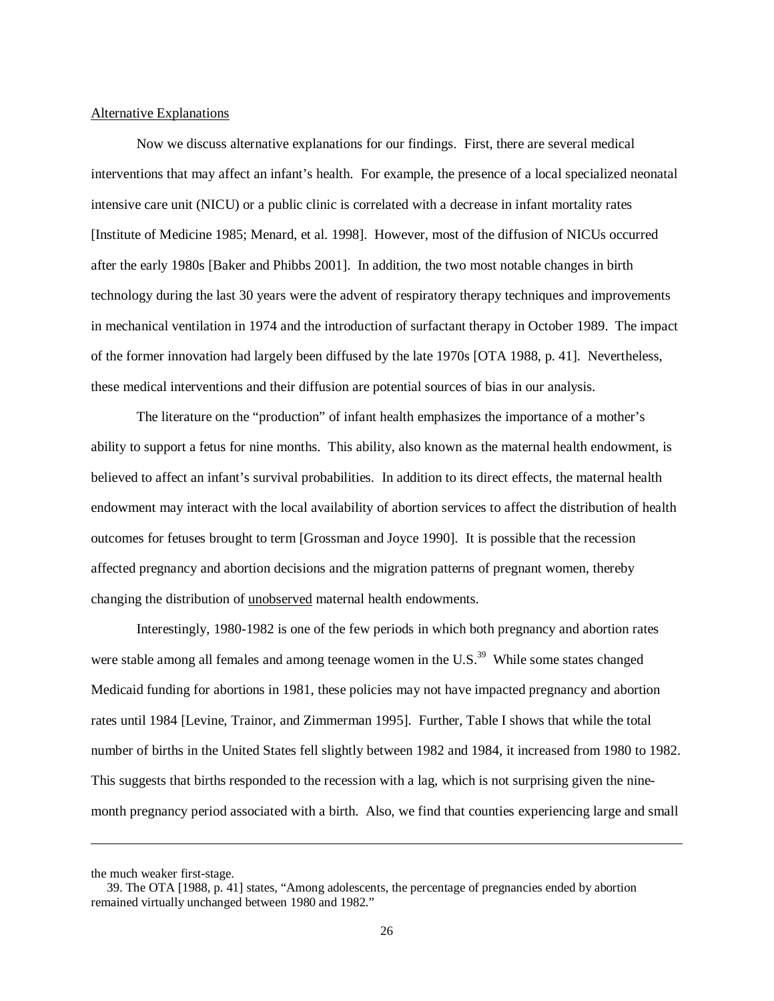#### Alternative Explanations

 Now we discuss alternative explanations for our findings. First, there are several medical interventions that may affect an infant's health. For example, the presence of a local specialized neonatal intensive care unit (NICU) or a public clinic is correlated with a decrease in infant mortality rates [Institute of Medicine 1985; Menard, et al. 1998]. However, most of the diffusion of NICUs occurred after the early 1980s [Baker and Phibbs 2001]. In addition, the two most notable changes in birth technology during the last 30 years were the advent of respiratory therapy techniques and improvements in mechanical ventilation in 1974 and the introduction of surfactant therapy in October 1989. The impact of the former innovation had largely been diffused by the late 1970s [OTA 1988, p. 41]. Nevertheless, these medical interventions and their diffusion are potential sources of bias in our analysis.

 The literature on the "production" of infant health emphasizes the importance of a mother's ability to support a fetus for nine months. This ability, also known as the maternal health endowment, is believed to affect an infant's survival probabilities. In addition to its direct effects, the maternal health endowment may interact with the local availability of abortion services to affect the distribution of health outcomes for fetuses brought to term [Grossman and Joyce 1990]. It is possible that the recession affected pregnancy and abortion decisions and the migration patterns of pregnant women, thereby changing the distribution of unobserved maternal health endowments.

 Interestingly, 1980-1982 is one of the few periods in which both pregnancy and abortion rates were stable among all females and among teenage women in the U.S.<sup>39</sup> While some states changed Medicaid funding for abortions in 1981, these policies may not have impacted pregnancy and abortion rates until 1984 [Levine, Trainor, and Zimmerman 1995]. Further, Table I shows that while the total number of births in the United States fell slightly between 1982 and 1984, it increased from 1980 to 1982. This suggests that births responded to the recession with a lag, which is not surprising given the ninemonth pregnancy period associated with a birth. Also, we find that counties experiencing large and small

 $\overline{a}$ 

the much weaker first-stage.

 <sup>39.</sup> The OTA [1988, p. 41] states, "Among adolescents, the percentage of pregnancies ended by abortion remained virtually unchanged between 1980 and 1982."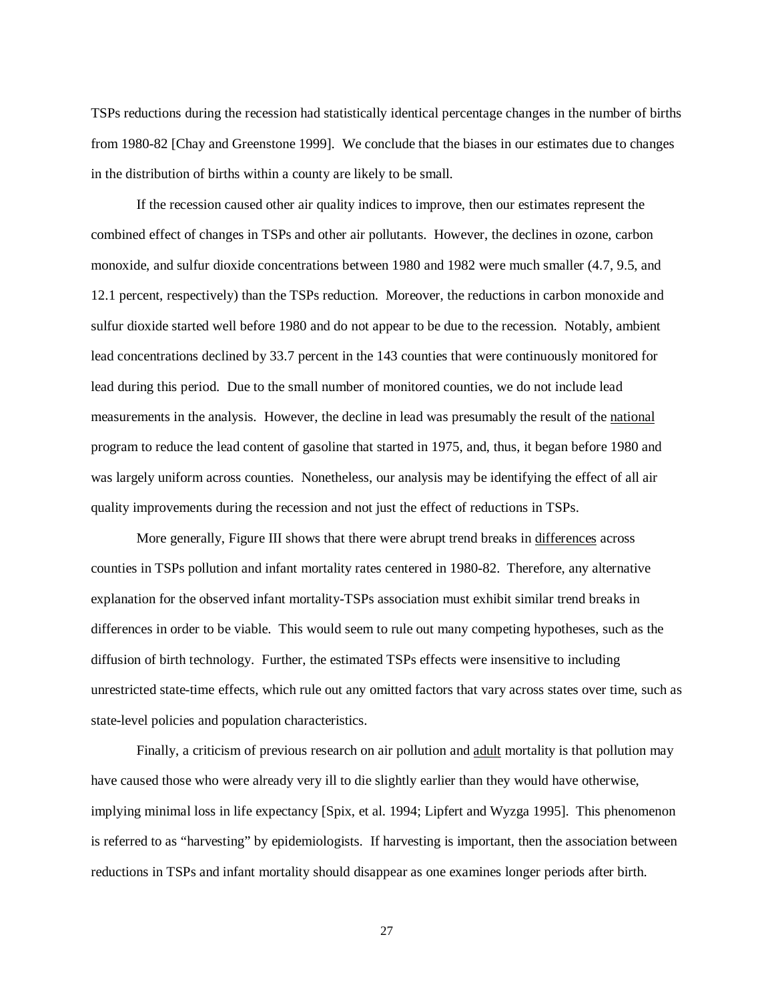TSPs reductions during the recession had statistically identical percentage changes in the number of births from 1980-82 [Chay and Greenstone 1999]. We conclude that the biases in our estimates due to changes in the distribution of births within a county are likely to be small.

 If the recession caused other air quality indices to improve, then our estimates represent the combined effect of changes in TSPs and other air pollutants. However, the declines in ozone, carbon monoxide, and sulfur dioxide concentrations between 1980 and 1982 were much smaller (4.7, 9.5, and 12.1 percent, respectively) than the TSPs reduction. Moreover, the reductions in carbon monoxide and sulfur dioxide started well before 1980 and do not appear to be due to the recession. Notably, ambient lead concentrations declined by 33.7 percent in the 143 counties that were continuously monitored for lead during this period. Due to the small number of monitored counties, we do not include lead measurements in the analysis. However, the decline in lead was presumably the result of the national program to reduce the lead content of gasoline that started in 1975, and, thus, it began before 1980 and was largely uniform across counties. Nonetheless, our analysis may be identifying the effect of all air quality improvements during the recession and not just the effect of reductions in TSPs.

 More generally, Figure III shows that there were abrupt trend breaks in differences across counties in TSPs pollution and infant mortality rates centered in 1980-82. Therefore, any alternative explanation for the observed infant mortality-TSPs association must exhibit similar trend breaks in differences in order to be viable. This would seem to rule out many competing hypotheses, such as the diffusion of birth technology. Further, the estimated TSPs effects were insensitive to including unrestricted state-time effects, which rule out any omitted factors that vary across states over time, such as state-level policies and population characteristics.

Finally, a criticism of previous research on air pollution and adult mortality is that pollution may have caused those who were already very ill to die slightly earlier than they would have otherwise, implying minimal loss in life expectancy [Spix, et al. 1994; Lipfert and Wyzga 1995]. This phenomenon is referred to as "harvesting" by epidemiologists. If harvesting is important, then the association between reductions in TSPs and infant mortality should disappear as one examines longer periods after birth.

27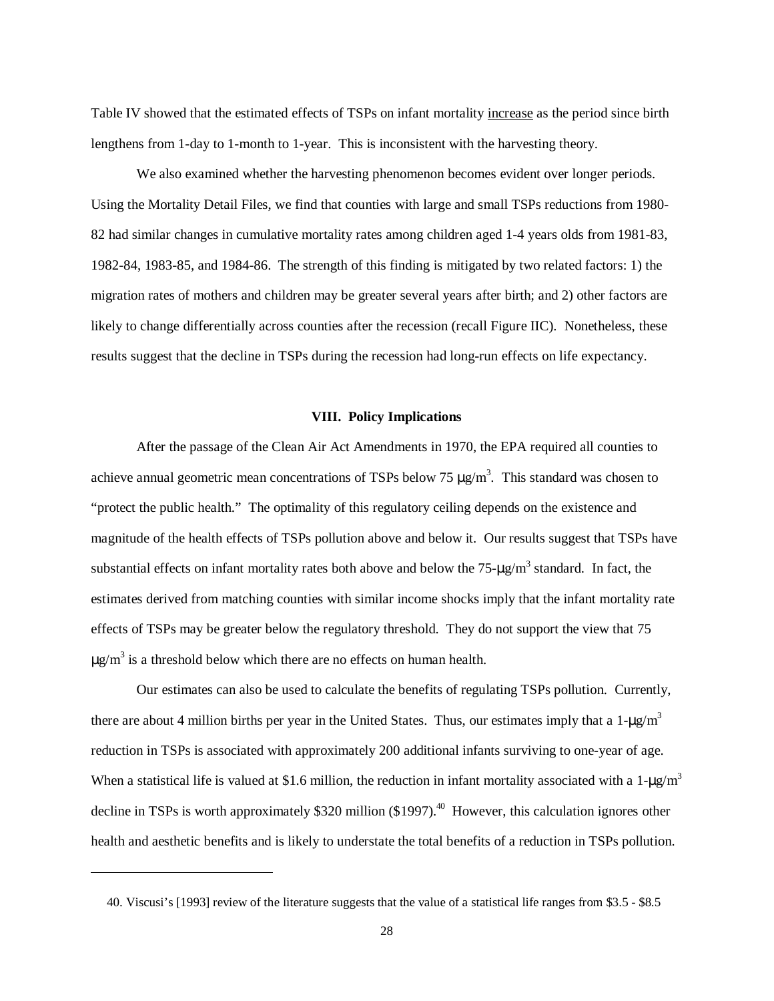Table IV showed that the estimated effects of TSPs on infant mortality increase as the period since birth lengthens from 1-day to 1-month to 1-year. This is inconsistent with the harvesting theory.

 We also examined whether the harvesting phenomenon becomes evident over longer periods. Using the Mortality Detail Files, we find that counties with large and small TSPs reductions from 1980- 82 had similar changes in cumulative mortality rates among children aged 1-4 years olds from 1981-83, 1982-84, 1983-85, and 1984-86. The strength of this finding is mitigated by two related factors: 1) the migration rates of mothers and children may be greater several years after birth; and 2) other factors are likely to change differentially across counties after the recession (recall Figure IIC). Nonetheless, these results suggest that the decline in TSPs during the recession had long-run effects on life expectancy.

## **VIII. Policy Implications**

 After the passage of the Clean Air Act Amendments in 1970, the EPA required all counties to achieve annual geometric mean concentrations of TSPs below 75  $\mu$ g/m<sup>3</sup>. This standard was chosen to "protect the public health." The optimality of this regulatory ceiling depends on the existence and magnitude of the health effects of TSPs pollution above and below it. Our results suggest that TSPs have substantial effects on infant mortality rates both above and below the  $75-\mu g/m^3$  standard. In fact, the estimates derived from matching counties with similar income shocks imply that the infant mortality rate effects of TSPs may be greater below the regulatory threshold. They do not support the view that 75  $\mu$ g/m<sup>3</sup> is a threshold below which there are no effects on human health.

 Our estimates can also be used to calculate the benefits of regulating TSPs pollution. Currently, there are about 4 million births per year in the United States. Thus, our estimates imply that a  $1-\mu g/m^3$ reduction in TSPs is associated with approximately 200 additional infants surviving to one-year of age. When a statistical life is valued at \$1.6 million, the reduction in infant mortality associated with a 1- $\mu$ g/m<sup>3</sup> decline in TSPs is worth approximately \$320 million (\$1997).<sup>40</sup> However, this calculation ignores other health and aesthetic benefits and is likely to understate the total benefits of a reduction in TSPs pollution.

-

 <sup>40.</sup> Viscusi's [1993] review of the literature suggests that the value of a statistical life ranges from \$3.5 - \$8.5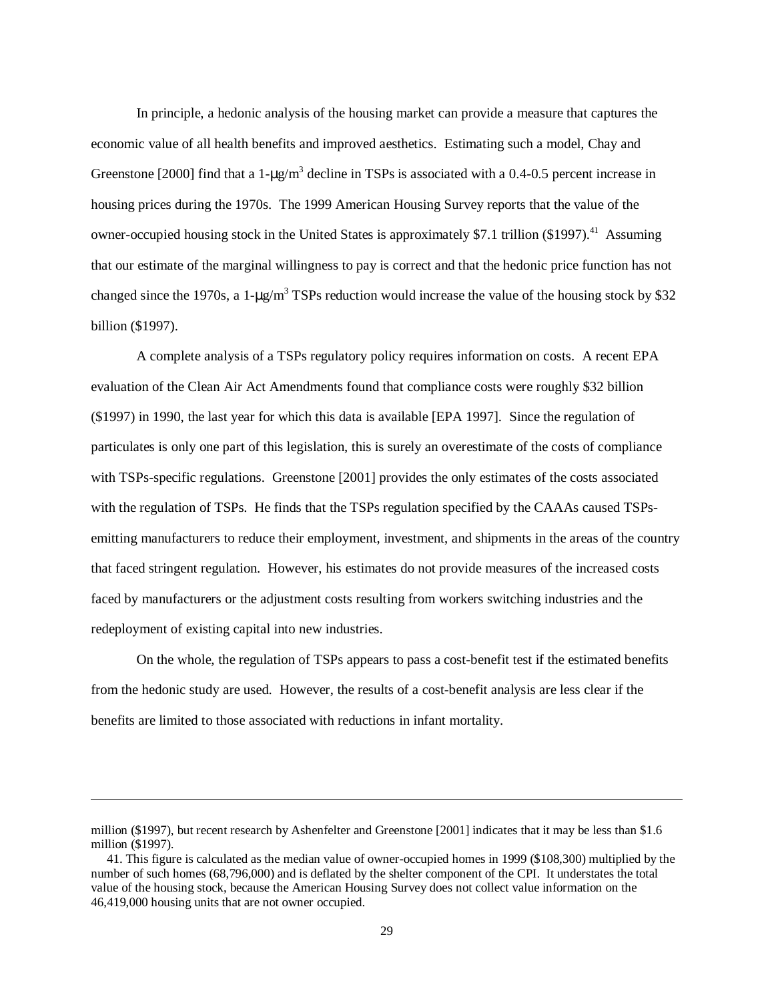In principle, a hedonic analysis of the housing market can provide a measure that captures the economic value of all health benefits and improved aesthetics. Estimating such a model, Chay and Greenstone [2000] find that a  $1-\mu g/m^3$  decline in TSPs is associated with a 0.4-0.5 percent increase in housing prices during the 1970s. The 1999 American Housing Survey reports that the value of the owner-occupied housing stock in the United States is approximately \$7.1 trillion (\$1997).<sup>41</sup> Assuming that our estimate of the marginal willingness to pay is correct and that the hedonic price function has not changed since the 1970s, a 1- $\mu$ g/m<sup>3</sup> TSPs reduction would increase the value of the housing stock by \$32 billion (\$1997).

 A complete analysis of a TSPs regulatory policy requires information on costs. A recent EPA evaluation of the Clean Air Act Amendments found that compliance costs were roughly \$32 billion (\$1997) in 1990, the last year for which this data is available [EPA 1997]. Since the regulation of particulates is only one part of this legislation, this is surely an overestimate of the costs of compliance with TSPs-specific regulations. Greenstone [2001] provides the only estimates of the costs associated with the regulation of TSPs. He finds that the TSPs regulation specified by the CAAAs caused TSPsemitting manufacturers to reduce their employment, investment, and shipments in the areas of the country that faced stringent regulation. However, his estimates do not provide measures of the increased costs faced by manufacturers or the adjustment costs resulting from workers switching industries and the redeployment of existing capital into new industries.

 On the whole, the regulation of TSPs appears to pass a cost-benefit test if the estimated benefits from the hedonic study are used. However, the results of a cost-benefit analysis are less clear if the benefits are limited to those associated with reductions in infant mortality.

-

million (\$1997), but recent research by Ashenfelter and Greenstone [2001] indicates that it may be less than \$1.6 million (\$1997).

 <sup>41.</sup> This figure is calculated as the median value of owner-occupied homes in 1999 (\$108,300) multiplied by the number of such homes (68,796,000) and is deflated by the shelter component of the CPI. It understates the total value of the housing stock, because the American Housing Survey does not collect value information on the 46,419,000 housing units that are not owner occupied.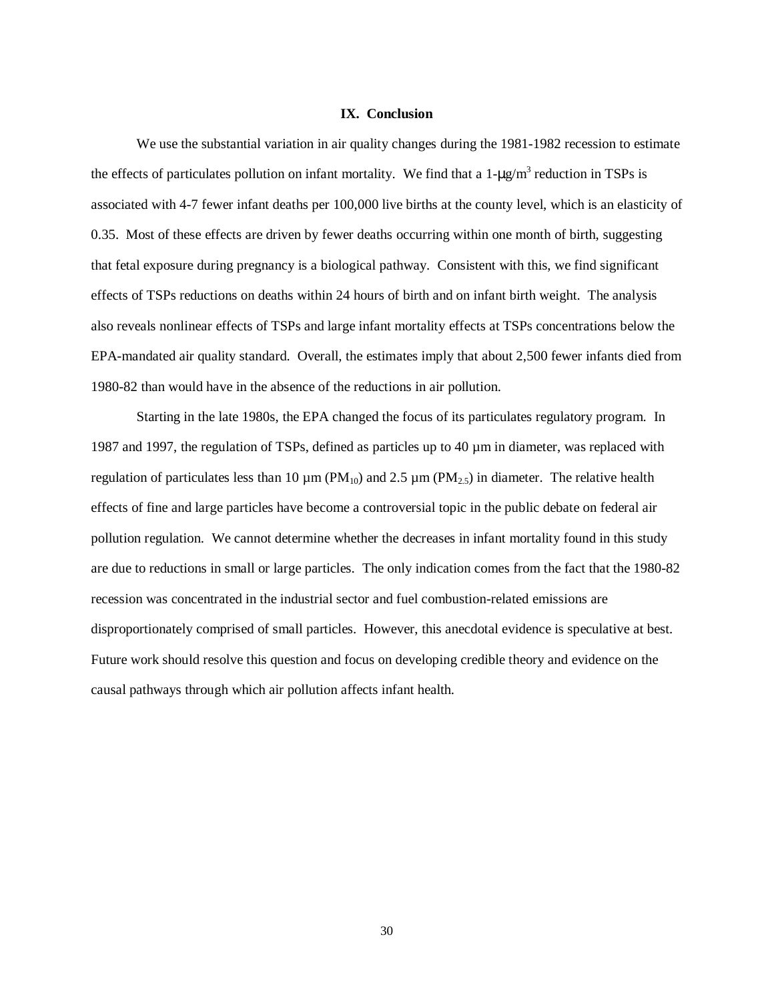#### **IX. Conclusion**

 We use the substantial variation in air quality changes during the 1981-1982 recession to estimate the effects of particulates pollution on infant mortality. We find that a  $1-\mu g/m^3$  reduction in TSPs is associated with 4-7 fewer infant deaths per 100,000 live births at the county level, which is an elasticity of 0.35. Most of these effects are driven by fewer deaths occurring within one month of birth, suggesting that fetal exposure during pregnancy is a biological pathway. Consistent with this, we find significant effects of TSPs reductions on deaths within 24 hours of birth and on infant birth weight. The analysis also reveals nonlinear effects of TSPs and large infant mortality effects at TSPs concentrations below the EPA-mandated air quality standard. Overall, the estimates imply that about 2,500 fewer infants died from 1980-82 than would have in the absence of the reductions in air pollution.

 Starting in the late 1980s, the EPA changed the focus of its particulates regulatory program. In 1987 and 1997, the regulation of TSPs, defined as particles up to  $40 \mu m$  in diameter, was replaced with regulation of particulates less than 10  $\mu$ m (PM<sub>10</sub>) and 2.5  $\mu$ m (PM<sub>2.5</sub>) in diameter. The relative health effects of fine and large particles have become a controversial topic in the public debate on federal air pollution regulation. We cannot determine whether the decreases in infant mortality found in this study are due to reductions in small or large particles. The only indication comes from the fact that the 1980-82 recession was concentrated in the industrial sector and fuel combustion-related emissions are disproportionately comprised of small particles. However, this anecdotal evidence is speculative at best. Future work should resolve this question and focus on developing credible theory and evidence on the causal pathways through which air pollution affects infant health.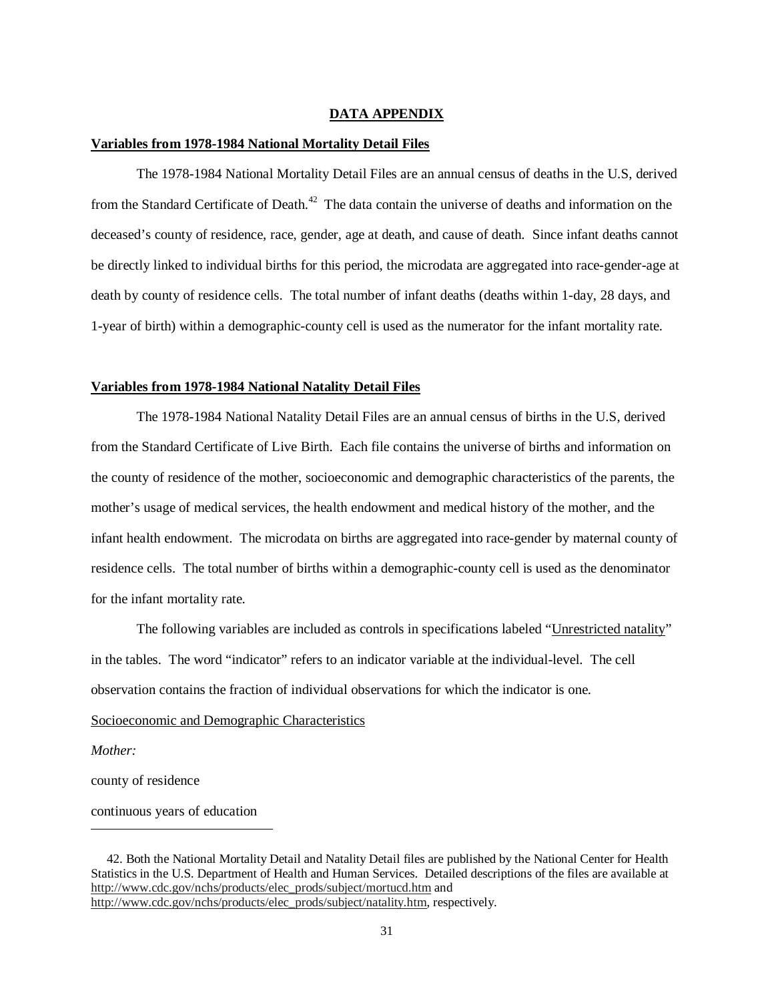### **DATA APPENDIX**

#### **Variables from 1978-1984 National Mortality Detail Files**

The 1978-1984 National Mortality Detail Files are an annual census of deaths in the U.S, derived from the Standard Certificate of Death.<sup>42</sup> The data contain the universe of deaths and information on the deceased's county of residence, race, gender, age at death, and cause of death. Since infant deaths cannot be directly linked to individual births for this period, the microdata are aggregated into race-gender-age at death by county of residence cells. The total number of infant deaths (deaths within 1-day, 28 days, and 1-year of birth) within a demographic-county cell is used as the numerator for the infant mortality rate.

#### **Variables from 1978-1984 National Natality Detail Files**

The 1978-1984 National Natality Detail Files are an annual census of births in the U.S, derived from the Standard Certificate of Live Birth. Each file contains the universe of births and information on the county of residence of the mother, socioeconomic and demographic characteristics of the parents, the mother's usage of medical services, the health endowment and medical history of the mother, and the infant health endowment. The microdata on births are aggregated into race-gender by maternal county of residence cells. The total number of births within a demographic-county cell is used as the denominator for the infant mortality rate.

The following variables are included as controls in specifications labeled "Unrestricted natality" in the tables. The word "indicator" refers to an indicator variable at the individual-level. The cell observation contains the fraction of individual observations for which the indicator is one.

#### Socioeconomic and Demographic Characteristics

*Mother:* 

<u>.</u>

county of residence

continuous years of education

 <sup>42.</sup> Both the National Mortality Detail and Natality Detail files are published by the National Center for Health Statistics in the U.S. Department of Health and Human Services. Detailed descriptions of the files are available at http://www.cdc.gov/nchs/products/elec\_prods/subject/mortucd.htm and http://www.cdc.gov/nchs/products/elec\_prods/subject/natality.htm, respectively.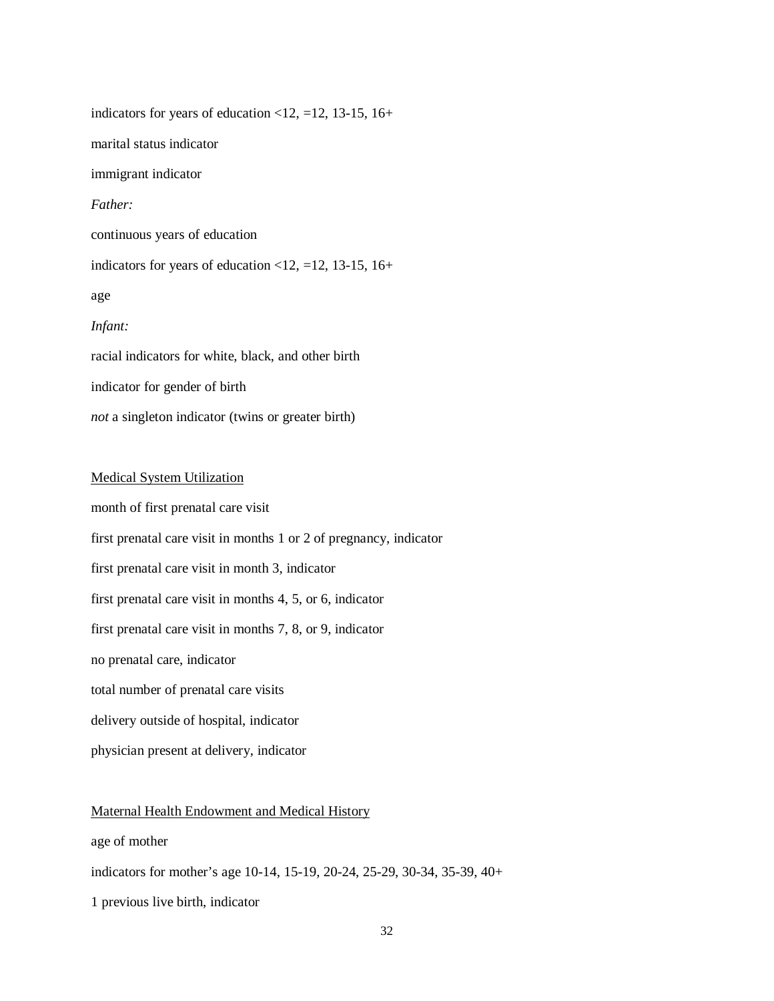indicators for years of education  $\langle 12, =12, 13-15, 16+$ marital status indicator immigrant indicator *Father:*  continuous years of education indicators for years of education <12,  $=$ 12, 13-15, 16+ age *Infant:*  racial indicators for white, black, and other birth indicator for gender of birth

*not* a singleton indicator (twins or greater birth)

## Medical System Utilization

month of first prenatal care visit first prenatal care visit in months 1 or 2 of pregnancy, indicator first prenatal care visit in month 3, indicator first prenatal care visit in months 4, 5, or 6, indicator first prenatal care visit in months 7, 8, or 9, indicator no prenatal care, indicator total number of prenatal care visits delivery outside of hospital, indicator

physician present at delivery, indicator

## Maternal Health Endowment and Medical History

age of mother

indicators for mother's age 10-14, 15-19, 20-24, 25-29, 30-34, 35-39, 40+

1 previous live birth, indicator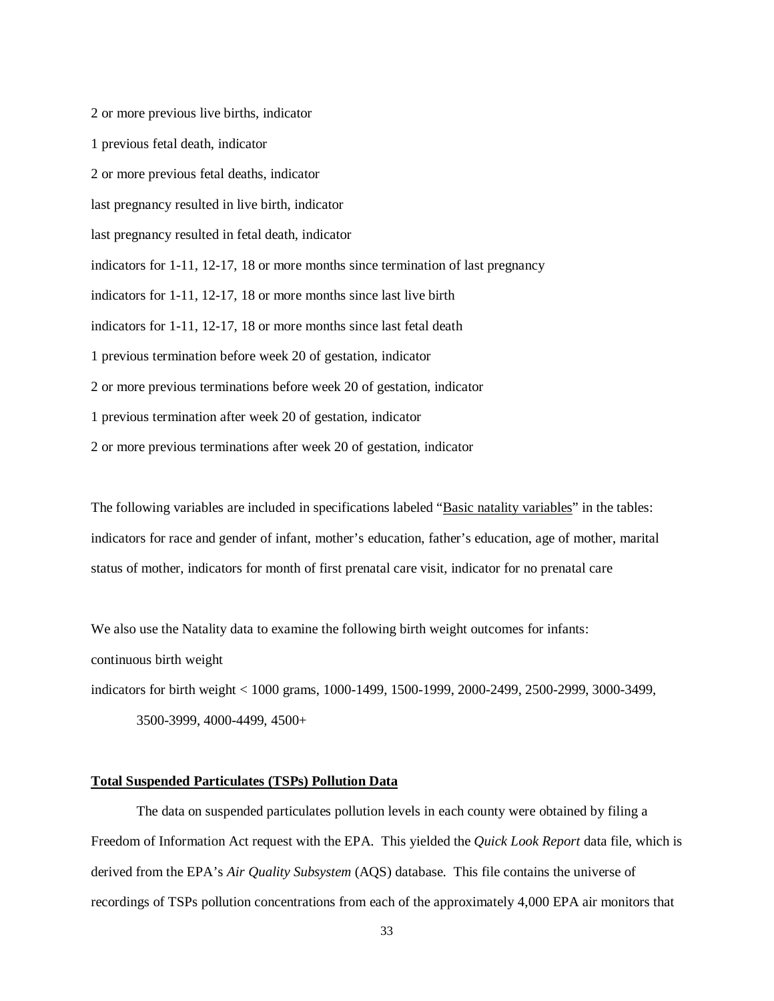2 or more previous live births, indicator 1 previous fetal death, indicator 2 or more previous fetal deaths, indicator last pregnancy resulted in live birth, indicator last pregnancy resulted in fetal death, indicator indicators for 1-11, 12-17, 18 or more months since termination of last pregnancy indicators for 1-11, 12-17, 18 or more months since last live birth indicators for 1-11, 12-17, 18 or more months since last fetal death 1 previous termination before week 20 of gestation, indicator 2 or more previous terminations before week 20 of gestation, indicator 1 previous termination after week 20 of gestation, indicator 2 or more previous terminations after week 20 of gestation, indicator

The following variables are included in specifications labeled "Basic natality variables" in the tables: indicators for race and gender of infant, mother's education, father's education, age of mother, marital status of mother, indicators for month of first prenatal care visit, indicator for no prenatal care

We also use the Natality data to examine the following birth weight outcomes for infants:

continuous birth weight

indicators for birth weight < 1000 grams, 1000-1499, 1500-1999, 2000-2499, 2500-2999, 3000-3499,

3500-3999, 4000-4499, 4500+

## **Total Suspended Particulates (TSPs) Pollution Data**

The data on suspended particulates pollution levels in each county were obtained by filing a Freedom of Information Act request with the EPA. This yielded the *Quick Look Report* data file, which is derived from the EPA's *Air Quality Subsystem* (AQS) database. This file contains the universe of recordings of TSPs pollution concentrations from each of the approximately 4,000 EPA air monitors that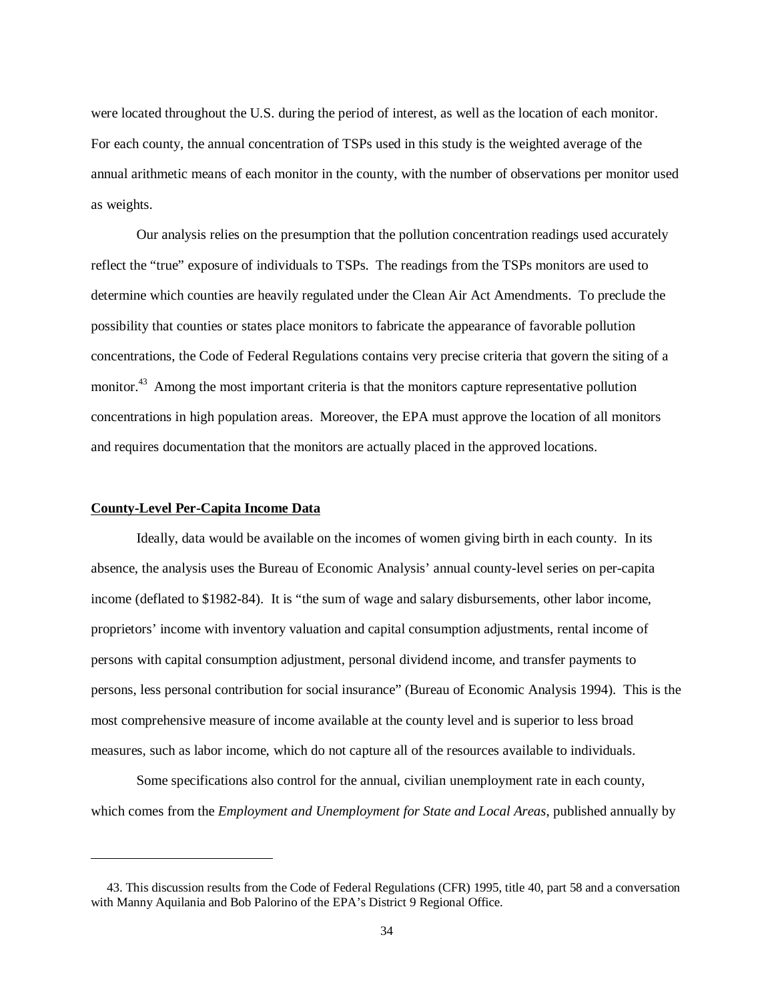were located throughout the U.S. during the period of interest, as well as the location of each monitor. For each county, the annual concentration of TSPs used in this study is the weighted average of the annual arithmetic means of each monitor in the county, with the number of observations per monitor used as weights.

Our analysis relies on the presumption that the pollution concentration readings used accurately reflect the "true" exposure of individuals to TSPs. The readings from the TSPs monitors are used to determine which counties are heavily regulated under the Clean Air Act Amendments. To preclude the possibility that counties or states place monitors to fabricate the appearance of favorable pollution concentrations, the Code of Federal Regulations contains very precise criteria that govern the siting of a monitor.<sup>43</sup> Among the most important criteria is that the monitors capture representative pollution concentrations in high population areas. Moreover, the EPA must approve the location of all monitors and requires documentation that the monitors are actually placed in the approved locations.

#### **County-Level Per-Capita Income Data**

-

Ideally, data would be available on the incomes of women giving birth in each county. In its absence, the analysis uses the Bureau of Economic Analysis' annual county-level series on per-capita income (deflated to \$1982-84). It is "the sum of wage and salary disbursements, other labor income, proprietors' income with inventory valuation and capital consumption adjustments, rental income of persons with capital consumption adjustment, personal dividend income, and transfer payments to persons, less personal contribution for social insurance" (Bureau of Economic Analysis 1994). This is the most comprehensive measure of income available at the county level and is superior to less broad measures, such as labor income, which do not capture all of the resources available to individuals.

Some specifications also control for the annual, civilian unemployment rate in each county, which comes from the *Employment and Unemployment for State and Local Areas*, published annually by

 <sup>43.</sup> This discussion results from the Code of Federal Regulations (CFR) 1995, title 40, part 58 and a conversation with Manny Aquilania and Bob Palorino of the EPA's District 9 Regional Office.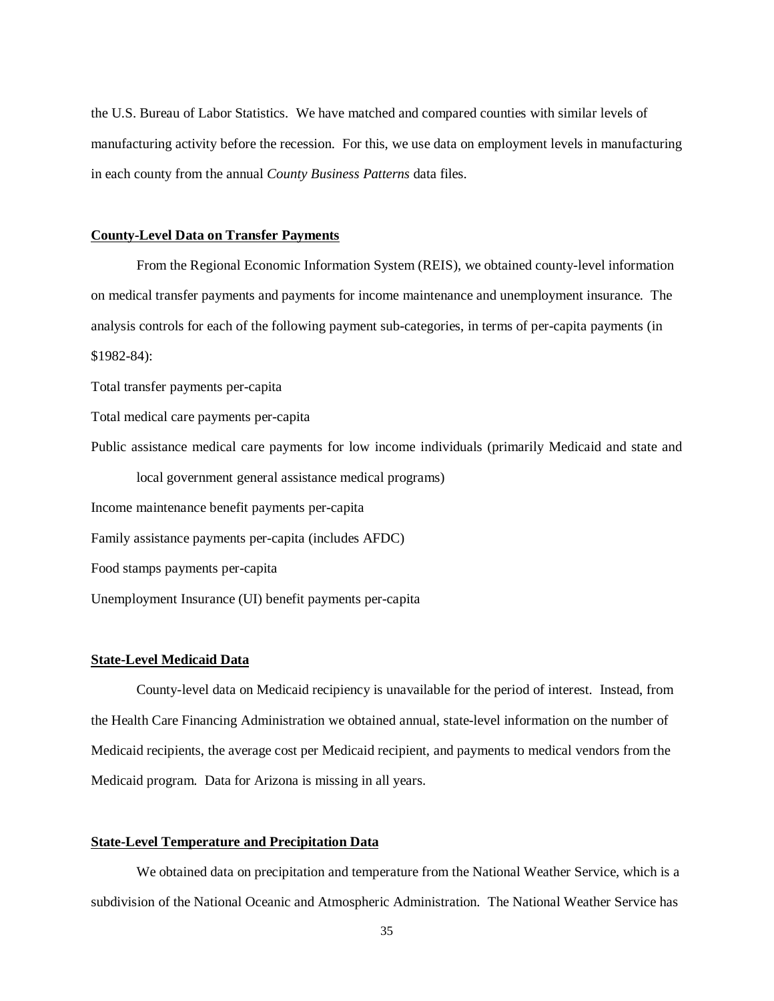the U.S. Bureau of Labor Statistics. We have matched and compared counties with similar levels of manufacturing activity before the recession. For this, we use data on employment levels in manufacturing in each county from the annual *County Business Patterns* data files.

#### **County-Level Data on Transfer Payments**

 From the Regional Economic Information System (REIS), we obtained county-level information on medical transfer payments and payments for income maintenance and unemployment insurance. The analysis controls for each of the following payment sub-categories, in terms of per-capita payments (in \$1982-84):

Total transfer payments per-capita

Total medical care payments per-capita

Public assistance medical care payments for low income individuals (primarily Medicaid and state and local government general assistance medical programs) Income maintenance benefit payments per-capita Family assistance payments per-capita (includes AFDC)

Food stamps payments per-capita

Unemployment Insurance (UI) benefit payments per-capita

#### **State-Level Medicaid Data**

 County-level data on Medicaid recipiency is unavailable for the period of interest. Instead, from the Health Care Financing Administration we obtained annual, state-level information on the number of Medicaid recipients, the average cost per Medicaid recipient, and payments to medical vendors from the Medicaid program. Data for Arizona is missing in all years.

### **State-Level Temperature and Precipitation Data**

 We obtained data on precipitation and temperature from the National Weather Service, which is a subdivision of the National Oceanic and Atmospheric Administration. The National Weather Service has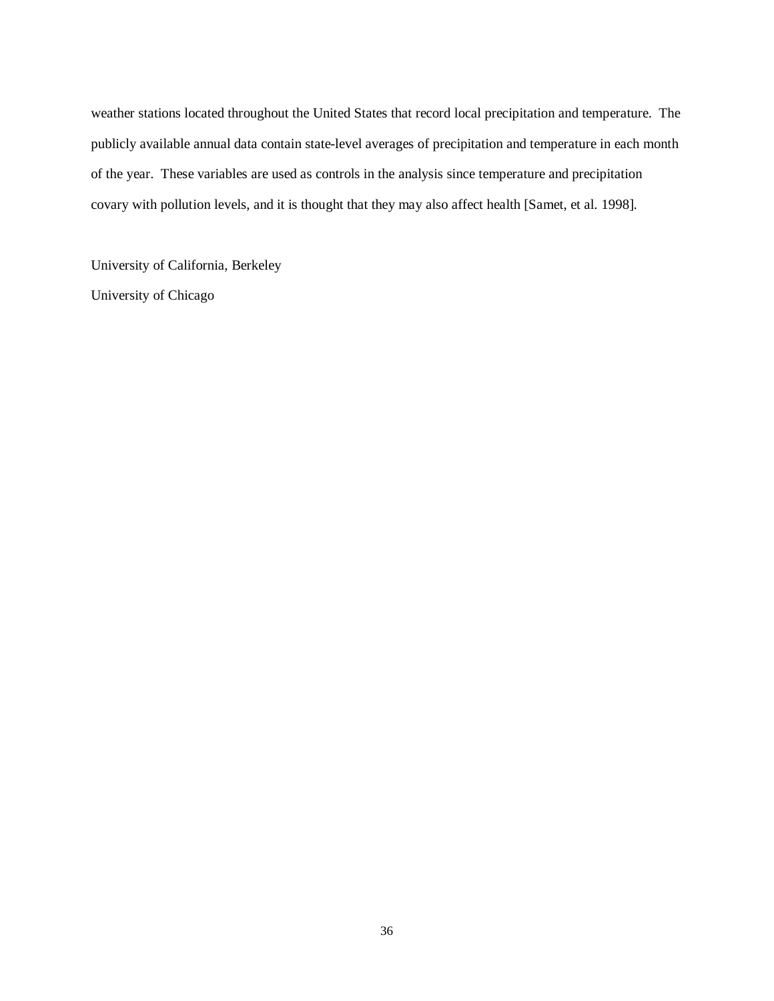weather stations located throughout the United States that record local precipitation and temperature. The publicly available annual data contain state-level averages of precipitation and temperature in each month of the year. These variables are used as controls in the analysis since temperature and precipitation covary with pollution levels, and it is thought that they may also affect health [Samet, et al. 1998].

University of California, Berkeley University of Chicago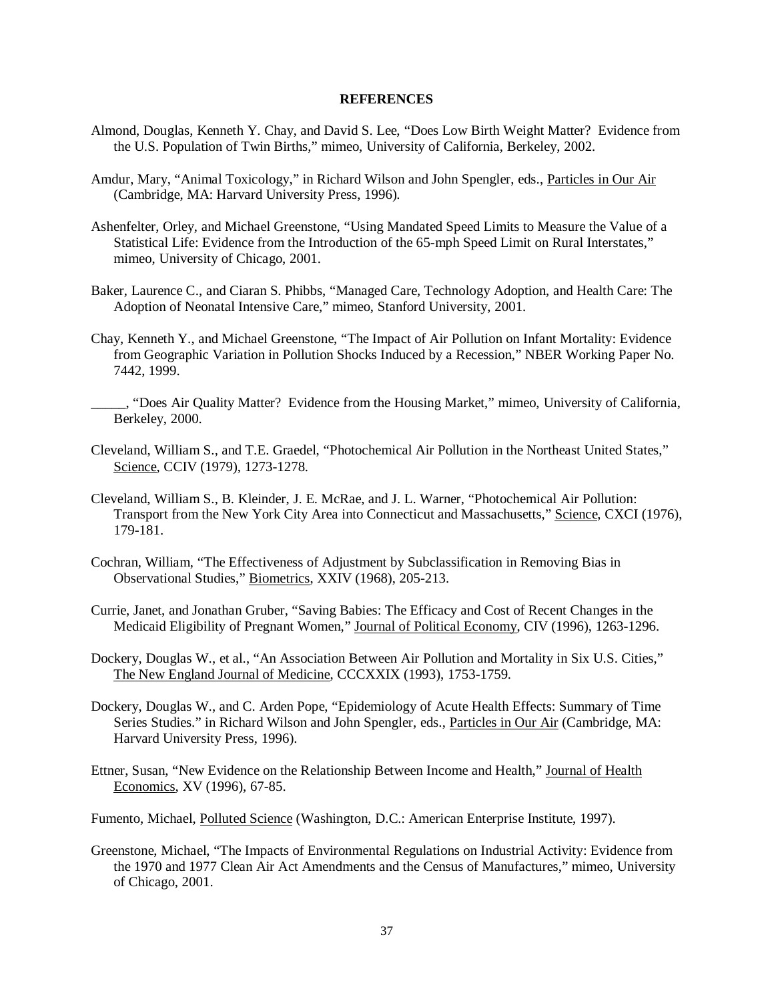#### **REFERENCES**

- Almond, Douglas, Kenneth Y. Chay, and David S. Lee, "Does Low Birth Weight Matter? Evidence from the U.S. Population of Twin Births," mimeo, University of California, Berkeley, 2002.
- Amdur, Mary, "Animal Toxicology," in Richard Wilson and John Spengler, eds., Particles in Our Air (Cambridge, MA: Harvard University Press, 1996).
- Ashenfelter, Orley, and Michael Greenstone, "Using Mandated Speed Limits to Measure the Value of a Statistical Life: Evidence from the Introduction of the 65-mph Speed Limit on Rural Interstates," mimeo, University of Chicago, 2001.
- Baker, Laurence C., and Ciaran S. Phibbs, "Managed Care, Technology Adoption, and Health Care: The Adoption of Neonatal Intensive Care," mimeo, Stanford University, 2001.
- Chay, Kenneth Y., and Michael Greenstone, "The Impact of Air Pollution on Infant Mortality: Evidence from Geographic Variation in Pollution Shocks Induced by a Recession," NBER Working Paper No. 7442, 1999.
- \_\_\_\_\_, "Does Air Quality Matter? Evidence from the Housing Market," mimeo, University of California, Berkeley, 2000.
- Cleveland, William S., and T.E. Graedel, "Photochemical Air Pollution in the Northeast United States," Science, CCIV (1979), 1273-1278.
- Cleveland, William S., B. Kleinder, J. E. McRae, and J. L. Warner, "Photochemical Air Pollution: Transport from the New York City Area into Connecticut and Massachusetts," Science, CXCI (1976), 179-181.
- Cochran, William, "The Effectiveness of Adjustment by Subclassification in Removing Bias in Observational Studies," Biometrics, XXIV (1968), 205-213.
- Currie, Janet, and Jonathan Gruber, "Saving Babies: The Efficacy and Cost of Recent Changes in the Medicaid Eligibility of Pregnant Women," Journal of Political Economy, CIV (1996), 1263-1296.
- Dockery, Douglas W., et al., "An Association Between Air Pollution and Mortality in Six U.S. Cities," The New England Journal of Medicine, CCCXXIX (1993), 1753-1759.
- Dockery, Douglas W., and C. Arden Pope, "Epidemiology of Acute Health Effects: Summary of Time Series Studies." in Richard Wilson and John Spengler, eds., Particles in Our Air (Cambridge, MA: Harvard University Press, 1996).
- Ettner, Susan, "New Evidence on the Relationship Between Income and Health," Journal of Health Economics, XV (1996), 67-85.

Fumento, Michael, Polluted Science (Washington, D.C.: American Enterprise Institute, 1997).

Greenstone, Michael, "The Impacts of Environmental Regulations on Industrial Activity: Evidence from the 1970 and 1977 Clean Air Act Amendments and the Census of Manufactures," mimeo, University of Chicago, 2001.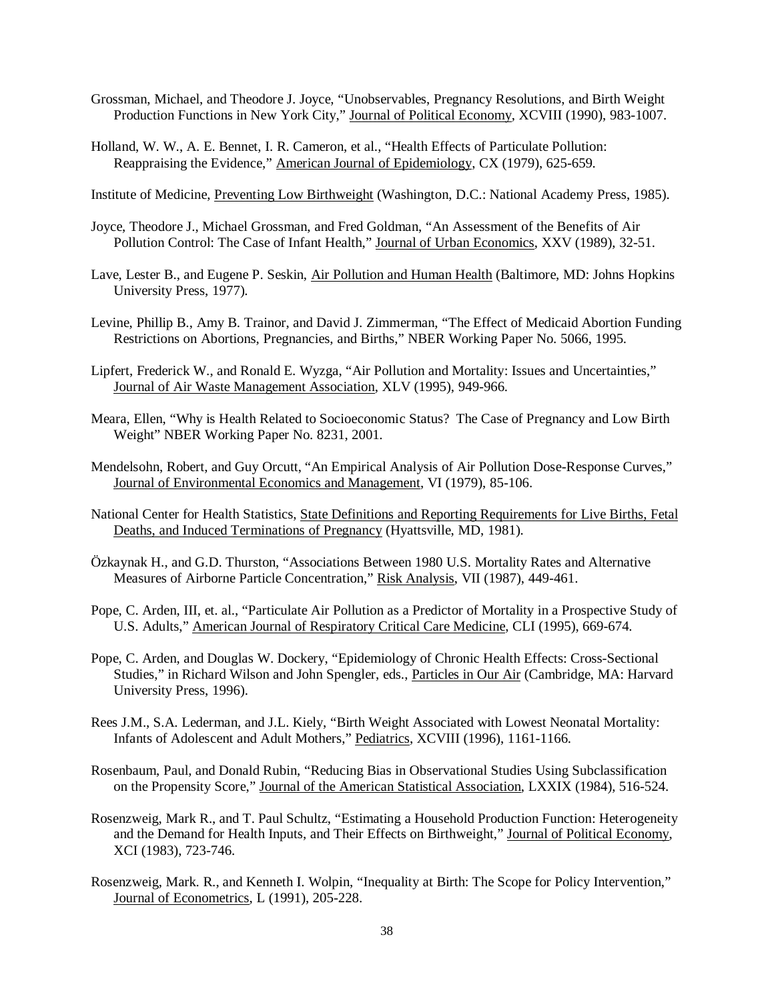- Grossman, Michael, and Theodore J. Joyce, "Unobservables, Pregnancy Resolutions, and Birth Weight Production Functions in New York City," Journal of Political Economy, XCVIII (1990), 983-1007.
- Holland, W. W., A. E. Bennet, I. R. Cameron, et al., "Health Effects of Particulate Pollution: Reappraising the Evidence," American Journal of Epidemiology, CX (1979), 625-659.

Institute of Medicine, Preventing Low Birthweight (Washington, D.C.: National Academy Press, 1985).

- Joyce, Theodore J., Michael Grossman, and Fred Goldman, "An Assessment of the Benefits of Air Pollution Control: The Case of Infant Health," Journal of Urban Economics, XXV (1989), 32-51.
- Lave, Lester B., and Eugene P. Seskin, Air Pollution and Human Health (Baltimore, MD: Johns Hopkins University Press, 1977)*.*
- Levine, Phillip B., Amy B. Trainor, and David J. Zimmerman, "The Effect of Medicaid Abortion Funding Restrictions on Abortions, Pregnancies, and Births," NBER Working Paper No. 5066, 1995.
- Lipfert, Frederick W., and Ronald E. Wyzga, "Air Pollution and Mortality: Issues and Uncertainties," Journal of Air Waste Management Association, XLV (1995), 949-966.
- Meara, Ellen, "Why is Health Related to Socioeconomic Status? The Case of Pregnancy and Low Birth Weight" NBER Working Paper No. 8231, 2001.
- Mendelsohn, Robert, and Guy Orcutt, "An Empirical Analysis of Air Pollution Dose-Response Curves," Journal of Environmental Economics and Management, VI (1979), 85-106.
- National Center for Health Statistics, State Definitions and Reporting Requirements for Live Births, Fetal Deaths, and Induced Terminations of Pregnancy (Hyattsville, MD, 1981).
- Özkaynak H., and G.D. Thurston, "Associations Between 1980 U.S. Mortality Rates and Alternative Measures of Airborne Particle Concentration," Risk Analysis, VII (1987), 449-461.
- Pope, C. Arden, III, et. al., "Particulate Air Pollution as a Predictor of Mortality in a Prospective Study of U.S. Adults," American Journal of Respiratory Critical Care Medicine, CLI (1995), 669-674.
- Pope, C. Arden, and Douglas W. Dockery, "Epidemiology of Chronic Health Effects: Cross-Sectional Studies," in Richard Wilson and John Spengler, eds., Particles in Our Air (Cambridge, MA: Harvard University Press, 1996).
- Rees J.M., S.A. Lederman, and J.L. Kiely, "Birth Weight Associated with Lowest Neonatal Mortality: Infants of Adolescent and Adult Mothers," Pediatrics, XCVIII (1996), 1161-1166.
- Rosenbaum, Paul, and Donald Rubin, "Reducing Bias in Observational Studies Using Subclassification on the Propensity Score," Journal of the American Statistical Association, LXXIX (1984), 516-524.
- Rosenzweig, Mark R., and T. Paul Schultz, "Estimating a Household Production Function: Heterogeneity and the Demand for Health Inputs, and Their Effects on Birthweight," Journal of Political Economy, XCI (1983), 723-746.
- Rosenzweig, Mark. R., and Kenneth I. Wolpin, "Inequality at Birth: The Scope for Policy Intervention," Journal of Econometrics, L (1991), 205-228.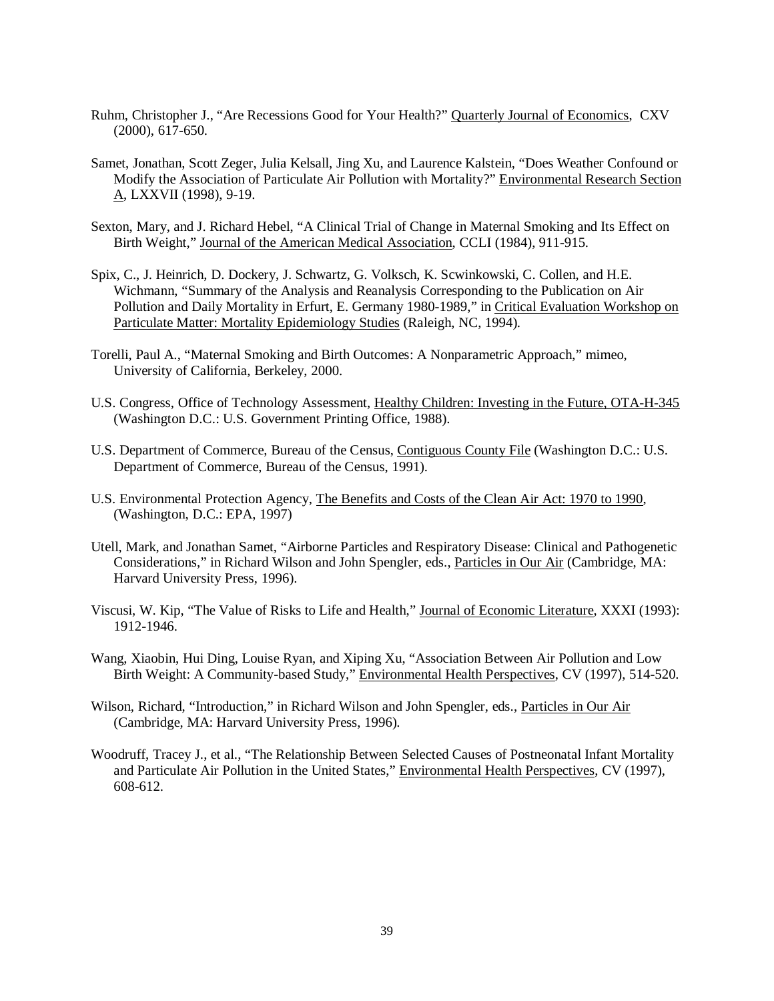- Ruhm, Christopher J., "Are Recessions Good for Your Health?" Quarterly Journal of Economics, CXV (2000), 617-650.
- Samet, Jonathan, Scott Zeger, Julia Kelsall, Jing Xu, and Laurence Kalstein, "Does Weather Confound or Modify the Association of Particulate Air Pollution with Mortality?" Environmental Research Section A, LXXVII (1998), 9-19.
- Sexton, Mary, and J. Richard Hebel, "A Clinical Trial of Change in Maternal Smoking and Its Effect on Birth Weight," Journal of the American Medical Association, CCLI (1984), 911-915.
- Spix, C., J. Heinrich, D. Dockery, J. Schwartz, G. Volksch, K. Scwinkowski, C. Collen, and H.E. Wichmann, "Summary of the Analysis and Reanalysis Corresponding to the Publication on Air Pollution and Daily Mortality in Erfurt, E. Germany 1980-1989," in Critical Evaluation Workshop on Particulate Matter: Mortality Epidemiology Studies (Raleigh, NC, 1994).
- Torelli, Paul A., "Maternal Smoking and Birth Outcomes: A Nonparametric Approach," mimeo, University of California, Berkeley, 2000.
- U.S. Congress, Office of Technology Assessment, Healthy Children: Investing in the Future, OTA-H-345 (Washington D.C.: U.S. Government Printing Office, 1988).
- U.S. Department of Commerce, Bureau of the Census, Contiguous County File (Washington D.C.: U.S. Department of Commerce, Bureau of the Census, 1991).
- U.S. Environmental Protection Agency, The Benefits and Costs of the Clean Air Act: 1970 to 1990, (Washington, D.C.: EPA, 1997)
- Utell, Mark, and Jonathan Samet, "Airborne Particles and Respiratory Disease: Clinical and Pathogenetic Considerations," in Richard Wilson and John Spengler, eds., Particles in Our Air (Cambridge, MA: Harvard University Press, 1996).
- Viscusi, W. Kip, "The Value of Risks to Life and Health," Journal of Economic Literature, XXXI (1993): 1912-1946.
- Wang, Xiaobin, Hui Ding, Louise Ryan, and Xiping Xu, "Association Between Air Pollution and Low Birth Weight: A Community-based Study," Environmental Health Perspectives, CV (1997), 514-520.
- Wilson, Richard, "Introduction," in Richard Wilson and John Spengler, eds., Particles in Our Air (Cambridge, MA: Harvard University Press, 1996).
- Woodruff, Tracey J., et al., "The Relationship Between Selected Causes of Postneonatal Infant Mortality and Particulate Air Pollution in the United States," Environmental Health Perspectives, CV (1997), 608-612.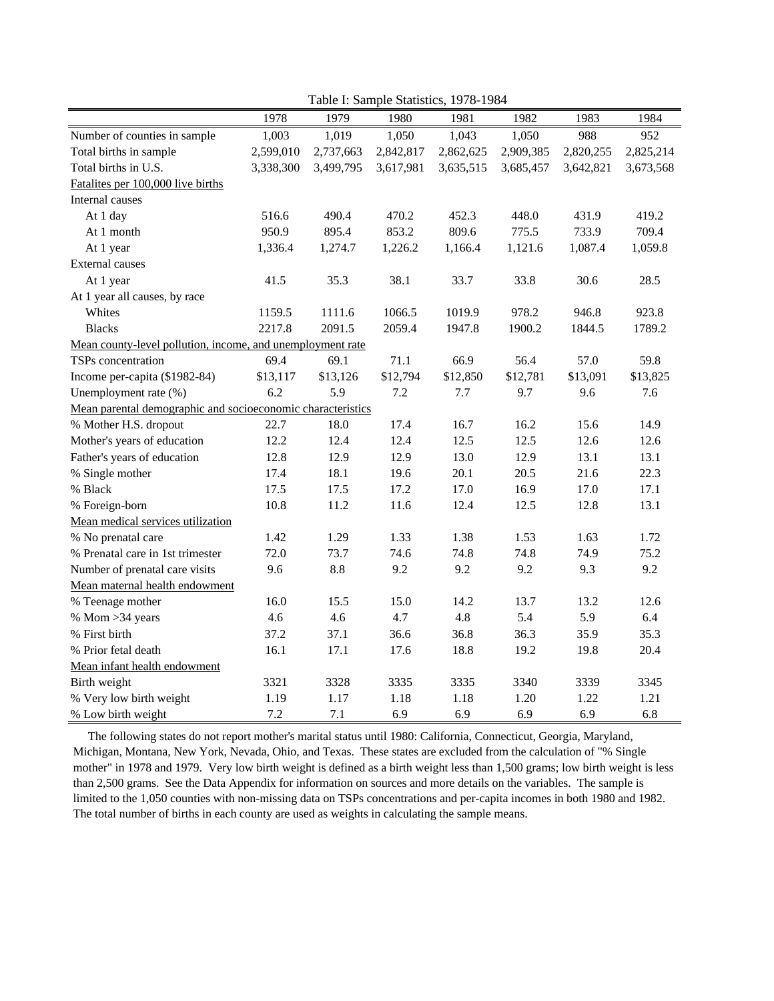|                                                             | $1 \text{ and } 1.$ Sample Statistics, $1776 - 176 +$ |           |           |           |           |           |           |
|-------------------------------------------------------------|-------------------------------------------------------|-----------|-----------|-----------|-----------|-----------|-----------|
|                                                             | 1978                                                  | 1979      | 1980      | 1981      | 1982      | 1983      | 1984      |
| Number of counties in sample                                | 1,003                                                 | 1,019     | 1,050     | 1,043     | 1,050     | 988       | 952       |
| Total births in sample                                      | 2,599,010                                             | 2,737,663 | 2,842,817 | 2,862,625 | 2,909,385 | 2,820,255 | 2,825,214 |
| Total births in U.S.                                        | 3,338,300                                             | 3,499,795 | 3,617,981 | 3,635,515 | 3,685,457 | 3,642,821 | 3,673,568 |
| Fatalites per 100,000 live births                           |                                                       |           |           |           |           |           |           |
| Internal causes                                             |                                                       |           |           |           |           |           |           |
| At 1 day                                                    | 516.6                                                 | 490.4     | 470.2     | 452.3     | 448.0     | 431.9     | 419.2     |
| At 1 month                                                  | 950.9                                                 | 895.4     | 853.2     | 809.6     | 775.5     | 733.9     | 709.4     |
| At 1 year                                                   | 1,336.4                                               | 1,274.7   | 1,226.2   | 1,166.4   | 1,121.6   | 1,087.4   | 1,059.8   |
| <b>External causes</b>                                      |                                                       |           |           |           |           |           |           |
| At 1 year                                                   | 41.5                                                  | 35.3      | 38.1      | 33.7      | 33.8      | 30.6      | 28.5      |
| At 1 year all causes, by race                               |                                                       |           |           |           |           |           |           |
| Whites                                                      | 1159.5                                                | 1111.6    | 1066.5    | 1019.9    | 978.2     | 946.8     | 923.8     |
| <b>Blacks</b>                                               | 2217.8                                                | 2091.5    | 2059.4    | 1947.8    | 1900.2    | 1844.5    | 1789.2    |
| Mean county-level pollution, income, and unemployment rate  |                                                       |           |           |           |           |           |           |
| TSPs concentration                                          | 69.4                                                  | 69.1      | 71.1      | 66.9      | 56.4      | 57.0      | 59.8      |
| Income per-capita (\$1982-84)                               | \$13,117                                              | \$13,126  | \$12,794  | \$12,850  | \$12,781  | \$13,091  | \$13,825  |
| Unemployment rate (%)                                       | 6.2                                                   | 5.9       | 7.2       | 7.7       | 9.7       | 9.6       | 7.6       |
| Mean parental demographic and socioeconomic characteristics |                                                       |           |           |           |           |           |           |
| % Mother H.S. dropout                                       | 22.7                                                  | 18.0      | 17.4      | 16.7      | 16.2      | 15.6      | 14.9      |
| Mother's years of education                                 | 12.2                                                  | 12.4      | 12.4      | 12.5      | 12.5      | 12.6      | 12.6      |
| Father's years of education                                 | 12.8                                                  | 12.9      | 12.9      | 13.0      | 12.9      | 13.1      | 13.1      |
| % Single mother                                             | 17.4                                                  | 18.1      | 19.6      | 20.1      | 20.5      | 21.6      | 22.3      |
| % Black                                                     | 17.5                                                  | 17.5      | 17.2      | 17.0      | 16.9      | 17.0      | 17.1      |
| % Foreign-born                                              | 10.8                                                  | 11.2      | 11.6      | 12.4      | 12.5      | 12.8      | 13.1      |
| Mean medical services utilization                           |                                                       |           |           |           |           |           |           |
| % No prenatal care                                          | 1.42                                                  | 1.29      | 1.33      | 1.38      | 1.53      | 1.63      | 1.72      |
| % Prenatal care in 1st trimester                            | 72.0                                                  | 73.7      | 74.6      | 74.8      | 74.8      | 74.9      | 75.2      |
| Number of prenatal care visits                              | 9.6                                                   | 8.8       | 9.2       | 9.2       | 9.2       | 9.3       | 9.2       |
| Mean maternal health endowment                              |                                                       |           |           |           |           |           |           |
| % Teenage mother                                            | 16.0                                                  | 15.5      | 15.0      | 14.2      | 13.7      | 13.2      | 12.6      |
| % Mom $>34$ years                                           | 4.6                                                   | 4.6       | 4.7       | 4.8       | 5.4       | 5.9       | 6.4       |
| % First birth                                               | 37.2                                                  | 37.1      | 36.6      | 36.8      | 36.3      | 35.9      | 35.3      |
| % Prior fetal death                                         | 16.1                                                  | 17.1      | 17.6      | 18.8      | 19.2      | 19.8      | 20.4      |
| Mean infant health endowment                                |                                                       |           |           |           |           |           |           |
| Birth weight                                                | 3321                                                  | 3328      | 3335      | 3335      | 3340      | 3339      | 3345      |
| % Very low birth weight                                     | 1.19                                                  | 1.17      | 1.18      | 1.18      | 1.20      | 1.22      | 1.21      |
| % Low birth weight                                          | 7.2                                                   | 7.1       | 6.9       | 6.9       | 6.9       | 6.9       | 6.8       |

Table I: Sample Statistics, 1978-1984

 The following states do not report mother's marital status until 1980: California, Connecticut, Georgia, Maryland, Michigan, Montana, New York, Nevada, Ohio, and Texas. These states are excluded from the calculation of "% Single mother" in 1978 and 1979. Very low birth weight is defined as a birth weight less than 1,500 grams; low birth weight is less than 2,500 grams. See the Data Appendix for information on sources and more details on the variables. The sample is limited to the 1,050 counties with non-missing data on TSPs concentrations and per-capita incomes in both 1980 and 1982. The total number of births in each county are used as weights in calculating the sample means.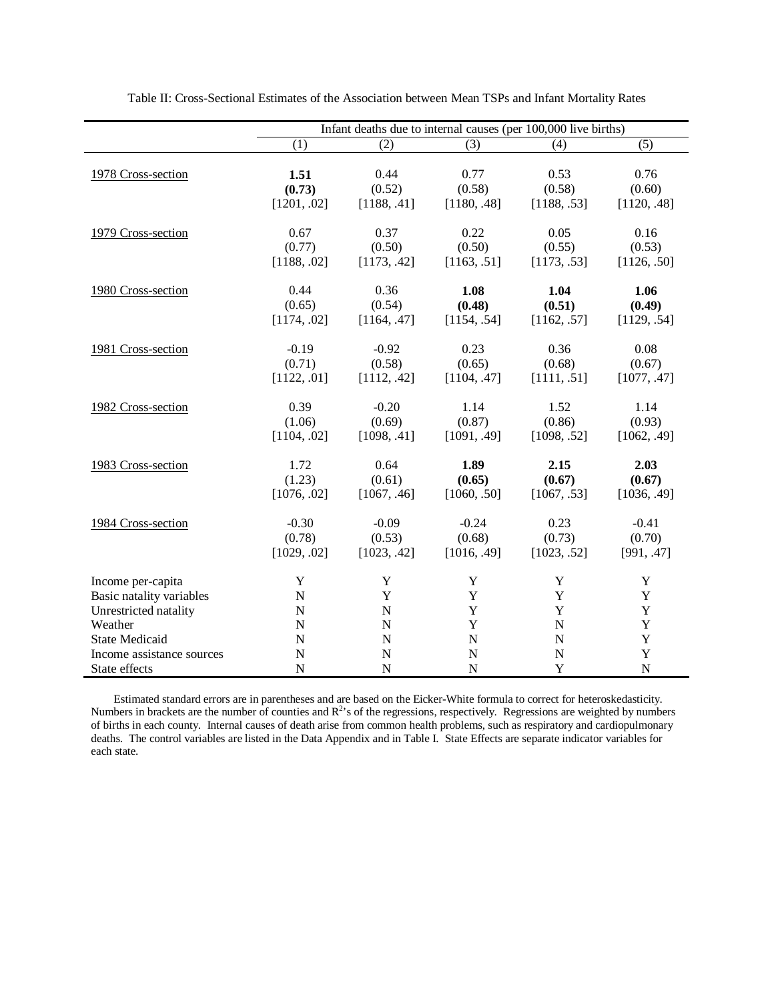|                           | Infant deaths due to internal causes (per 100,000 live births) |             |             |             |             |  |
|---------------------------|----------------------------------------------------------------|-------------|-------------|-------------|-------------|--|
|                           | (1)                                                            | (2)         | (3)         | (4)         | (5)         |  |
| 1978 Cross-section        | 1.51                                                           | 0.44        | 0.77        | 0.53        | 0.76        |  |
|                           | (0.73)                                                         | (0.52)      | (0.58)      | (0.58)      | (0.60)      |  |
|                           | [1201, .02]                                                    | [1188, .41] | [1180, .48] | [1188, .53] | [1120, .48] |  |
| 1979 Cross-section        | 0.67                                                           | 0.37        | 0.22        | 0.05        | 0.16        |  |
|                           | (0.77)                                                         | (0.50)      | (0.50)      | (0.55)      | (0.53)      |  |
|                           | [1188, .02]                                                    | [1173, .42] | [1163, .51] | [1173, .53] | [1126, .50] |  |
| 1980 Cross-section        | 0.44                                                           | 0.36        | 1.08        | 1.04        | 1.06        |  |
|                           | (0.65)                                                         | (0.54)      | (0.48)      | (0.51)      | (0.49)      |  |
|                           | [1174, .02]                                                    | [1164, .47] | [1154, .54] | [1162, .57] | [1129, .54] |  |
| 1981 Cross-section        | $-0.19$                                                        | $-0.92$     | 0.23        | 0.36        | 0.08        |  |
|                           | (0.71)                                                         | (0.58)      | (0.65)      | (0.68)      | (0.67)      |  |
|                           | [1122, .01]                                                    | [1112, .42] | [1104, .47] | [1111, .51] | [1077, .47] |  |
| 1982 Cross-section        | 0.39                                                           | $-0.20$     | 1.14        | 1.52        | 1.14        |  |
|                           | (1.06)                                                         | (0.69)      | (0.87)      | (0.86)      | (0.93)      |  |
|                           | [1104, .02]                                                    | [1098, .41] | [1091, .49] | [1098, .52] | [1062, .49] |  |
| 1983 Cross-section        | 1.72                                                           | 0.64        | 1.89        | 2.15        | 2.03        |  |
|                           | (1.23)                                                         | (0.61)      | (0.65)      | (0.67)      | (0.67)      |  |
|                           | [1076, .02]                                                    | [1067, .46] | [1060, .50] | [1067, .53] | [1036, .49] |  |
| 1984 Cross-section        | $-0.30$                                                        | $-0.09$     | $-0.24$     | 0.23        | $-0.41$     |  |
|                           | (0.78)                                                         | (0.53)      | (0.68)      | (0.73)      | (0.70)      |  |
|                           | [1029, .02]                                                    | [1023, .42] | [1016, .49] | [1023, .52] | [991, .47]  |  |
| Income per-capita         | Y                                                              | Y           | Y           | Y           | Y           |  |
| Basic natality variables  | $\mathbf N$                                                    | Y           | Y           | Y           | Y           |  |
| Unrestricted natality     | $\mathbf N$                                                    | $\mathbf N$ | Y           | Y           | Y           |  |
| Weather                   | ${\bf N}$                                                      | $\mathbf N$ | Y           | $\mathbf N$ | Y           |  |
| <b>State Medicaid</b>     | $\mathbf N$                                                    | $\mathbf N$ | $\mathbf N$ | N           | $\mathbf Y$ |  |
| Income assistance sources | N                                                              | $\mathbf N$ | $\mathbf N$ | N           | $\mathbf Y$ |  |
| State effects             | $\mathbf N$                                                    | N           | ${\bf N}$   | $\mathbf Y$ | $\mathbf N$ |  |
|                           |                                                                |             |             |             |             |  |

Table II: Cross-Sectional Estimates of the Association between Mean TSPs and Infant Mortality Rates

Estimated standard errors are in parentheses and are based on the Eicker-White formula to correct for heteroskedasticity. Numbers in brackets are the number of counties and  $R^2$ 's of the regressions, respectively. Regressions are weighted by numbers of births in each county. Internal causes of death arise from common health problems, such as respiratory and cardiopulmonary deaths. The control variables are listed in the Data Appendix and in Table I. State Effects are separate indicator variables for each state.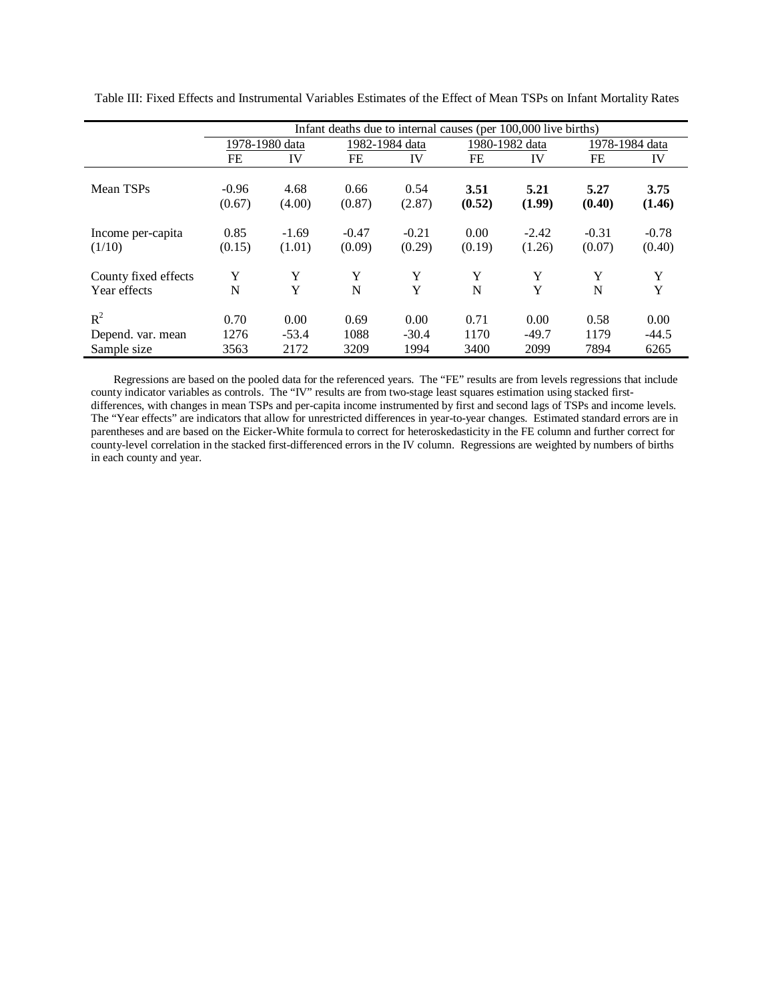|                      | Infant deaths due to internal causes (per 100,000 live births) |         |                |         |                |         |                |         |
|----------------------|----------------------------------------------------------------|---------|----------------|---------|----------------|---------|----------------|---------|
|                      | 1978-1980 data                                                 |         | 1982-1984 data |         | 1980-1982 data |         | 1978-1984 data |         |
|                      | FE                                                             | IV      | FE             | IV      | FE             | IV      | FE             | IV      |
|                      |                                                                |         |                |         |                |         |                |         |
| Mean TSPs            | $-0.96$                                                        | 4.68    | 0.66           | 0.54    | 3.51           | 5.21    | 5.27           | 3.75    |
|                      | (0.67)                                                         | (4.00)  | (0.87)         | (2.87)  | (0.52)         | (1.99)  | (0.40)         | (1.46)  |
| Income per-capita    | 0.85                                                           | $-1.69$ | $-0.47$        | $-0.21$ | 0.00           | $-2.42$ | $-0.31$        | $-0.78$ |
| (1/10)               | (0.15)                                                         | (1.01)  | (0.09)         | (0.29)  | (0.19)         | (1.26)  | (0.07)         | (0.40)  |
| County fixed effects | Y                                                              | Y       | Y              | Y       | Y              | Y       | Y              | Y       |
| Year effects         | N                                                              | Y       | N              | Y       | N              | Y       | N              | Y       |
|                      |                                                                |         |                |         |                |         |                |         |
| $R^2$                | 0.70                                                           | 0.00    | 0.69           | 0.00    | 0.71           | 0.00    | 0.58           | 0.00    |
| Depend. var. mean    | 1276                                                           | $-53.4$ | 1088           | $-30.4$ | 1170           | $-49.7$ | 1179           | $-44.5$ |
| Sample size          | 3563                                                           | 2172    | 3209           | 1994    | 3400           | 2099    | 7894           | 6265    |

Table III: Fixed Effects and Instrumental Variables Estimates of the Effect of Mean TSPs on Infant Mortality Rates

Regressions are based on the pooled data for the referenced years. The "FE" results are from levels regressions that include county indicator variables as controls. The "IV" results are from two-stage least squares estimation using stacked firstdifferences, with changes in mean TSPs and per-capita income instrumented by first and second lags of TSPs and income levels. The "Year effects" are indicators that allow for unrestricted differences in year-to-year changes. Estimated standard errors are in parentheses and are based on the Eicker-White formula to correct for heteroskedasticity in the FE column and further correct for county-level correlation in the stacked first-differenced errors in the IV column. Regressions are weighted by numbers of births in each county and year.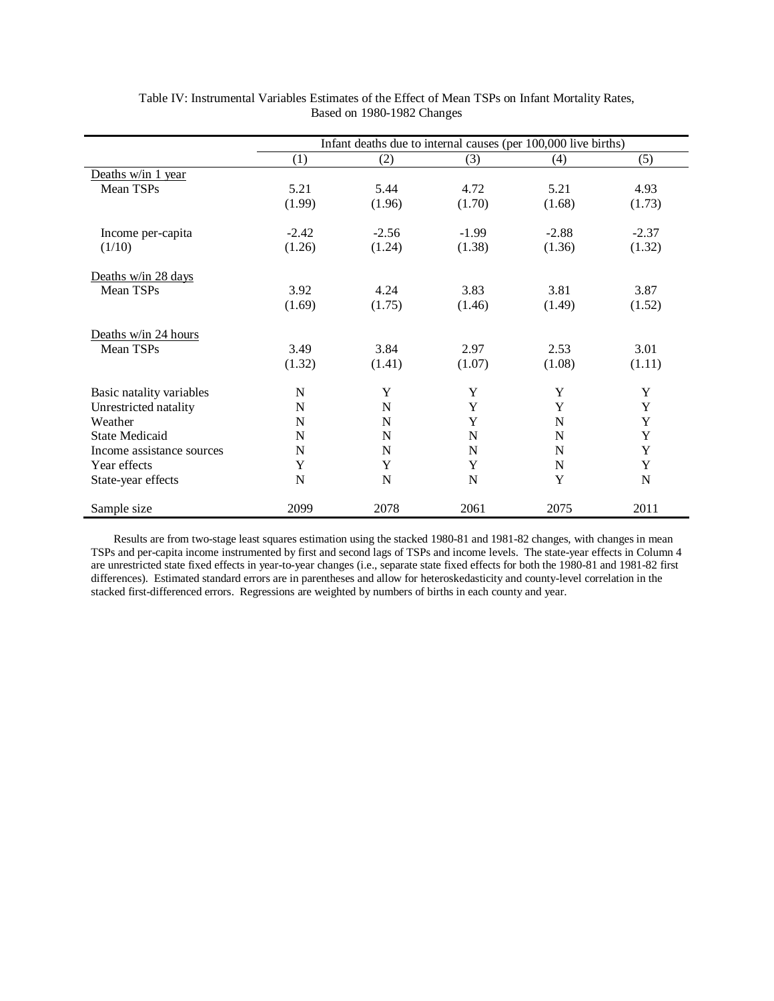|                           | Infant deaths due to internal causes (per 100,000 live births) |             |             |             |             |  |
|---------------------------|----------------------------------------------------------------|-------------|-------------|-------------|-------------|--|
|                           | (1)                                                            | (2)         | (3)         | (4)         | (5)         |  |
| Deaths w/in 1 year        |                                                                |             |             |             |             |  |
| Mean TSPs                 | 5.21                                                           | 5.44        | 4.72        | 5.21        | 4.93        |  |
|                           | (1.99)                                                         | (1.96)      | (1.70)      | (1.68)      | (1.73)      |  |
| Income per-capita         | $-2.42$                                                        | $-2.56$     | $-1.99$     | $-2.88$     | $-2.37$     |  |
| (1/10)                    | (1.26)                                                         | (1.24)      | (1.38)      | (1.36)      | (1.32)      |  |
| Deaths w/in 28 days       |                                                                |             |             |             |             |  |
| Mean TSPs                 | 3.92                                                           | 4.24        | 3.83        | 3.81        | 3.87        |  |
|                           | (1.69)                                                         | (1.75)      | (1.46)      | (1.49)      | (1.52)      |  |
| Deaths w/in 24 hours      |                                                                |             |             |             |             |  |
| Mean TSPs                 | 3.49                                                           | 3.84        | 2.97        | 2.53        | 3.01        |  |
|                           | (1.32)                                                         | (1.41)      | (1.07)      | (1.08)      | (1.11)      |  |
| Basic natality variables  | N                                                              | Y           | Y           | Y           | Y           |  |
| Unrestricted natality     | N                                                              | N           | Y           | Y           | Y           |  |
| Weather                   | N                                                              | N           | Y           | N           | Y           |  |
| <b>State Medicaid</b>     | N                                                              | N           | N           | N           | $\mathbf Y$ |  |
| Income assistance sources | N                                                              | N           | N           | N           | Y           |  |
| Year effects              | Y                                                              | $\mathbf Y$ | Y           | $\mathbf N$ | $\mathbf Y$ |  |
| State-year effects        | N                                                              | N           | $\mathbf N$ | Y           | $\mathbf N$ |  |
| Sample size               | 2099                                                           | 2078        | 2061        | 2075        | 2011        |  |

Table IV: Instrumental Variables Estimates of the Effect of Mean TSPs on Infant Mortality Rates, Based on 1980-1982 Changes

Results are from two-stage least squares estimation using the stacked 1980-81 and 1981-82 changes, with changes in mean TSPs and per-capita income instrumented by first and second lags of TSPs and income levels. The state-year effects in Column 4 are unrestricted state fixed effects in year-to-year changes (i.e., separate state fixed effects for both the 1980-81 and 1981-82 first differences). Estimated standard errors are in parentheses and allow for heteroskedasticity and county-level correlation in the stacked first-differenced errors. Regressions are weighted by numbers of births in each county and year.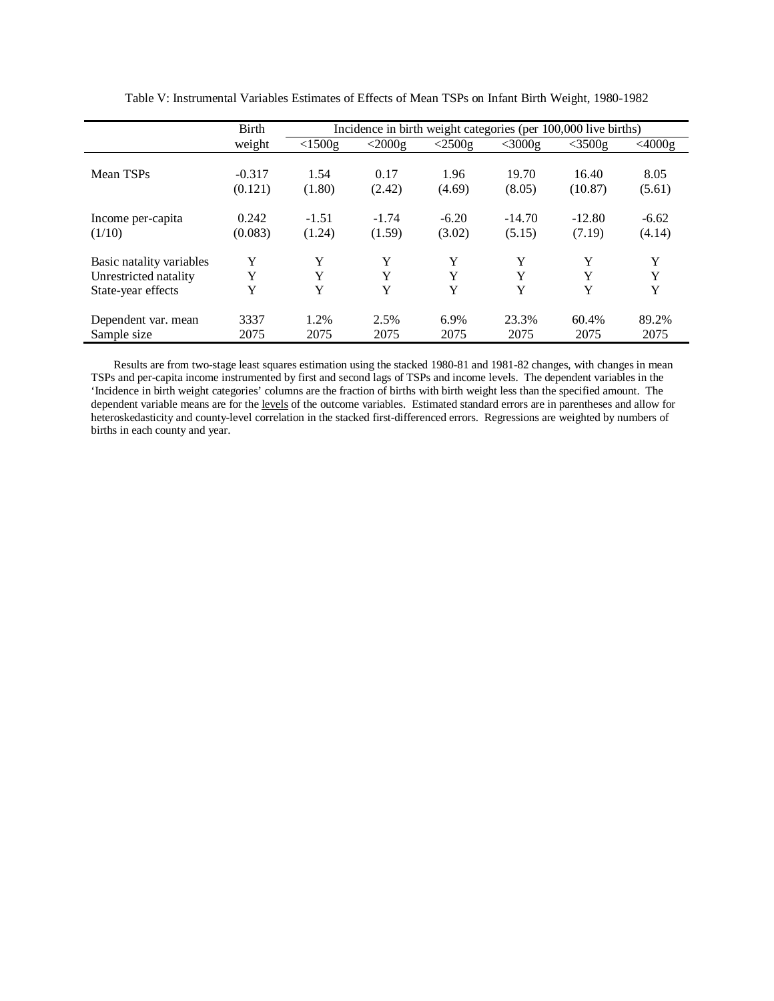|                          | Birth    | Incidence in birth weight categories (per 100,000 live births) |           |           |           |           |           |
|--------------------------|----------|----------------------------------------------------------------|-----------|-----------|-----------|-----------|-----------|
|                          | weight   | $<$ 1500g                                                      | $<$ 2000g | $<$ 2500g | $<$ 3000g | $<$ 3500g | $<$ 4000g |
| Mean TSPs                | $-0.317$ | 1.54                                                           | 0.17      | 1.96      | 19.70     | 16.40     | 8.05      |
|                          | (0.121)  | (1.80)                                                         | (2.42)    | (4.69)    | (8.05)    | (10.87)   | (5.61)    |
| Income per-capita        | 0.242    | $-1.51$                                                        | $-1.74$   | $-6.20$   | $-14.70$  | $-12.80$  | $-6.62$   |
| (1/10)                   | (0.083)  | (1.24)                                                         | (1.59)    | (3.02)    | (5.15)    | (7.19)    | (4.14)    |
| Basic natality variables | Y        | Y                                                              | Y         | Y         | Y         | Y         | Y         |
| Unrestricted natality    | Y        | Y                                                              | Y         | Y         | Y         | Y         | Y         |
| State-year effects       | Y        | Y                                                              | Y         | Y         | Y         | Y         | Y         |
| Dependent var. mean      | 3337     | 1.2%                                                           | 2.5%      | 6.9%      | 23.3%     | 60.4%     | 89.2%     |
| Sample size              | 2075     | 2075                                                           | 2075      | 2075      | 2075      | 2075      | 2075      |

Table V: Instrumental Variables Estimates of Effects of Mean TSPs on Infant Birth Weight, 1980-1982

Results are from two-stage least squares estimation using the stacked 1980-81 and 1981-82 changes, with changes in mean TSPs and per-capita income instrumented by first and second lags of TSPs and income levels. The dependent variables in the 'Incidence in birth weight categories' columns are the fraction of births with birth weight less than the specified amount. The dependent variable means are for the levels of the outcome variables. Estimated standard errors are in parentheses and allow for heteroskedasticity and county-level correlation in the stacked first-differenced errors. Regressions are weighted by numbers of births in each county and year.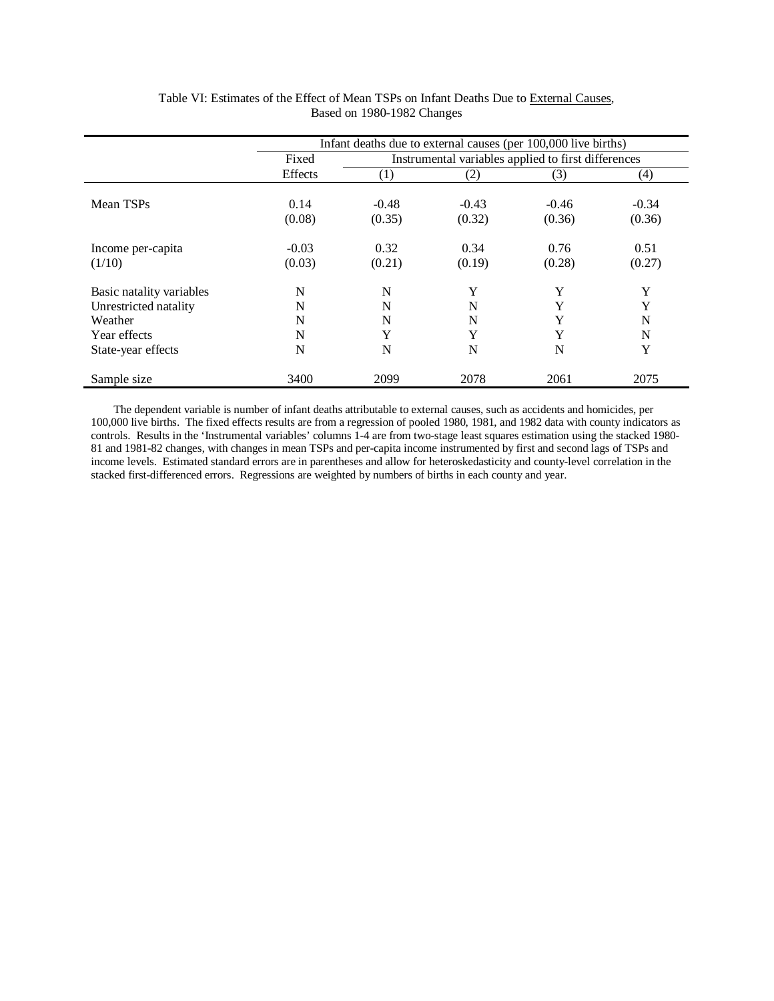|                                                                              | Infant deaths due to external causes (per 100,000 live births) |                                                     |                   |                   |                   |  |
|------------------------------------------------------------------------------|----------------------------------------------------------------|-----------------------------------------------------|-------------------|-------------------|-------------------|--|
|                                                                              | Fixed                                                          | Instrumental variables applied to first differences |                   |                   |                   |  |
|                                                                              | Effects                                                        | $\left( 1\right)$                                   | (2)               | (3)               | $\left( 4\right)$ |  |
| Mean TSPs                                                                    | 0.14<br>(0.08)                                                 | $-0.48$<br>(0.35)                                   | $-0.43$<br>(0.32) | $-0.46$<br>(0.36) | $-0.34$<br>(0.36) |  |
| Income per-capita<br>(1/10)                                                  | $-0.03$<br>(0.03)                                              | 0.32<br>(0.21)                                      | 0.34<br>(0.19)    | 0.76<br>(0.28)    | 0.51<br>(0.27)    |  |
| Basic natality variables<br>Unrestricted natality<br>Weather<br>Year effects | N<br>N<br>N<br>N                                               | N<br>N<br>N<br>Y                                    | Y<br>N<br>N<br>Y  | Y<br>Y<br>Y<br>Y  | Y<br>Y<br>N<br>N  |  |
| State-year effects                                                           | N                                                              | N                                                   | N                 | N                 | Y                 |  |
| Sample size                                                                  | 3400                                                           | 2099                                                | 2078              | 2061              | 2075              |  |

Table VI: Estimates of the Effect of Mean TSPs on Infant Deaths Due to External Causes, Based on 1980-1982 Changes

The dependent variable is number of infant deaths attributable to external causes, such as accidents and homicides, per 100,000 live births. The fixed effects results are from a regression of pooled 1980, 1981, and 1982 data with county indicators as controls. Results in the 'Instrumental variables' columns 1-4 are from two-stage least squares estimation using the stacked 1980- 81 and 1981-82 changes, with changes in mean TSPs and per-capita income instrumented by first and second lags of TSPs and income levels. Estimated standard errors are in parentheses and allow for heteroskedasticity and county-level correlation in the stacked first-differenced errors. Regressions are weighted by numbers of births in each county and year.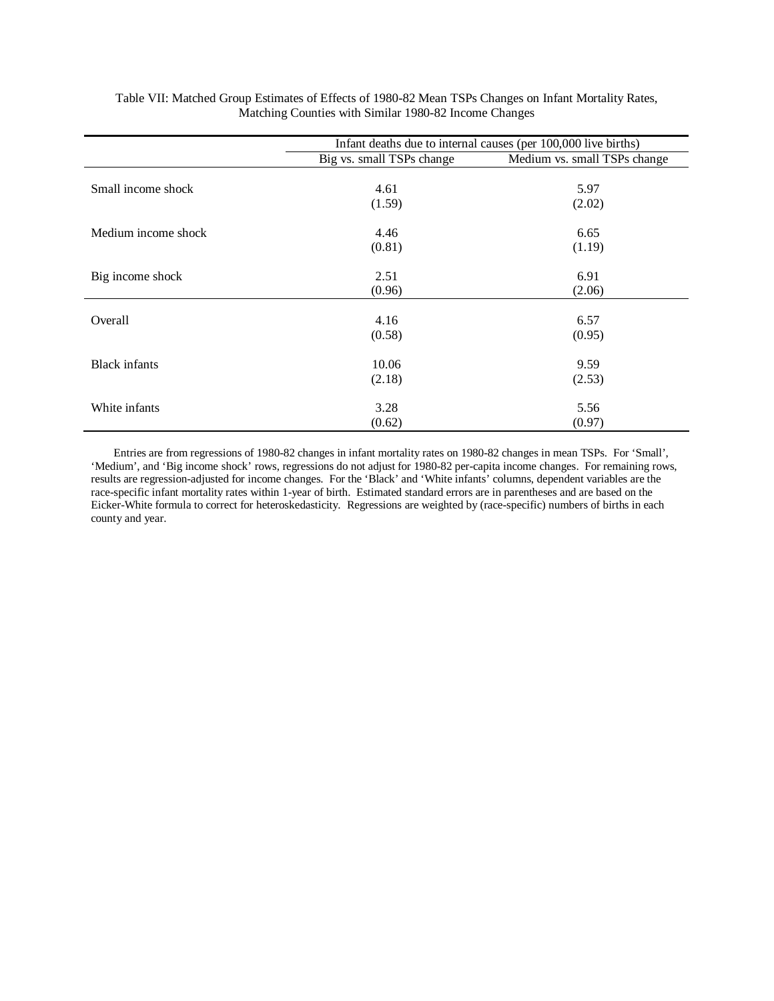|                      | Infant deaths due to internal causes (per 100,000 live births) |                              |  |  |  |
|----------------------|----------------------------------------------------------------|------------------------------|--|--|--|
|                      | Big vs. small TSPs change                                      | Medium vs. small TSPs change |  |  |  |
|                      |                                                                |                              |  |  |  |
| Small income shock   | 4.61                                                           | 5.97                         |  |  |  |
|                      | (1.59)                                                         | (2.02)                       |  |  |  |
| Medium income shock  | 4.46                                                           | 6.65                         |  |  |  |
|                      | (0.81)                                                         | (1.19)                       |  |  |  |
| Big income shock     | 2.51                                                           | 6.91                         |  |  |  |
|                      | (0.96)                                                         | (2.06)                       |  |  |  |
|                      |                                                                |                              |  |  |  |
| Overall              | 4.16                                                           | 6.57                         |  |  |  |
|                      | (0.58)                                                         | (0.95)                       |  |  |  |
| <b>Black</b> infants | 10.06                                                          | 9.59                         |  |  |  |
|                      | (2.18)                                                         | (2.53)                       |  |  |  |
| White infants        | 3.28                                                           | 5.56                         |  |  |  |
|                      | (0.62)                                                         | (0.97)                       |  |  |  |

Table VII: Matched Group Estimates of Effects of 1980-82 Mean TSPs Changes on Infant Mortality Rates, Matching Counties with Similar 1980-82 Income Changes

Entries are from regressions of 1980-82 changes in infant mortality rates on 1980-82 changes in mean TSPs. For 'Small', 'Medium', and 'Big income shock' rows, regressions do not adjust for 1980-82 per-capita income changes. For remaining rows, results are regression-adjusted for income changes. For the 'Black' and 'White infants' columns, dependent variables are the race-specific infant mortality rates within 1-year of birth. Estimated standard errors are in parentheses and are based on the Eicker-White formula to correct for heteroskedasticity. Regressions are weighted by (race-specific) numbers of births in each county and year.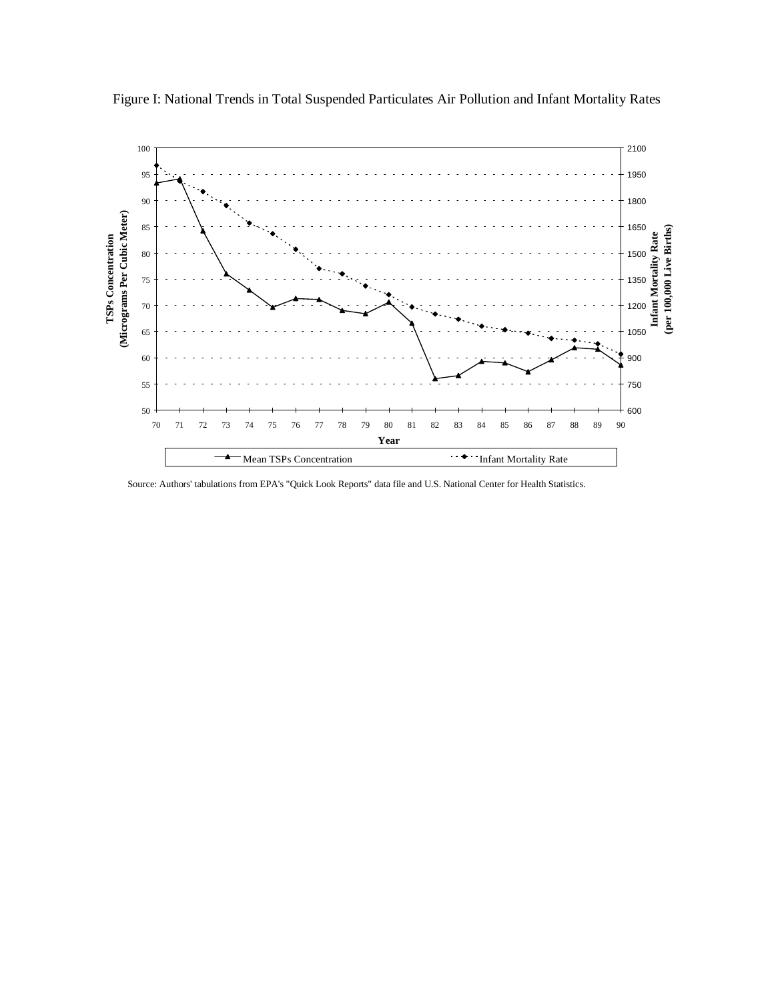

Figure I: National Trends in Total Suspended Particulates Air Pollution and Infant Mortality Rates

Source: Authors' tabulations from EPA's "Quick Look Reports" data file and U.S. National Center for Health Statistics.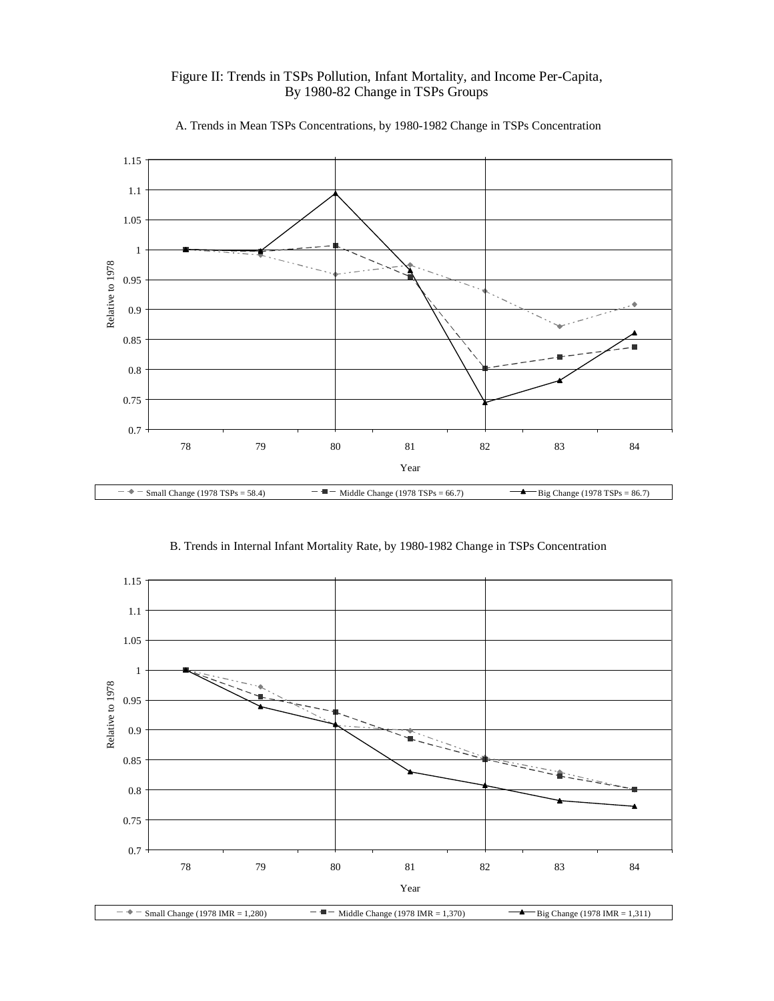

Figure II: Trends in TSPs Pollution, Infant Mortality, and Income Per-Capita, By 1980-82 Change in TSPs Groups

B. Trends in Internal Infant Mortality Rate, by 1980-1982 Change in TSPs Concentration

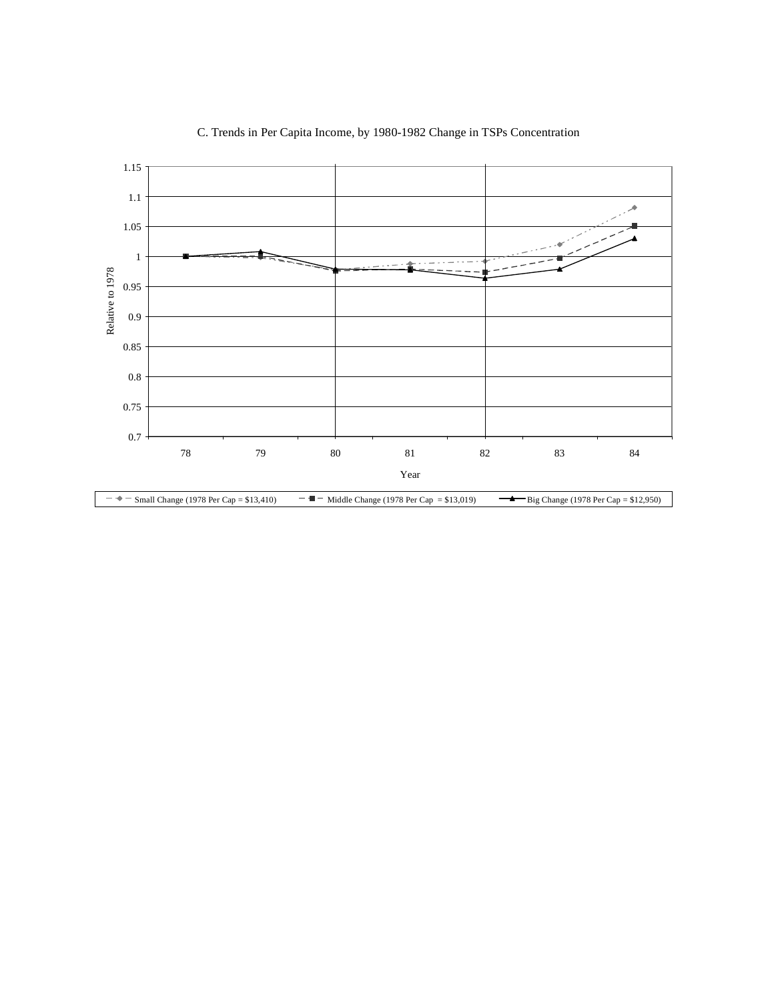

## C. Trends in Per Capita Income, by 1980-1982 Change in TSPs Concentration